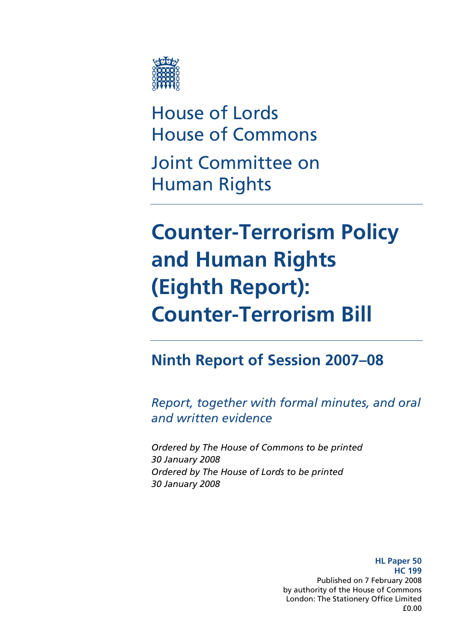

House of Lords House of Commons

Joint Committee on Human Rights

# **Counter-Terrorism Policy and Human Rights (Eighth Report): Counter-Terrorism Bill**

# **Ninth Report of Session 2007–08**

*Report, together with formal minutes, and oral and written evidence* 

*Ordered by The House of Commons to be printed 30 January 2008 Ordered by The House of Lords to be printed 30 January 2008* 

> **HL Paper 50 HC 199**  Published on 7 February 2008 by authority of the House of Commons London: The Stationery Office Limited £0.00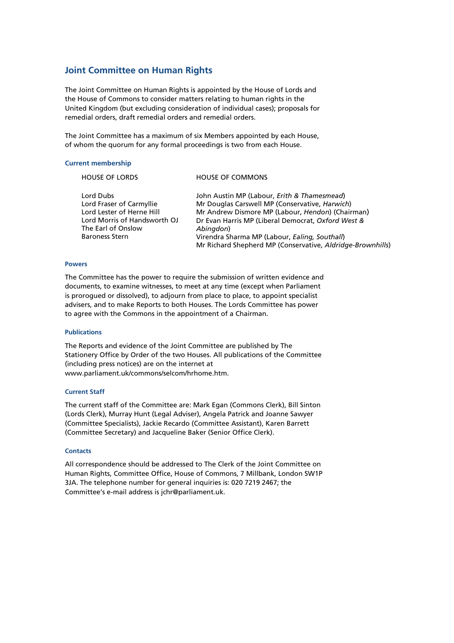### **Joint Committee on Human Rights**

The Joint Committee on Human Rights is appointed by the House of Lords and the House of Commons to consider matters relating to human rights in the United Kingdom (but excluding consideration of individual cases); proposals for remedial orders, draft remedial orders and remedial orders.

The Joint Committee has a maximum of six Members appointed by each House, of whom the quorum for any formal proceedings is two from each House.

#### **Current membership**

| John Austin MP (Labour, Erith & Thamesmead)<br>Lord Dubs<br>Mr Douglas Carswell MP (Conservative, Harwich)<br>Lord Fraser of Carmyllie<br>Lord Lester of Herne Hill<br>Mr Andrew Dismore MP (Labour, Hendon) (Chairman)<br>Lord Morris of Handsworth OJ<br>Dr Evan Harris MP (Liberal Democrat, Oxford West &<br>The Earl of Onslow<br>Abingdon)<br><b>Baroness Stern</b><br>Virendra Sharma MP (Labour, Ealing, Southall)<br>Mr Richard Shepherd MP (Conservative, Aldridge-Brownhills) | <b>HOUSE OF LORDS</b> | <b>HOUSE OF COMMONS</b> |
|------------------------------------------------------------------------------------------------------------------------------------------------------------------------------------------------------------------------------------------------------------------------------------------------------------------------------------------------------------------------------------------------------------------------------------------------------------------------------------------|-----------------------|-------------------------|
|                                                                                                                                                                                                                                                                                                                                                                                                                                                                                          |                       |                         |

#### **Powers**

The Committee has the power to require the submission of written evidence and documents, to examine witnesses, to meet at any time (except when Parliament is prorogued or dissolved), to adjourn from place to place, to appoint specialist advisers, and to make Reports to both Houses. The Lords Committee has power to agree with the Commons in the appointment of a Chairman.

#### **Publications**

The Reports and evidence of the Joint Committee are published by The Stationery Office by Order of the two Houses. All publications of the Committee (including press notices) are on the internet at www.parliament.uk/commons/selcom/hrhome.htm.

#### **Current Staff**

The current staff of the Committee are: Mark Egan (Commons Clerk), Bill Sinton (Lords Clerk), Murray Hunt (Legal Adviser), Angela Patrick and Joanne Sawyer (Committee Specialists), Jackie Recardo (Committee Assistant), Karen Barrett (Committee Secretary) and Jacqueline Baker (Senior Office Clerk).

#### **Contacts**

All correspondence should be addressed to The Clerk of the Joint Committee on Human Rights, Committee Office, House of Commons, 7 Millbank, London SW1P 3JA. The telephone number for general inquiries is: 020 7219 2467; the Committee's e-mail address is jchr@parliament.uk.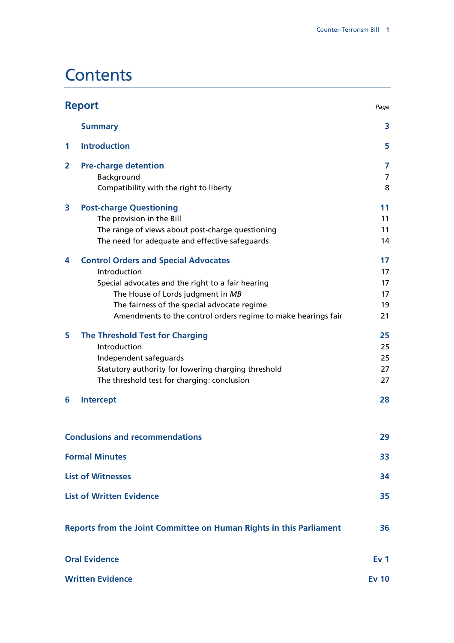# **Contents**

| <b>Report</b><br>Page                                                                                                                                                                                                                                                      |                                  |
|----------------------------------------------------------------------------------------------------------------------------------------------------------------------------------------------------------------------------------------------------------------------------|----------------------------------|
| <b>Summary</b>                                                                                                                                                                                                                                                             | 3.                               |
| <b>Introduction</b><br>1                                                                                                                                                                                                                                                   | 5                                |
| <b>Pre-charge detention</b><br>2<br>Background<br>Compatibility with the right to liberty                                                                                                                                                                                  | 7<br>7<br>8                      |
| <b>Post-charge Questioning</b><br>3<br>The provision in the Bill<br>The range of views about post-charge questioning<br>The need for adequate and effective safeguards                                                                                                     | 11<br>11<br>11<br>14             |
| <b>Control Orders and Special Advocates</b><br>4<br>Introduction<br>Special advocates and the right to a fair hearing<br>The House of Lords judgment in MB<br>The fairness of the special advocate regime<br>Amendments to the control orders regime to make hearings fair | 17<br>17<br>17<br>17<br>19<br>21 |
| 5<br><b>The Threshold Test for Charging</b><br>Introduction<br>Independent safeguards<br>Statutory authority for lowering charging threshold<br>The threshold test for charging: conclusion                                                                                | 25<br>25<br>25<br>27<br>27       |
| <b>Intercept</b><br>6                                                                                                                                                                                                                                                      | 28                               |
| <b>Conclusions and recommendations</b>                                                                                                                                                                                                                                     | 29                               |
| <b>Formal Minutes</b>                                                                                                                                                                                                                                                      | 33                               |
| <b>List of Witnesses</b>                                                                                                                                                                                                                                                   | 34                               |
| <b>List of Written Evidence</b>                                                                                                                                                                                                                                            | 35                               |
| Reports from the Joint Committee on Human Rights in this Parliament                                                                                                                                                                                                        | 36                               |
| <b>Oral Evidence</b>                                                                                                                                                                                                                                                       | Ev <sub>1</sub>                  |
| <b>Written Evidence</b>                                                                                                                                                                                                                                                    | <b>Ev 10</b>                     |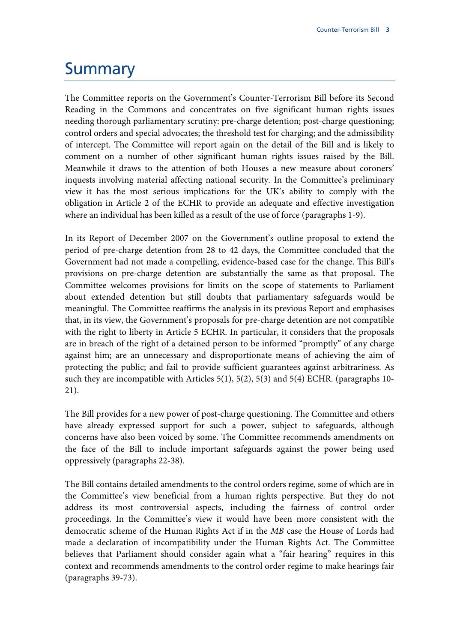# <span id="page-4-0"></span>Summary

The Committee reports on the Government's Counter-Terrorism Bill before its Second Reading in the Commons and concentrates on five significant human rights issues needing thorough parliamentary scrutiny: pre-charge detention; post-charge questioning; control orders and special advocates; the threshold test for charging; and the admissibility of intercept. The Committee will report again on the detail of the Bill and is likely to comment on a number of other significant human rights issues raised by the Bill. Meanwhile it draws to the attention of both Houses a new measure about coroners' inquests involving material affecting national security. In the Committee's preliminary view it has the most serious implications for the UK's ability to comply with the obligation in Article 2 of the ECHR to provide an adequate and effective investigation where an individual has been killed as a result of the use of force (paragraphs 1-9).

In its Report of December 2007 on the Government's outline proposal to extend the period of pre-charge detention from 28 to 42 days, the Committee concluded that the Government had not made a compelling, evidence-based case for the change. This Bill's provisions on pre-charge detention are substantially the same as that proposal. The Committee welcomes provisions for limits on the scope of statements to Parliament about extended detention but still doubts that parliamentary safeguards would be meaningful. The Committee reaffirms the analysis in its previous Report and emphasises that, in its view, the Government's proposals for pre-charge detention are not compatible with the right to liberty in Article 5 ECHR. In particular, it considers that the proposals are in breach of the right of a detained person to be informed "promptly" of any charge against him; are an unnecessary and disproportionate means of achieving the aim of protecting the public; and fail to provide sufficient guarantees against arbitrariness. As such they are incompatible with Articles  $5(1)$ ,  $5(2)$ ,  $5(3)$  and  $5(4)$  ECHR. (paragraphs 10-21).

The Bill provides for a new power of post-charge questioning. The Committee and others have already expressed support for such a power, subject to safeguards, although concerns have also been voiced by some. The Committee recommends amendments on the face of the Bill to include important safeguards against the power being used oppressively (paragraphs 22-38).

The Bill contains detailed amendments to the control orders regime, some of which are in the Committee's view beneficial from a human rights perspective. But they do not address its most controversial aspects, including the fairness of control order proceedings. In the Committee's view it would have been more consistent with the democratic scheme of the Human Rights Act if in the *MB* case the House of Lords had made a declaration of incompatibility under the Human Rights Act. The Committee believes that Parliament should consider again what a "fair hearing" requires in this context and recommends amendments to the control order regime to make hearings fair (paragraphs 39-73).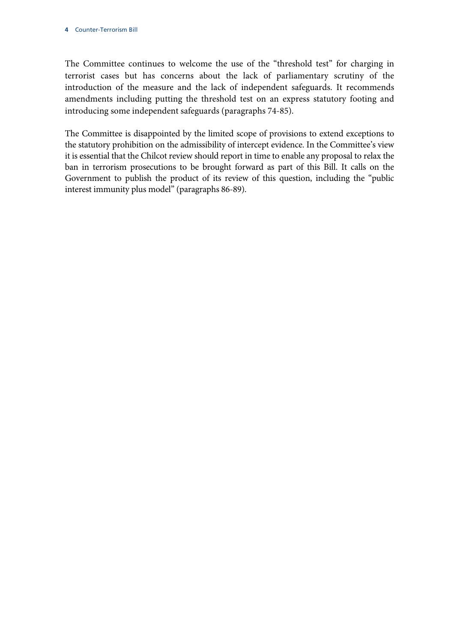The Committee continues to welcome the use of the "threshold test" for charging in terrorist cases but has concerns about the lack of parliamentary scrutiny of the introduction of the measure and the lack of independent safeguards. It recommends amendments including putting the threshold test on an express statutory footing and introducing some independent safeguards (paragraphs 74-85).

The Committee is disappointed by the limited scope of provisions to extend exceptions to the statutory prohibition on the admissibility of intercept evidence. In the Committee's view it is essential that the Chilcot review should report in time to enable any proposal to relax the ban in terrorism prosecutions to be brought forward as part of this Bill. It calls on the Government to publish the product of its review of this question, including the "public interest immunity plus model" (paragraphs 86-89).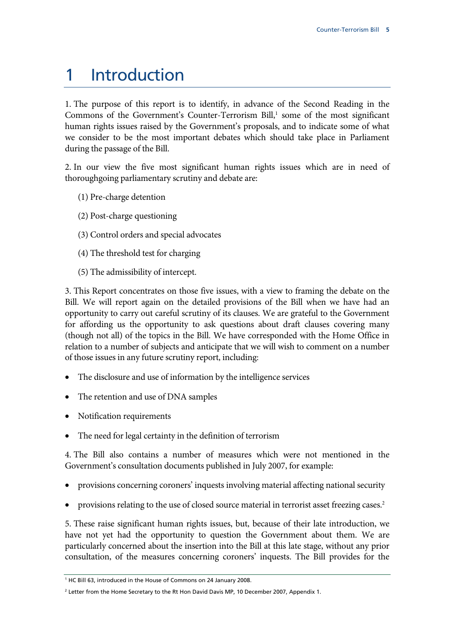# <span id="page-6-0"></span>1 Introduction

1. The purpose of this report is to identify, in advance of the Second Reading in the Commons of the Government's Counter-Terrorism Bill,<sup>[1](#page-6-1)</sup> some of the most significant human rights issues raised by the Government's proposals, and to indicate some of what we consider to be the most important debates which should take place in Parliament during the passage of the Bill.

2. In our view the five most significant human rights issues which are in need of thoroughgoing parliamentary scrutiny and debate are:

- (1) Pre-charge detention
- (2) Post-charge questioning
- (3) Control orders and special advocates
- (4) The threshold test for charging
- (5) The admissibility of intercept.

3. This Report concentrates on those five issues, with a view to framing the debate on the Bill. We will report again on the detailed provisions of the Bill when we have had an opportunity to carry out careful scrutiny of its clauses. We are grateful to the Government for affording us the opportunity to ask questions about draft clauses covering many (though not all) of the topics in the Bill. We have corresponded with the Home Office in relation to a number of subjects and anticipate that we will wish to comment on a number of those issues in any future scrutiny report, including:

- The disclosure and use of information by the intelligence services
- The retention and use of DNA samples
- Notification requirements
- The need for legal certainty in the definition of terrorism

4. The Bill also contains a number of measures which were not mentioned in the Government's consultation documents published in July 2007, for example:

- provisions concerning coroners' inquests involving material affecting national security
- provisions relating to the use of closed source material in terrorist asset freezing cases.<sup>[2](#page-6-2)</sup>

5. These raise significant human rights issues, but, because of their late introduction, we have not yet had the opportunity to question the Government about them. We are particularly concerned about the insertion into the Bill at this late stage, without any prior consultation, of the measures concerning coroners' inquests. The Bill provides for the

<span id="page-6-1"></span><sup>&</sup>lt;sup>1</sup> HC Bill 63, introduced in the House of Commons on 24 January 2008.

<span id="page-6-2"></span><sup>&</sup>lt;sup>2</sup> Letter from the Home Secretary to the Rt Hon David Davis MP, 10 December 2007, Appendix 1.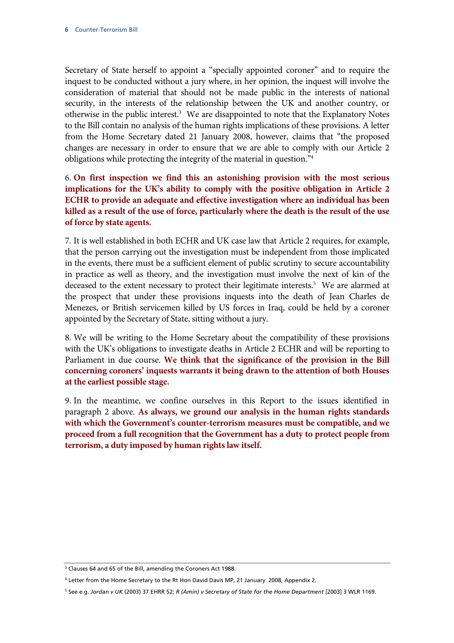Secretary of State herself to appoint a "specially appointed coroner" and to require the inquest to be conducted without a jury where, in her opinion, the inquest will involve the consideration of material that should not be made public in the interests of national security, in the interests of the relationship between the UK and another country, or otherwise in the public interest.<sup>3</sup> We are disappointed to note that the Explanatory Notes to the Bill contain no analysis of the human rights implications of these provisions. A letter from the Home Secretary dated 21 January 2008, however, claims that "the proposed changes are necessary in order to ensure that we are able to comply with our Article 2 obligations while protecting the integrity of the material in question.["4](#page-7-1)

6. **On first inspection we find this an astonishing provision with the most serious implications for the UK's ability to comply with the positive obligation in Article 2 ECHR to provide an adequate and effective investigation where an individual has been killed as a result of the use of force, particularly where the death is the result of the use of force by state agents.** 

7. It is well established in both ECHR and UK case law that Article 2 requires, for example, that the person carrying out the investigation must be independent from those implicated in the events, there must be a sufficient element of public scrutiny to secure accountability in practice as well as theory, and the investigation must involve the next of kin of the deceased to the extent necessary to protect their legitimate interests.<sup>5</sup> We are alarmed at the prospect that under these provisions inquests into the death of Jean Charles de Menezes, or British servicemen killed by US forces in Iraq, could be held by a coroner appointed by the Secretary of State, sitting without a jury.

8. We will be writing to the Home Secretary about the compatibility of these provisions with the UK's obligations to investigate deaths in Article 2 ECHR and will be reporting to Parliament in due course. **We think that the significance of the provision in the Bill concerning coroners' inquests warrants it being drawn to the attention of both Houses at the earliest possible stage.**

9. In the meantime, we confine ourselves in this Report to the issues identified in paragraph 2 above. **As always, we ground our analysis in the human rights standards with which the Government's counter-terrorism measures must be compatible, and we proceed from a full recognition that the Government has a duty to protect people from terrorism, a duty imposed by human rights law itself.**

<span id="page-7-0"></span><sup>&</sup>lt;sup>3</sup> Clauses 64 and 65 of the Bill, amending the Coroners Act 1988.

<span id="page-7-1"></span><sup>4</sup> Letter from the Home Secretary to the Rt Hon David Davis MP, 21 January 2008, Appendix 2.

<span id="page-7-2"></span><sup>5</sup> See e.g. *Jordan v UK* (2003) 37 EHRR 52; *R (Amin) v Secretary of State for the Home Department* [2003] 3 WLR 1169.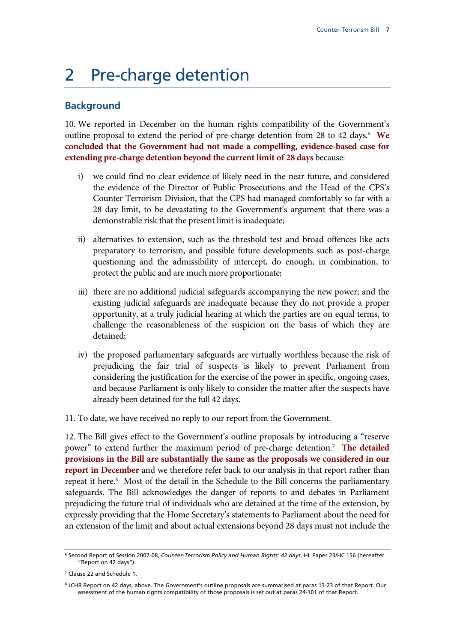# <span id="page-8-0"></span>2 Pre-charge detention

# **Background**

10. We reported in December on the human rights compatibility of the Government's outline proposal to extend the period of pre-charge detention from 28 to 42 days. [6](#page-8-1) **We concluded that the Government had not made a compelling, evidence-based case for extending pre-charge detention beyond the current limit of 28 days** because:

- i) we could find no clear evidence of likely need in the near future, and considered the evidence of the Director of Public Prosecutions and the Head of the CPS's Counter Terrorism Division, that the CPS had managed comfortably so far with a 28 day limit, to be devastating to the Government's argument that there was a demonstrable risk that the present limit is inadequate;
- ii) alternatives to extension, such as the threshold test and broad offences like acts preparatory to terrorism, and possible future developments such as post-charge questioning and the admissibility of intercept, do enough, in combination, to protect the public and are much more proportionate;
- iii) there are no additional judicial safeguards accompanying the new power; and the existing judicial safeguards are inadequate because they do not provide a proper opportunity, at a truly judicial hearing at which the parties are on equal terms, to challenge the reasonableness of the suspicion on the basis of which they are detained;
- iv) the proposed parliamentary safeguards are virtually worthless because the risk of prejudicing the fair trial of suspects is likely to prevent Parliament from considering the justification for the exercise of the power in specific, ongoing cases, and because Parliament is only likely to consider the matter after the suspects have already been detained for the full 42 days.

11. To date, we have received no reply to our report from the Government.

12. The Bill gives effect to the Government's outline proposals by introducing a "reserve power" to extend further the maximum period of pre-charge detention[.7](#page-8-2) **The detailed provisions in the Bill are substantially the same as the proposals we considered in our report in December** and we therefore refer back to our analysis in that report rather than repeat it here. [8](#page-8-3) Most of the detail in the Schedule to the Bill concerns the parliamentary safeguards. The Bill acknowledges the danger of reports to and debates in Parliament prejudicing the future trial of individuals who are detained at the time of the extension, by expressly providing that the Home Secretary's statements to Parliament about the need for an extension of the limit and about actual extensions beyond 28 days must not include the

<span id="page-8-1"></span><sup>6</sup> Second Report of Session 2007-08, *Counter-Terrorism Policy and Human Rights: 42 days*, HL Paper 23/HC 156 (hereafter "Report on 42 days").

<span id="page-8-2"></span><sup>7</sup> Clause 22 and Schedule 1.

<span id="page-8-3"></span><sup>8</sup> JCHR Report on 42 days, above. The Government's outline proposals are summarised at paras 13-23 of that Report. Our assessment of the human rights compatibility of those proposals is set out at paras 24-101 of that Report.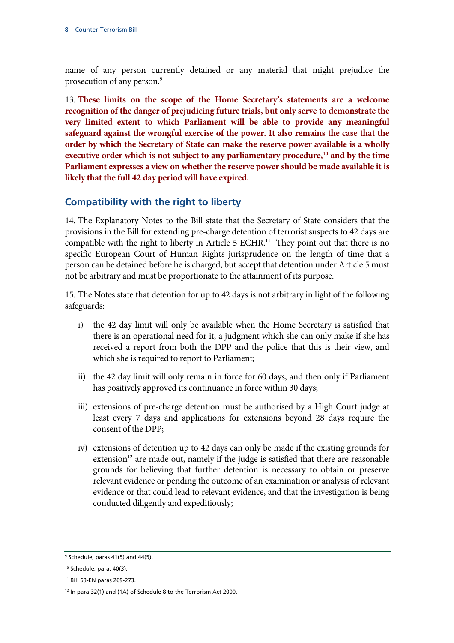<span id="page-9-0"></span>name of any person currently detained or any material that might prejudice the prosecution of any person.<sup>9</sup>

13. **These limits on the scope of the Home Secretary's statements are a welcome recognition of the danger of prejudicing future trials, but only serve to demonstrate the very limited extent to which Parliament will be able to provide any meaningful safeguard against the wrongful exercise of the power. It also remains the case that the order by which the Secretary of State can make the reserve power available is a wholly executive order which is not subject to any parliamentary procedure[,10](#page-9-2) and by the time Parliament expresses a view on whether the reserve power should be made available it is likely that the full 42 day period will have expired.**

## **Compatibility with the right to liberty**

14. The Explanatory Notes to the Bill state that the Secretary of State considers that the provisions in the Bill for extending pre-charge detention of terrorist suspects to 42 days are compatible with the right to liberty in Article 5 ECHR.<sup>11</sup> They point out that there is no specific European Court of Human Rights jurisprudence on the length of time that a person can be detained before he is charged, but accept that detention under Article 5 must not be arbitrary and must be proportionate to the attainment of its purpose.

15. The Notes state that detention for up to 42 days is not arbitrary in light of the following safeguards:

- i) the 42 day limit will only be available when the Home Secretary is satisfied that there is an operational need for it, a judgment which she can only make if she has received a report from both the DPP and the police that this is their view, and which she is required to report to Parliament;
- ii) the 42 day limit will only remain in force for 60 days, and then only if Parliament has positively approved its continuance in force within 30 days;
- iii) extensions of pre-charge detention must be authorised by a High Court judge at least every 7 days and applications for extensions beyond 28 days require the consent of the DPP;
- iv) extensions of detention up to 42 days can only be made if the existing grounds for  $extension<sup>12</sup>$  are made out, namely if the judge is satisfied that there are reasonable grounds for believing that further detention is necessary to obtain or preserve relevant evidence or pending the outcome of an examination or analysis of relevant evidence or that could lead to relevant evidence, and that the investigation is being conducted diligently and expeditiously;

<span id="page-9-1"></span><sup>9</sup> Schedule, paras 41(5) and 44(5).

<span id="page-9-2"></span><sup>10</sup> Schedule, para. 40(3).

<span id="page-9-3"></span><sup>11</sup> Bill 63-EN paras 269-273.

<span id="page-9-4"></span><sup>12</sup> In para 32(1) and (1A) of Schedule 8 to the Terrorism Act 2000.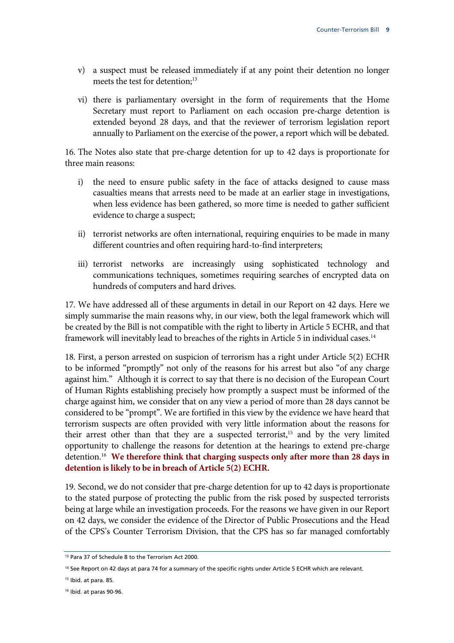- v) a suspect must be released immediately if at any point their detention no longer meets the test for detention; [13](#page-10-0)
- vi) there is parliamentary oversight in the form of requirements that the Home Secretary must report to Parliament on each occasion pre-charge detention is extended beyond 28 days, and that the reviewer of terrorism legislation report annually to Parliament on the exercise of the power, a report which will be debated.

16. The Notes also state that pre-charge detention for up to 42 days is proportionate for three main reasons:

- i) the need to ensure public safety in the face of attacks designed to cause mass casualties means that arrests need to be made at an earlier stage in investigations, when less evidence has been gathered, so more time is needed to gather sufficient evidence to charge a suspect;
- ii) terrorist networks are often international, requiring enquiries to be made in many different countries and often requiring hard-to-find interpreters;
- iii) terrorist networks are increasingly using sophisticated technology and communications techniques, sometimes requiring searches of encrypted data on hundreds of computers and hard drives.

17. We have addressed all of these arguments in detail in our Report on 42 days. Here we simply summarise the main reasons why, in our view, both the legal framework which will be created by the Bill is not compatible with the right to liberty in Article 5 ECHR, and that framework will inevitably lead to breaches of the rights in Article 5 in individual cases[.14](#page-10-1)

18. First, a person arrested on suspicion of terrorism has a right under Article 5(2) ECHR to be informed "promptly" not only of the reasons for his arrest but also "of any charge against him." Although it is correct to say that there is no decision of the European Court of Human Rights establishing precisely how promptly a suspect must be informed of the charge against him, we consider that on any view a period of more than 28 days cannot be considered to be "prompt". We are fortified in this view by the evidence we have heard that terrorism suspects are often provided with very little information about the reasons for their arrest other than that they are a suspected terrorist, $15$  and by the very limited opportunity to challenge the reasons for detention at the hearings to extend pre-charge detention[.16](#page-10-3) **We therefore think that charging suspects only after more than 28 days in detention is likely to be in breach of Article 5(2) ECHR.**

19. Second, we do not consider that pre-charge detention for up to 42 days is proportionate to the stated purpose of protecting the public from the risk posed by suspected terrorists being at large while an investigation proceeds. For the reasons we have given in our Report on 42 days, we consider the evidence of the Director of Public Prosecutions and the Head of the CPS's Counter Terrorism Division, that the CPS has so far managed comfortably

<span id="page-10-0"></span><sup>13</sup> Para 37 of Schedule 8 to the Terrorism Act 2000.

<span id="page-10-1"></span><sup>&</sup>lt;sup>14</sup> See Report on 42 days at para 74 for a summary of the specific rights under Article 5 ECHR which are relevant.

<span id="page-10-2"></span><sup>15</sup> Ibid. at para. 85.

<span id="page-10-3"></span><sup>16</sup> Ibid. at paras 90-96.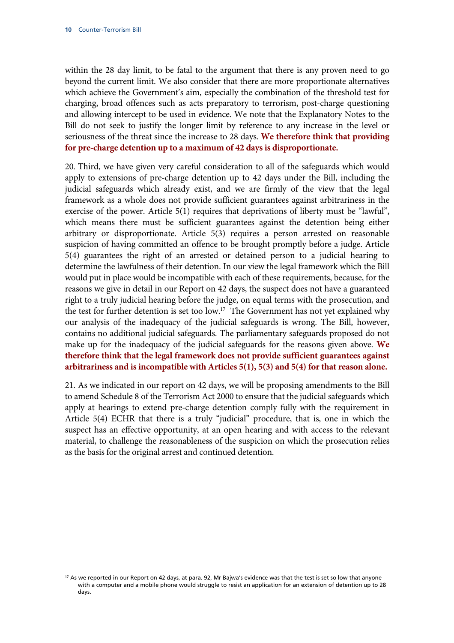within the 28 day limit, to be fatal to the argument that there is any proven need to go beyond the current limit. We also consider that there are more proportionate alternatives which achieve the Government's aim, especially the combination of the threshold test for charging, broad offences such as acts preparatory to terrorism, post-charge questioning and allowing intercept to be used in evidence. We note that the Explanatory Notes to the Bill do not seek to justify the longer limit by reference to any increase in the level or seriousness of the threat since the increase to 28 days. **We therefore think that providing for pre-charge detention up to a maximum of 42 days is disproportionate.**

20. Third, we have given very careful consideration to all of the safeguards which would apply to extensions of pre-charge detention up to 42 days under the Bill, including the judicial safeguards which already exist, and we are firmly of the view that the legal framework as a whole does not provide sufficient guarantees against arbitrariness in the exercise of the power. Article 5(1) requires that deprivations of liberty must be "lawful", which means there must be sufficient guarantees against the detention being either arbitrary or disproportionate. Article 5(3) requires a person arrested on reasonable suspicion of having committed an offence to be brought promptly before a judge. Article 5(4) guarantees the right of an arrested or detained person to a judicial hearing to determine the lawfulness of their detention. In our view the legal framework which the Bill would put in place would be incompatible with each of these requirements, because, for the reasons we give in detail in our Report on 42 days, the suspect does not have a guaranteed right to a truly judicial hearing before the judge, on equal terms with the prosecution, and the test for further detention is set too low.<sup>17</sup> The Government has not yet explained why our analysis of the inadequacy of the judicial safeguards is wrong. The Bill, however, contains no additional judicial safeguards. The parliamentary safeguards proposed do not make up for the inadequacy of the judicial safeguards for the reasons given above. **We therefore think that the legal framework does not provide sufficient guarantees against arbitrariness and is incompatible with Articles 5(1), 5(3) and 5(4) for that reason alone.**

21. As we indicated in our report on 42 days, we will be proposing amendments to the Bill to amend Schedule 8 of the Terrorism Act 2000 to ensure that the judicial safeguards which apply at hearings to extend pre-charge detention comply fully with the requirement in Article 5(4) ECHR that there is a truly "judicial" procedure, that is, one in which the suspect has an effective opportunity, at an open hearing and with access to the relevant material, to challenge the reasonableness of the suspicion on which the prosecution relies as the basis for the original arrest and continued detention.

<span id="page-11-0"></span><sup>&</sup>lt;sup>17</sup> As we reported in our Report on 42 days, at para. 92, Mr Bajwa's evidence was that the test is set so low that anyone with a computer and a mobile phone would struggle to resist an application for an extension of detention up to 28 days.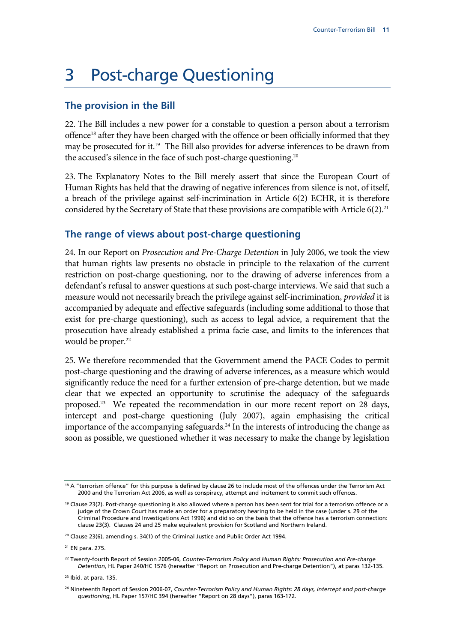# <span id="page-12-0"></span>3 Post-charge Questioning

## **The provision in the Bill**

22. The Bill includes a new power for a constable to question a person about a terrorism offence<sup>18</sup> after they have been charged with the offence or been officially informed that they may be prosecuted for it. [19](#page-12-2) The Bill also provides for adverse inferences to be drawn from the accused's silence in the face of such post-charge questioning.<sup>20</sup>

23. The Explanatory Notes to the Bill merely assert that since the European Court of Human Rights has held that the drawing of negative inferences from silence is not, of itself, a breach of the privilege against self-incrimination in Article 6(2) ECHR, it is therefore considered by the Secretary of State that these provisions are compatible with Article  $6(2).^{21}$  $6(2).^{21}$  $6(2).^{21}$ 

## **The range of views about post-charge questioning**

24. In our Report on *Prosecution and Pre-Charge Detention* in July 2006, we took the view that human rights law presents no obstacle in principle to the relaxation of the current restriction on post-charge questioning, nor to the drawing of adverse inferences from a defendant's refusal to answer questions at such post-charge interviews. We said that such a measure would not necessarily breach the privilege against self-incrimination, *provided* it is accompanied by adequate and effective safeguards (including some additional to those that exist for pre-charge questioning), such as access to legal advice, a requirement that the prosecution have already established a prima facie case, and limits to the inferences that would be proper.<sup>22</sup>

25. We therefore recommended that the Government amend the PACE Codes to permit post-charge questioning and the drawing of adverse inferences, as a measure which would significantly reduce the need for a further extension of pre-charge detention, but we made clear that we expected an opportunity to scrutinise the adequacy of the safeguards proposed[.23](#page-12-6) We repeated the recommendation in our more recent report on 28 days, intercept and post-charge questioning (July 2007), again emphasising the critical importance of the accompanying safeguards. [24](#page-12-7) In the interests of introducing the change as soon as possible, we questioned whether it was necessary to make the change by legislation

<span id="page-12-6"></span>23 Ibid. at para. 135.

<span id="page-12-1"></span><sup>&</sup>lt;sup>18</sup> A "terrorism offence" for this purpose is defined by clause 26 to include most of the offences under the Terrorism Act 2000 and the Terrorism Act 2006, as well as conspiracy, attempt and incitement to commit such offences.

<span id="page-12-2"></span><sup>&</sup>lt;sup>19</sup> Clause 23(2). Post-charge questioning is also allowed where a person has been sent for trial for a terrorism offence or a judge of the Crown Court has made an order for a preparatory hearing to be held in the case (under s. 29 of the Criminal Procedure and Investigations Act 1996) and did so on the basis that the offence has a terrorism connection: clause 23(3). Clauses 24 and 25 make equivalent provision for Scotland and Northern Ireland.

<span id="page-12-3"></span><sup>20</sup> Clause 23(6), amending s. 34(1) of the Criminal Justice and Public Order Act 1994.

<span id="page-12-4"></span><sup>21</sup> EN para. 275.

<span id="page-12-5"></span><sup>22</sup> Twenty-fourth Report of Session 2005-06, *Counter-Terrorism Policy and Human Rights: Prosecution and Pre-charge Detention*, HL Paper 240/HC 1576 (hereafter "Report on Prosecution and Pre-charge Detention"), at paras 132-135.

<span id="page-12-7"></span><sup>24</sup> Nineteenth Report of Session 2006-07, *Counter-Terrorism Policy and Human Rights: 28 days, intercept and post-charge questioning*, HL Paper 157/HC 394 (hereafter "Report on 28 days"), paras 163-172.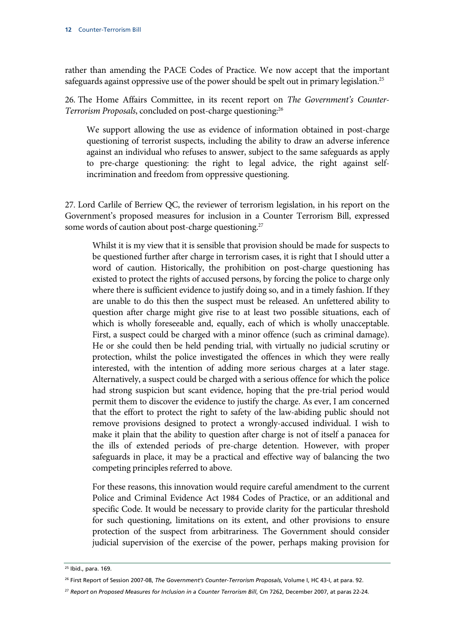rather than amending the PACE Codes of Practice. We now accept that the important safeguards against oppressive use of the power should be spelt out in primary legislation.<sup>25</sup>

26. The Home Affairs Committee, in its recent report on *The Government's Counter-Terrorism Proposals*, concluded on post-charge questioning:<sup>[26](#page-13-1)</sup>

We support allowing the use as evidence of information obtained in post-charge questioning of terrorist suspects, including the ability to draw an adverse inference against an individual who refuses to answer, subject to the same safeguards as apply to pre-charge questioning: the right to legal advice, the right against selfincrimination and freedom from oppressive questioning.

27. Lord Carlile of Berriew QC, the reviewer of terrorism legislation, in his report on the Government's proposed measures for inclusion in a Counter Terrorism Bill, expressed some words of caution about post-charge questioning.<sup>27</sup>

Whilst it is my view that it is sensible that provision should be made for suspects to be questioned further after charge in terrorism cases, it is right that I should utter a word of caution. Historically, the prohibition on post-charge questioning has existed to protect the rights of accused persons, by forcing the police to charge only where there is sufficient evidence to justify doing so, and in a timely fashion. If they are unable to do this then the suspect must be released. An unfettered ability to question after charge might give rise to at least two possible situations, each of which is wholly foreseeable and, equally, each of which is wholly unacceptable. First, a suspect could be charged with a minor offence (such as criminal damage). He or she could then be held pending trial, with virtually no judicial scrutiny or protection, whilst the police investigated the offences in which they were really interested, with the intention of adding more serious charges at a later stage. Alternatively, a suspect could be charged with a serious offence for which the police had strong suspicion but scant evidence, hoping that the pre-trial period would permit them to discover the evidence to justify the charge. As ever, I am concerned that the effort to protect the right to safety of the law-abiding public should not remove provisions designed to protect a wrongly-accused individual. I wish to make it plain that the ability to question after charge is not of itself a panacea for the ills of extended periods of pre-charge detention. However, with proper safeguards in place, it may be a practical and effective way of balancing the two competing principles referred to above.

For these reasons, this innovation would require careful amendment to the current Police and Criminal Evidence Act 1984 Codes of Practice, or an additional and specific Code. It would be necessary to provide clarity for the particular threshold for such questioning, limitations on its extent, and other provisions to ensure protection of the suspect from arbitrariness. The Government should consider judicial supervision of the exercise of the power, perhaps making provision for

<span id="page-13-0"></span><sup>25</sup> Ibid., para. 169.

<span id="page-13-1"></span><sup>26</sup> First Report of Session 2007-08, *The Government's Counter-Terrorism Proposals*, Volume I, HC 43-I, at para. 92.

<span id="page-13-2"></span><sup>27</sup> *Report on Proposed Measures for Inclusion in a Counter Terrorism Bill*, Cm 7262, December 2007, at paras 22-24.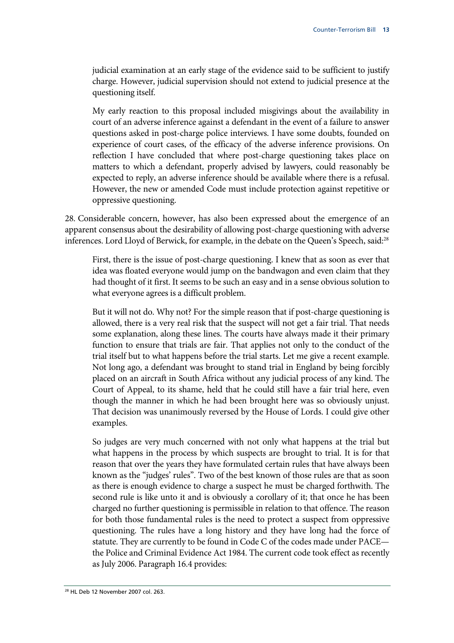judicial examination at an early stage of the evidence said to be sufficient to justify charge. However, judicial supervision should not extend to judicial presence at the questioning itself.

My early reaction to this proposal included misgivings about the availability in court of an adverse inference against a defendant in the event of a failure to answer questions asked in post-charge police interviews. I have some doubts, founded on experience of court cases, of the efficacy of the adverse inference provisions. On reflection I have concluded that where post-charge questioning takes place on matters to which a defendant, properly advised by lawyers, could reasonably be expected to reply, an adverse inference should be available where there is a refusal. However, the new or amended Code must include protection against repetitive or oppressive questioning.

28. Considerable concern, however, has also been expressed about the emergence of an apparent consensus about the desirability of allowing post-charge questioning with adverse inferences. Lord Lloyd of Berwick, for example, in the debate on the Queen's Speech, said:<sup>[28](#page-14-0)</sup>

First, there is the issue of post-charge questioning. I knew that as soon as ever that idea was floated everyone would jump on the bandwagon and even claim that they had thought of it first. It seems to be such an easy and in a sense obvious solution to what everyone agrees is a difficult problem.

But it will not do. Why not? For the simple reason that if post-charge questioning is allowed, there is a very real risk that the suspect will not get a fair trial. That needs some explanation, along these lines. The courts have always made it their primary function to ensure that trials are fair. That applies not only to the conduct of the trial itself but to what happens before the trial starts. Let me give a recent example. Not long ago, a defendant was brought to stand trial in England by being forcibly placed on an aircraft in South Africa without any judicial process of any kind. The Court of Appeal, to its shame, held that he could still have a fair trial here, even though the manner in which he had been brought here was so obviously unjust. That decision was unanimously reversed by the House of Lords. I could give other examples.

So judges are very much concerned with not only what happens at the trial but what happens in the process by which suspects are brought to trial. It is for that reason that over the years they have formulated certain rules that have always been known as the "judges' rules". Two of the best known of those rules are that as soon as there is enough evidence to charge a suspect he must be charged forthwith. The second rule is like unto it and is obviously a corollary of it; that once he has been charged no further questioning is permissible in relation to that offence. The reason for both those fundamental rules is the need to protect a suspect from oppressive questioning. The rules have a long history and they have long had the force of statute. They are currently to be found in Code C of the codes made under PACE the Police and Criminal Evidence Act 1984. The current code took effect as recently as July 2006. Paragraph 16.4 provides:

<span id="page-14-0"></span><sup>28</sup> HL Deb 12 November 2007 col. 263.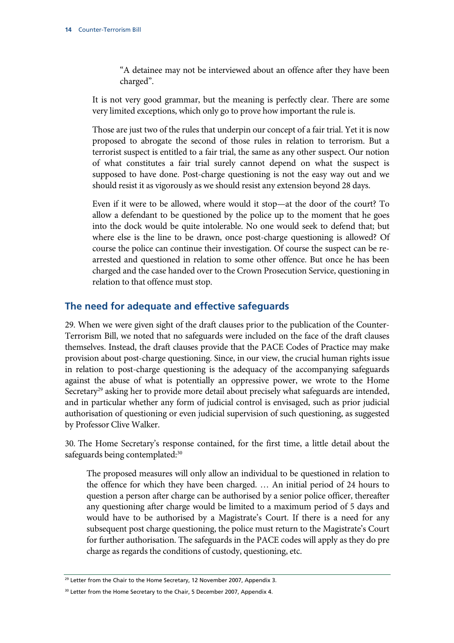"A detainee may not be interviewed about an offence after they have been charged".

<span id="page-15-0"></span>It is not very good grammar, but the meaning is perfectly clear. There are some very limited exceptions, which only go to prove how important the rule is.

Those are just two of the rules that underpin our concept of a fair trial. Yet it is now proposed to abrogate the second of those rules in relation to terrorism. But a terrorist suspect is entitled to a fair trial, the same as any other suspect. Our notion of what constitutes a fair trial surely cannot depend on what the suspect is supposed to have done. Post-charge questioning is not the easy way out and we should resist it as vigorously as we should resist any extension beyond 28 days.

Even if it were to be allowed, where would it stop—at the door of the court? To allow a defendant to be questioned by the police up to the moment that he goes into the dock would be quite intolerable. No one would seek to defend that; but where else is the line to be drawn, once post-charge questioning is allowed? Of course the police can continue their investigation. Of course the suspect can be rearrested and questioned in relation to some other offence. But once he has been charged and the case handed over to the Crown Prosecution Service, questioning in relation to that offence must stop.

# **The need for adequate and effective safeguards**

29. When we were given sight of the draft clauses prior to the publication of the Counter-Terrorism Bill, we noted that no safeguards were included on the face of the draft clauses themselves. Instead, the draft clauses provide that the PACE Codes of Practice may make provision about post-charge questioning. Since, in our view, the crucial human rights issue in relation to post-charge questioning is the adequacy of the accompanying safeguards against the abuse of what is potentially an oppressive power, we wrote to the Home Secretary<sup>29</sup> asking her to provide more detail about precisely what safeguards are intended, and in particular whether any form of judicial control is envisaged, such as prior judicial authorisation of questioning or even judicial supervision of such questioning, as suggested by Professor Clive Walker.

30. The Home Secretary's response contained, for the first time, a little detail about the safeguards being contemplated:<sup>[30](#page-15-2)</sup>

The proposed measures will only allow an individual to be questioned in relation to the offence for which they have been charged. … An initial period of 24 hours to question a person after charge can be authorised by a senior police officer, thereafter any questioning after charge would be limited to a maximum period of 5 days and would have to be authorised by a Magistrate's Court. If there is a need for any subsequent post charge questioning, the police must return to the Magistrate's Court for further authorisation. The safeguards in the PACE codes will apply as they do pre charge as regards the conditions of custody, questioning, etc.

<span id="page-15-1"></span><sup>&</sup>lt;sup>29</sup> Letter from the Chair to the Home Secretary, 12 November 2007, Appendix 3.

<span id="page-15-2"></span><sup>&</sup>lt;sup>30</sup> Letter from the Home Secretary to the Chair, 5 December 2007, Appendix 4.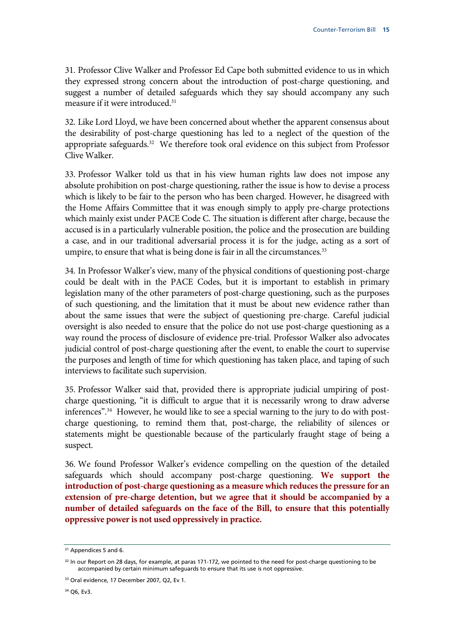31. Professor Clive Walker and Professor Ed Cape both submitted evidence to us in which they expressed strong concern about the introduction of post-charge questioning, and suggest a number of detailed safeguards which they say should accompany any such measure if it were introduced.<sup>31</sup>

32. Like Lord Lloyd, we have been concerned about whether the apparent consensus about the desirability of post-charge questioning has led to a neglect of the question of the appropriate safeguards.<sup>32</sup> We therefore took oral evidence on this subject from Professor Clive Walker.

33. Professor Walker told us that in his view human rights law does not impose any absolute prohibition on post-charge questioning, rather the issue is how to devise a process which is likely to be fair to the person who has been charged. However, he disagreed with the Home Affairs Committee that it was enough simply to apply pre-charge protections which mainly exist under PACE Code C. The situation is different after charge, because the accused is in a particularly vulnerable position, the police and the prosecution are building a case, and in our traditional adversarial process it is for the judge, acting as a sort of umpire, to ensure that what is being done is fair in all the circumstances.<sup>[33](#page-16-2)</sup>

34. In Professor Walker's view, many of the physical conditions of questioning post-charge could be dealt with in the PACE Codes, but it is important to establish in primary legislation many of the other parameters of post-charge questioning, such as the purposes of such questioning, and the limitation that it must be about new evidence rather than about the same issues that were the subject of questioning pre-charge. Careful judicial oversight is also needed to ensure that the police do not use post-charge questioning as a way round the process of disclosure of evidence pre-trial. Professor Walker also advocates judicial control of post-charge questioning after the event, to enable the court to supervise the purposes and length of time for which questioning has taken place, and taping of such interviews to facilitate such supervision.

35. Professor Walker said that, provided there is appropriate judicial umpiring of postcharge questioning, "it is difficult to argue that it is necessarily wrong to draw adverse inferences".<sup>34</sup> However, he would like to see a special warning to the jury to do with postcharge questioning, to remind them that, post-charge, the reliability of silences or statements might be questionable because of the particularly fraught stage of being a suspect.

36. We found Professor Walker's evidence compelling on the question of the detailed safeguards which should accompany post-charge questioning. **We support the introduction of post-charge questioning as a measure which reduces the pressure for an extension of pre-charge detention, but we agree that it should be accompanied by a number of detailed safeguards on the face of the Bill, to ensure that this potentially oppressive power is not used oppressively in practice.**

<span id="page-16-0"></span><sup>&</sup>lt;sup>31</sup> Appendices 5 and 6.

<span id="page-16-1"></span><sup>32</sup> In our Report on 28 days, for example, at paras 171-172, we pointed to the need for post-charge questioning to be accompanied by certain minimum safeguards to ensure that its use is not oppressive.

<span id="page-16-2"></span><sup>33</sup> Oral evidence, 17 December 2007, Q2, Ev 1.

<span id="page-16-3"></span><sup>34</sup> Q6, Ev3.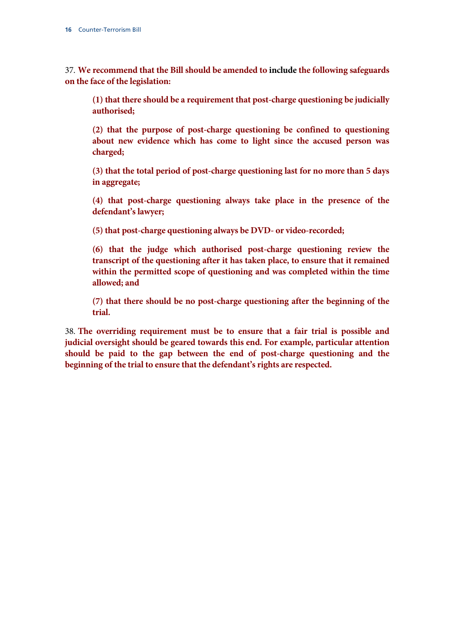37. **We recommend that the Bill should be amended to include the following safeguards on the face of the legislation:**

**(1) that there should be a requirement that post-charge questioning be judicially authorised;**

**(2) that the purpose of post-charge questioning be confined to questioning about new evidence which has come to light since the accused person was charged;**

**(3) that the total period of post-charge questioning last for no more than 5 days in aggregate;**

**(4) that post-charge questioning always take place in the presence of the defendant's lawyer;**

**(5) that post-charge questioning always be DVD- or video-recorded;** 

**(6) that the judge which authorised post-charge questioning review the transcript of the questioning after it has taken place, to ensure that it remained within the permitted scope of questioning and was completed within the time allowed; and**

**(7) that there should be no post-charge questioning after the beginning of the trial.**

38. **The overriding requirement must be to ensure that a fair trial is possible and judicial oversight should be geared towards this end. For example, particular attention should be paid to the gap between the end of post-charge questioning and the beginning of the trial to ensure that the defendant's rights are respected.**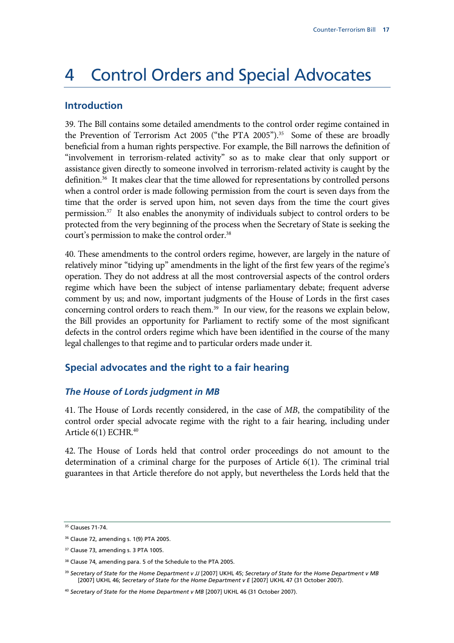# <span id="page-18-0"></span>4 Control Orders and Special Advocates

## **Introduction**

39. The Bill contains some detailed amendments to the control order regime contained in the Prevention of Terrorism Act 2005 ("the PTA 2005").<sup>35</sup> Some of these are broadly beneficial from a human rights perspective. For example, the Bill narrows the definition of "involvement in terrorism-related activity" so as to make clear that only support or assistance given directly to someone involved in terrorism-related activity is caught by the definition.<sup>36</sup> It makes clear that the time allowed for representations by controlled persons when a control order is made following permission from the court is seven days from the time that the order is served upon him, not seven days from the time the court gives permission.[37](#page-18-3) It also enables the anonymity of individuals subject to control orders to be protected from the very beginning of the process when the Secretary of State is seeking the court's permission to make the control order. [38](#page-18-4)

40. These amendments to the control orders regime, however, are largely in the nature of relatively minor "tidying up" amendments in the light of the first few years of the regime's operation. They do not address at all the most controversial aspects of the control orders regime which have been the subject of intense parliamentary debate; frequent adverse comment by us; and now, important judgments of the House of Lords in the first cases concerning control orders to reach them.<sup>39</sup> In our view, for the reasons we explain below, the Bill provides an opportunity for Parliament to rectify some of the most significant defects in the control orders regime which have been identified in the course of the many legal challenges to that regime and to particular orders made under it.

## **Special advocates and the right to a fair hearing**

### *The House of Lords judgment in MB*

41. The House of Lords recently considered, in the case of *MB*, the compatibility of the control order special advocate regime with the right to a fair hearing, including under Article 6(1) ECHR. [40](#page-18-6)

42. The House of Lords held that control order proceedings do not amount to the determination of a criminal charge for the purposes of Article 6(1). The criminal trial guarantees in that Article therefore do not apply, but nevertheless the Lords held that the

<span id="page-18-1"></span><sup>&</sup>lt;sup>35</sup> Clauses 71-74.

<span id="page-18-2"></span><sup>36</sup> Clause 72, amending s. 1(9) PTA 2005.

<span id="page-18-3"></span><sup>&</sup>lt;sup>37</sup> Clause 73, amending s. 3 PTA 1005.

<span id="page-18-4"></span><sup>38</sup> Clause 74, amending para. 5 of the Schedule to the PTA 2005.

<span id="page-18-5"></span><sup>39</sup> *Secretary of State for the Home Department v JJ* [2007] UKHL 45; *Secretary of State for the Home Department v MB* [2007] UKHL 46; *Secretary of State for the Home Department v E* [2007] UKHL 47 (31 October 2007).

<span id="page-18-6"></span><sup>40</sup> *Secretary of State for the Home Department v MB* [2007] UKHL 46 (31 October 2007).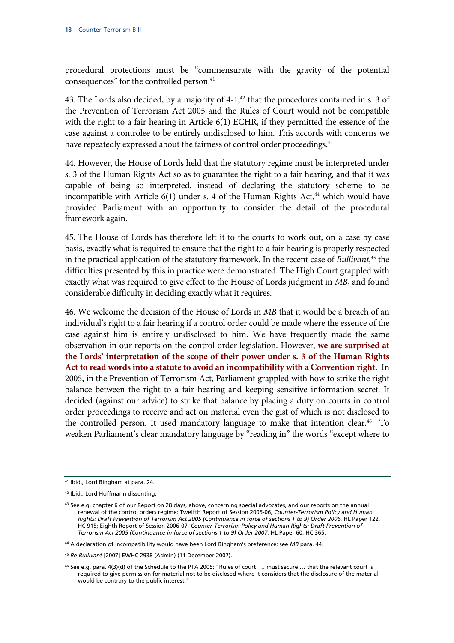procedural protections must be "commensurate with the gravity of the potential consequences" for the controlled person.<sup>41</sup>

43. The Lords also decided, by a majority of  $4-1$ ,<sup> $42$ </sup> that the procedures contained in s. 3 of the Prevention of Terrorism Act 2005 and the Rules of Court would not be compatible with the right to a fair hearing in Article 6(1) ECHR, if they permitted the essence of the case against a controlee to be entirely undisclosed to him. This accords with concerns we have repeatedly expressed about the fairness of control order proceedings. [43](#page-19-2)

44. However, the House of Lords held that the statutory regime must be interpreted under s. 3 of the Human Rights Act so as to guarantee the right to a fair hearing, and that it was capable of being so interpreted, instead of declaring the statutory scheme to be incompatible with Article  $6(1)$  under s. 4 of the Human Rights Act, $44$  which would have provided Parliament with an opportunity to consider the detail of the procedural framework again.

45. The House of Lords has therefore left it to the courts to work out, on a case by case basis, exactly what is required to ensure that the right to a fair hearing is properly respected in the practical application of the statutory framework. In the recent case of *Bullivant*, [45](#page-19-4) the difficulties presented by this in practice were demonstrated. The High Court grappled with exactly what was required to give effect to the House of Lords judgment in *MB*, and found considerable difficulty in deciding exactly what it requires.

46. We welcome the decision of the House of Lords in *MB* that it would be a breach of an individual's right to a fair hearing if a control order could be made where the essence of the case against him is entirely undisclosed to him. We have frequently made the same observation in our reports on the control order legislation. However, **we are surprised at the Lords' interpretation of the scope of their power under s. 3 of the Human Rights Act to read words into a statute to avoid an incompatibility with a Convention right.** In 2005, in the Prevention of Terrorism Act, Parliament grappled with how to strike the right balance between the right to a fair hearing and keeping sensitive information secret. It decided (against our advice) to strike that balance by placing a duty on courts in control order proceedings to receive and act on material even the gist of which is not disclosed to the controlled person. It used mandatory language to make that intention clear.<sup>46</sup> To weaken Parliament's clear mandatory language by "reading in" the words "except where to

<span id="page-19-0"></span><sup>41</sup> Ibid., Lord Bingham at para. 24.

<span id="page-19-1"></span><sup>42</sup> Ibid., Lord Hoffmann dissenting.

<span id="page-19-2"></span><sup>&</sup>lt;sup>43</sup> See e.g. chapter 6 of our Report on 28 days, above, concerning special advocates, and our reports on the annual renewal of the control orders regime: Twelfth Report of Session 2005-06, *Counter-Terrorism Policy and Human Rights: Draft Prevention of Terrorism Act 2005 (Continuance in force of sections 1 to 9) Order 2006*, HL Paper 122, HC 915; Eighth Report of Session 2006-07, *Counter-Terrorism Policy and Human Rights: Draft Prevention of Terrorism Act 2005 (Continuance in force of sections 1 to 9) Order 2007*, HL Paper 60, HC 365.

<span id="page-19-3"></span><sup>44</sup> A declaration of incompatibility would have been Lord Bingham's preference: see *MB* para. 44.

<span id="page-19-4"></span><sup>45</sup> *Re Bullivant* [2007] EWHC 2938 (Admin) (11 December 2007).

<span id="page-19-5"></span><sup>46</sup> See e.g. para. 4(3)(d) of the Schedule to the PTA 2005: "Rules of court … must secure … that the relevant court is required to give permission for material not to be disclosed where it considers that the disclosure of the material would be contrary to the public interest."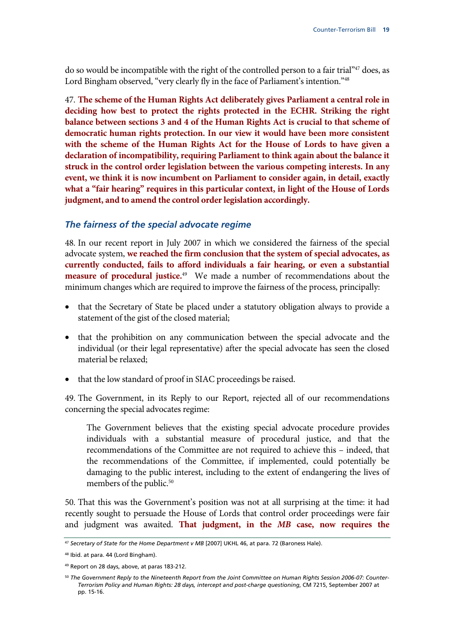<span id="page-20-0"></span>do so would be incompatible with the right of the controlled person to a fair trial"<sup>47</sup> does, as Lord Bingham observed, "very clearly fly in the face of Parliament's intention."<sup>48</sup>

47. **The scheme of the Human Rights Act deliberately gives Parliament a central role in deciding how best to protect the rights protected in the ECHR. Striking the right balance between sections 3 and 4 of the Human Rights Act is crucial to that scheme of democratic human rights protection. In our view it would have been more consistent with the scheme of the Human Rights Act for the House of Lords to have given a declaration of incompatibility, requiring Parliament to think again about the balance it struck in the control order legislation between the various competing interests. In any event, we think it is now incumbent on Parliament to consider again, in detail, exactly what a "fair hearing" requires in this particular context, in light of the House of Lords judgment, and to amend the control order legislation accordingly.**

### *The fairness of the special advocate regime*

48. In our recent report in July 2007 in which we considered the fairness of the special advocate system, **we reached the firm conclusion that the system of special advocates, as currently conducted, fails to afford individuals a fair hearing, or even a substantial measure of procedural justice.**[49](#page-20-3) We made a number of recommendations about the minimum changes which are required to improve the fairness of the process, principally:

- that the Secretary of State be placed under a statutory obligation always to provide a statement of the gist of the closed material;
- that the prohibition on any communication between the special advocate and the individual (or their legal representative) after the special advocate has seen the closed material be relaxed;
- that the low standard of proof in SIAC proceedings be raised.

49. The Government, in its Reply to our Report, rejected all of our recommendations concerning the special advocates regime:

The Government believes that the existing special advocate procedure provides individuals with a substantial measure of procedural justice, and that the recommendations of the Committee are not required to achieve this – indeed, that the recommendations of the Committee, if implemented, could potentially be damaging to the public interest, including to the extent of endangering the lives of members of the public.<sup>[50](#page-20-4)</sup>

50. That this was the Government's position was not at all surprising at the time: it had recently sought to persuade the House of Lords that control order proceedings were fair and judgment was awaited. **That judgment, in the** *MB* **case, now requires the** 

<span id="page-20-1"></span><sup>47</sup> *Secretary of State for the Home Department v MB* [2007] UKHL 46, at para. 72 (Baroness Hale).

<span id="page-20-2"></span><sup>48</sup> Ibid. at para. 44 (Lord Bingham).

<span id="page-20-3"></span><sup>49</sup> Report on 28 days, above, at paras 183-212.

<span id="page-20-4"></span><sup>50</sup> *The Government Reply to the Nineteenth Report from the Joint Committee on Human Rights Session 2006-07: Counter-Terrorism Policy and Human Rights: 28 days, intercept and post-charge questioning*, CM 7215, September 2007 at pp. 15-16.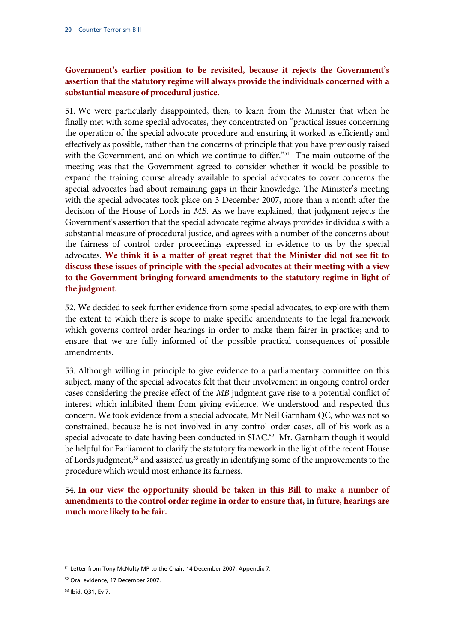## **Government's earlier position to be revisited, because it rejects the Government's assertion that the statutory regime will always provide the individuals concerned with a substantial measure of procedural justice.**

51. We were particularly disappointed, then, to learn from the Minister that when he finally met with some special advocates, they concentrated on "practical issues concerning the operation of the special advocate procedure and ensuring it worked as efficiently and effectively as possible, rather than the concerns of principle that you have previously raised with the Government, and on which we continue to differ."<sup>51</sup> The main outcome of the meeting was that the Government agreed to consider whether it would be possible to expand the training course already available to special advocates to cover concerns the special advocates had about remaining gaps in their knowledge. The Minister's meeting with the special advocates took place on 3 December 2007, more than a month after the decision of the House of Lords in *MB*. As we have explained, that judgment rejects the Government's assertion that the special advocate regime always provides individuals with a substantial measure of procedural justice, and agrees with a number of the concerns about the fairness of control order proceedings expressed in evidence to us by the special advocates. **We think it is a matter of great regret that the Minister did not see fit to discuss these issues of principle with the special advocates at their meeting with a view to the Government bringing forward amendments to the statutory regime in light of the judgment.**

52. We decided to seek further evidence from some special advocates, to explore with them the extent to which there is scope to make specific amendments to the legal framework which governs control order hearings in order to make them fairer in practice; and to ensure that we are fully informed of the possible practical consequences of possible amendments.

53. Although willing in principle to give evidence to a parliamentary committee on this subject, many of the special advocates felt that their involvement in ongoing control order cases considering the precise effect of the *MB* judgment gave rise to a potential conflict of interest which inhibited them from giving evidence. We understood and respected this concern. We took evidence from a special advocate, Mr Neil Garnham QC, who was not so constrained, because he is not involved in any control order cases, all of his work as a special advocate to date having been conducted in SIAC.<sup>52</sup> Mr. Garnham though it would be helpful for Parliament to clarify the statutory framework in the light of the recent House of Lords judgment, [53](#page-21-2) and assisted us greatly in identifying some of the improvements to the procedure which would most enhance its fairness.

54. **In our view the opportunity should be taken in this Bill to make a number of amendments to the control order regime in order to ensure that, in future, hearings are much more likely to be fair.**

<span id="page-21-0"></span><sup>51</sup> Letter from Tony McNulty MP to the Chair, 14 December 2007, Appendix 7.

<span id="page-21-1"></span><sup>52</sup> Oral evidence, 17 December 2007.

<span id="page-21-2"></span><sup>53</sup> Ibid. Q31, Ev 7.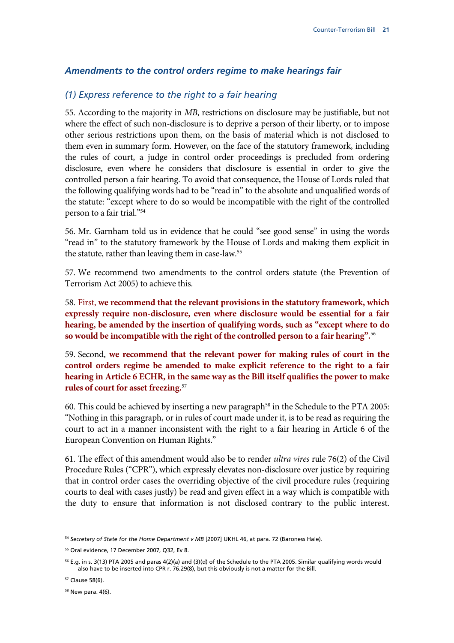### <span id="page-22-0"></span>*Amendments to the control orders regime to make hearings fair*

### *(1) Express reference to the right to a fair hearing*

55. According to the majority in *MB*, restrictions on disclosure may be justifiable, but not where the effect of such non-disclosure is to deprive a person of their liberty, or to impose other serious restrictions upon them, on the basis of material which is not disclosed to them even in summary form. However, on the face of the statutory framework, including the rules of court, a judge in control order proceedings is precluded from ordering disclosure, even where he considers that disclosure is essential in order to give the controlled person a fair hearing. To avoid that consequence, the House of Lords ruled that the following qualifying words had to be "read in" to the absolute and unqualified words of the statute: "except where to do so would be incompatible with the right of the controlled person to a fair trial.["54](#page-22-1)

56. Mr. Garnham told us in evidence that he could "see good sense" in using the words "read in" to the statutory framework by the House of Lords and making them explicit in the statute, rather than leaving them in case-law.[55](#page-22-2)

57. We recommend two amendments to the control orders statute (the Prevention of Terrorism Act 2005) to achieve this.

58. First, **we recommend that the relevant provisions in the statutory framework, which expressly require non-disclosure, even where disclosure would be essential for a fair hearing, be amended by the insertion of qualifying words, such as "except where to do so would be incompatible with the right of the controlled person to a fair hearing".** [56](#page-22-3)

59. Second, **we recommend that the relevant power for making rules of court in the control orders regime be amended to make explicit reference to the right to a fair hearing in Article 6 ECHR, in the same way as the Bill itself qualifies the power to make rules of court for asset freezing.**[57](#page-22-4) 

60. This could be achieved by inserting a new paragraph<sup>58</sup> in the Schedule to the PTA 2005: "Nothing in this paragraph, or in rules of court made under it, is to be read as requiring the court to act in a manner inconsistent with the right to a fair hearing in Article 6 of the European Convention on Human Rights."

61. The effect of this amendment would also be to render *ultra vires* rule 76(2) of the Civil Procedure Rules ("CPR"), which expressly elevates non-disclosure over justice by requiring that in control order cases the overriding objective of the civil procedure rules (requiring courts to deal with cases justly) be read and given effect in a way which is compatible with the duty to ensure that information is not disclosed contrary to the public interest.

<span id="page-22-1"></span><sup>&</sup>lt;sup>54</sup> Secretary of State for the Home Department v MB [2007] UKHL 46, at para. 72 (Baroness Hale).

<span id="page-22-2"></span><sup>55</sup> Oral evidence, 17 December 2007, Q32, Ev 8.

<span id="page-22-3"></span><sup>56</sup> E.g. in s. 3(13) PTA 2005 and paras 4(2)(a) and (3)(d) of the Schedule to the PTA 2005. Similar qualifying words would also have to be inserted into CPR r. 76.29(8), but this obviously is not a matter for the Bill.

<span id="page-22-4"></span><sup>57</sup> Clause 58(6).

<span id="page-22-5"></span><sup>58</sup> New para. 4(6).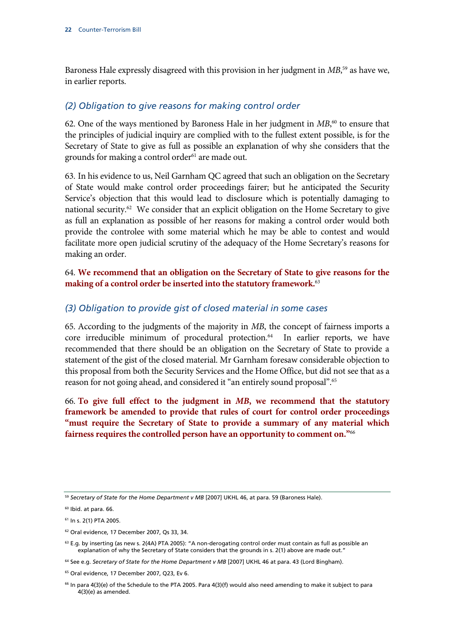Baroness Hale expressly disagreed with this provision in her judgment in *MB*, [59](#page-23-0) as have we, in earlier reports.

## *(2) Obligation to give reasons for making control order*

62. One of the ways mentioned by Baroness Hale in her judgment in  $MB$ ,<sup>60</sup> to ensure that the principles of judicial inquiry are complied with to the fullest extent possible, is for the Secretary of State to give as full as possible an explanation of why she considers that the grounds for making a control order<sup>61</sup> are made out.

63. In his evidence to us, Neil Garnham QC agreed that such an obligation on the Secretary of State would make control order proceedings fairer; but he anticipated the Security Service's objection that this would lead to disclosure which is potentially damaging to national security.[62](#page-23-3) We consider that an explicit obligation on the Home Secretary to give as full an explanation as possible of her reasons for making a control order would both provide the controlee with some material which he may be able to contest and would facilitate more open judicial scrutiny of the adequacy of the Home Secretary's reasons for making an order.

## 64. **We recommend that an obligation on the Secretary of State to give reasons for the making of a control order be inserted into the statutory framework.**[63](#page-23-4)

## *(3) Obligation to provide gist of closed material in some cases*

65. According to the judgments of the majority in *MB*, the concept of fairness imports a core irreducible minimum of procedural protection.<sup>64</sup> In earlier reports, we have recommended that there should be an obligation on the Secretary of State to provide a statement of the gist of the closed material. Mr Garnham foresaw considerable objection to this proposal from both the Security Services and the Home Office, but did not see that as a reason for not going ahead, and considered it "an entirely sound proposal".<sup>65</sup>

66. **To give full effect to the judgment in** *MB***, we recommend that the statutory framework be amended to provide that rules of court for control order proceedings "must require the Secretary of State to provide a summary of any material which fairness requires the controlled person have an opportunity to comment on."**[66](#page-23-7)

<span id="page-23-0"></span><sup>&</sup>lt;sup>59</sup> Secretary of State for the Home Department v MB [2007] UKHL 46, at para. 59 (Baroness Hale).

<span id="page-23-1"></span> $60$  Ibid. at para. 66.

<span id="page-23-2"></span><sup>61</sup> In s. 2(1) PTA 2005.

<span id="page-23-3"></span><sup>62</sup> Oral evidence, 17 December 2007, Qs 33, 34.

<span id="page-23-4"></span><sup>&</sup>lt;sup>63</sup> E.g. by inserting (as new s. 2(4A) PTA 2005): "A non-derogating control order must contain as full as possible an explanation of why the Secretary of State considers that the grounds in s. 2(1) above are made out."

<span id="page-23-5"></span><sup>64</sup> See e.g. *Secretary of State for the Home Department v MB* [2007] UKHL 46 at para. 43 (Lord Bingham).

<span id="page-23-6"></span><sup>65</sup> Oral evidence, 17 December 2007, Q23, Ev 6.

<span id="page-23-7"></span><sup>&</sup>lt;sup>66</sup> In para 4(3)(e) of the Schedule to the PTA 2005. Para 4(3)(f) would also need amending to make it subject to para 4(3)(e) as amended.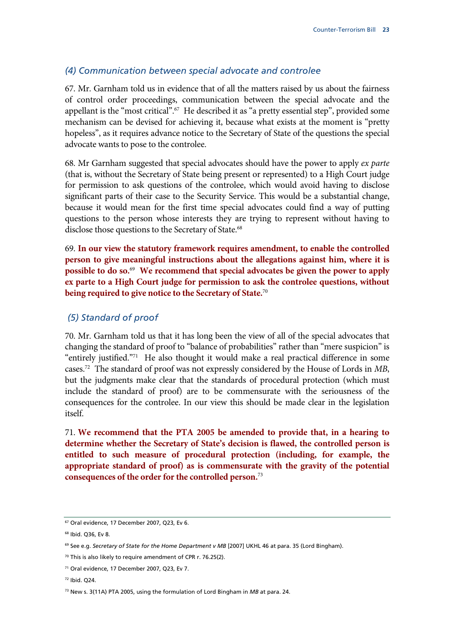### *(4) Communication between special advocate and controlee*

67. Mr. Garnham told us in evidence that of all the matters raised by us about the fairness of control order proceedings, communication between the special advocate and the appellant is the "most critical".<sup>67</sup> He described it as "a pretty essential step", provided some mechanism can be devised for achieving it, because what exists at the moment is "pretty hopeless", as it requires advance notice to the Secretary of State of the questions the special advocate wants to pose to the controlee.

68. Mr Garnham suggested that special advocates should have the power to apply *ex parte* (that is, without the Secretary of State being present or represented) to a High Court judge for permission to ask questions of the controlee, which would avoid having to disclose significant parts of their case to the Security Service. This would be a substantial change, because it would mean for the first time special advocates could find a way of putting questions to the person whose interests they are trying to represent without having to disclose those questions to the Secretary of State.<sup>[68](#page-24-1)</sup>

69. **In our view the statutory framework requires amendment, to enable the controlled person to give meaningful instructions about the allegations against him, where it is possible to do so.**[69](#page-24-2) **We recommend that special advocates be given the power to apply ex parte to a High Court judge for permission to ask the controlee questions, without being required to give notice to the Secretary of State.** [70](#page-24-3)

### *(5) Standard of proof*

70. Mr. Garnham told us that it has long been the view of all of the special advocates that changing the standard of proof to "balance of probabilities" rather than "mere suspicion" is "entirely justified.["71](#page-24-4) He also thought it would make a real practical difference in some cases[.72](#page-24-5) The standard of proof was not expressly considered by the House of Lords in *MB*, but the judgments make clear that the standards of procedural protection (which must include the standard of proof) are to be commensurate with the seriousness of the consequences for the controlee. In our view this should be made clear in the legislation itself.

71. **We recommend that the PTA 2005 be amended to provide that, in a hearing to determine whether the Secretary of State's decision is flawed, the controlled person is entitled to such measure of procedural protection (including, for example, the appropriate standard of proof) as is commensurate with the gravity of the potential consequences of the order for the controlled person.**[73](#page-24-6)

<span id="page-24-5"></span>72 Ibid. Q24.

<span id="page-24-0"></span><sup>67</sup> Oral evidence, 17 December 2007, Q23, Ev 6.

<span id="page-24-1"></span><sup>68</sup> Ibid. Q36, Ev 8.

<span id="page-24-2"></span><sup>69</sup> See e.g. *Secretary of State for the Home Department v MB* [2007] UKHL 46 at para. 35 (Lord Bingham).

<span id="page-24-3"></span> $70$  This is also likely to require amendment of CPR r. 76.25(2).

<span id="page-24-4"></span><sup>71</sup> Oral evidence, 17 December 2007, Q23, Ev 7.

<span id="page-24-6"></span><sup>73</sup> New s. 3(11A) PTA 2005, using the formulation of Lord Bingham in *MB* at para. 24.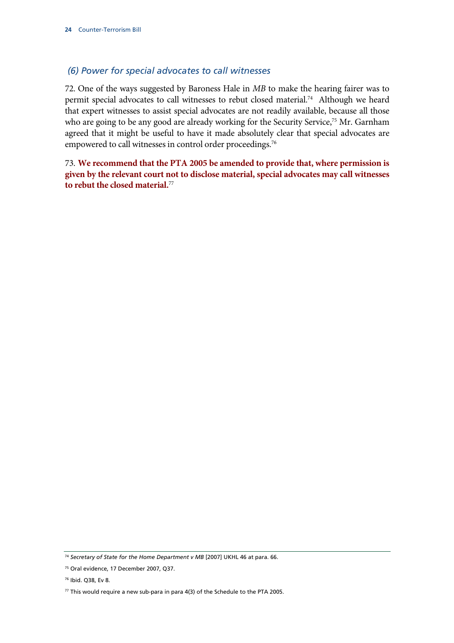### *(6) Power for special advocates to call witnesses*

72. One of the ways suggested by Baroness Hale in *MB* to make the hearing fairer was to permit special advocates to call witnesses to rebut closed material[.74](#page-25-0) Although we heard that expert witnesses to assist special advocates are not readily available, because all those who are going to be any good are already working for the Security Service,<sup>75</sup> Mr. Garnham agreed that it might be useful to have it made absolutely clear that special advocates are empowered to call witnesses in control order proceedings.<sup>[76](#page-25-2)</sup>

73. **We recommend that the PTA 2005 be amended to provide that, where permission is given by the relevant court not to disclose material, special advocates may call witnesses to rebut the closed material.**[77](#page-25-3)

<span id="page-25-0"></span><sup>74</sup> *Secretary of State for the Home Department v MB* [2007] UKHL 46 at para. 66.

<span id="page-25-1"></span><sup>75</sup> Oral evidence, 17 December 2007, Q37.

<span id="page-25-2"></span><sup>76</sup> Ibid. Q38, Ev 8.

<span id="page-25-3"></span> $77$  This would require a new sub-para in para 4(3) of the Schedule to the PTA 2005.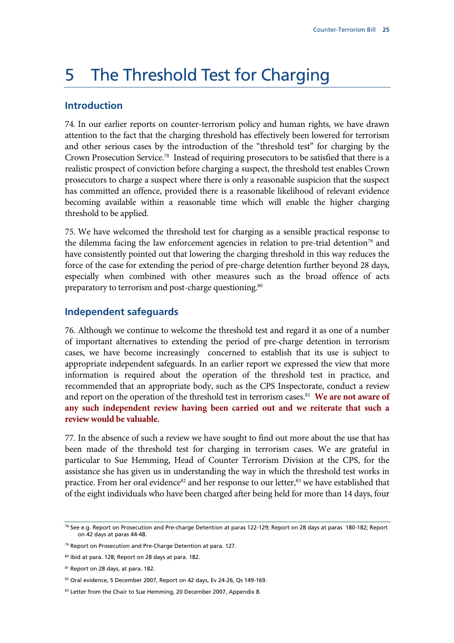# <span id="page-26-0"></span>5 The Threshold Test for Charging

## **Introduction**

74. In our earlier reports on counter-terrorism policy and human rights, we have drawn attention to the fact that the charging threshold has effectively been lowered for terrorism and other serious cases by the introduction of the "threshold test" for charging by the Crown Prosecution Service[.78](#page-26-1) Instead of requiring prosecutors to be satisfied that there is a realistic prospect of conviction before charging a suspect, the threshold test enables Crown prosecutors to charge a suspect where there is only a reasonable suspicion that the suspect has committed an offence, provided there is a reasonable likelihood of relevant evidence becoming available within a reasonable time which will enable the higher charging threshold to be applied.

75. We have welcomed the threshold test for charging as a sensible practical response to the dilemma facing the law enforcement agencies in relation to pre-trial detention<sup>79</sup> and have consistently pointed out that lowering the charging threshold in this way reduces the force of the case for extending the period of pre-charge detention further beyond 28 days, especially when combined with other measures such as the broad offence of acts preparatory to terrorism and post-charge questioning.<sup>[80](#page-26-3)</sup>

## **Independent safeguards**

76. Although we continue to welcome the threshold test and regard it as one of a number of important alternatives to extending the period of pre-charge detention in terrorism cases, we have become increasingly concerned to establish that its use is subject to appropriate independent safeguards. In an earlier report we expressed the view that more information is required about the operation of the threshold test in practice, and recommended that an appropriate body, such as the CPS Inspectorate, conduct a review and report on the operation of the threshold test in terrorism cases.<sup>81</sup> We are not aware of **any such independent review having been carried out and we reiterate that such a review would be valuable.**

77. In the absence of such a review we have sought to find out more about the use that has been made of the threshold test for charging in terrorism cases. We are grateful in particular to Sue Hemming, Head of Counter Terrorism Division at the CPS, for the assistance she has given us in understanding the way in which the threshold test works in practice. From her oral evidence<sup>82</sup> and her response to our letter,<sup>83</sup> we have established that of the eight individuals who have been charged after being held for more than 14 days, four

<span id="page-26-1"></span><sup>&</sup>lt;sup>78</sup> See e.g. Report on Prosecution and Pre-charge Detention at paras 122-129; Report on 28 days at paras 180-182; Report on 42 days at paras 44-48.

<span id="page-26-2"></span><sup>&</sup>lt;sup>79</sup> Report on Prosecution and Pre-Charge Detention at para. 127.

<span id="page-26-3"></span><sup>80</sup> Ibid at para. 128; Report on 28 days at para. 182.

<span id="page-26-4"></span><sup>81</sup> Report on 28 days, at para. 182.

<span id="page-26-5"></span><sup>82</sup> Oral evidence, 5 December 2007, Report on 42 days, Ev 24-26, Qs 149-169.

<span id="page-26-6"></span><sup>83</sup> Letter from the Chair to Sue Hemming, 20 December 2007, Appendix 8.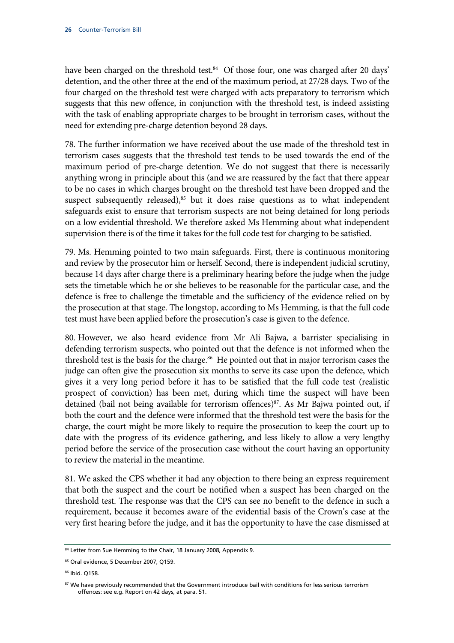have been charged on the threshold test.<sup>84</sup> Of those four, one was charged after 20 days' detention, and the other three at the end of the maximum period, at 27/28 days. Two of the four charged on the threshold test were charged with acts preparatory to terrorism which suggests that this new offence, in conjunction with the threshold test, is indeed assisting with the task of enabling appropriate charges to be brought in terrorism cases, without the need for extending pre-charge detention beyond 28 days.

78. The further information we have received about the use made of the threshold test in terrorism cases suggests that the threshold test tends to be used towards the end of the maximum period of pre-charge detention. We do not suggest that there is necessarily anything wrong in principle about this (and we are reassured by the fact that there appear to be no cases in which charges brought on the threshold test have been dropped and the suspect subsequently released), $85$  but it does raise questions as to what independent safeguards exist to ensure that terrorism suspects are not being detained for long periods on a low evidential threshold. We therefore asked Ms Hemming about what independent supervision there is of the time it takes for the full code test for charging to be satisfied.

79. Ms. Hemming pointed to two main safeguards. First, there is continuous monitoring and review by the prosecutor him or herself. Second, there is independent judicial scrutiny, because 14 days after charge there is a preliminary hearing before the judge when the judge sets the timetable which he or she believes to be reasonable for the particular case, and the defence is free to challenge the timetable and the sufficiency of the evidence relied on by the prosecution at that stage. The longstop, according to Ms Hemming, is that the full code test must have been applied before the prosecution's case is given to the defence.

80. However, we also heard evidence from Mr Ali Bajwa, a barrister specialising in defending terrorism suspects, who pointed out that the defence is not informed when the threshold test is the basis for the charge. [86](#page-27-2) He pointed out that in major terrorism cases the judge can often give the prosecution six months to serve its case upon the defence, which gives it a very long period before it has to be satisfied that the full code test (realistic prospect of conviction) has been met, during which time the suspect will have been detained (bail not being available for terrorism offences)<sup>87</sup>. As Mr Bajwa pointed out, if both the court and the defence were informed that the threshold test were the basis for the charge, the court might be more likely to require the prosecution to keep the court up to date with the progress of its evidence gathering, and less likely to allow a very lengthy period before the service of the prosecution case without the court having an opportunity to review the material in the meantime.

81. We asked the CPS whether it had any objection to there being an express requirement that both the suspect and the court be notified when a suspect has been charged on the threshold test. The response was that the CPS can see no benefit to the defence in such a requirement, because it becomes aware of the evidential basis of the Crown's case at the very first hearing before the judge, and it has the opportunity to have the case dismissed at

<span id="page-27-0"></span><sup>84</sup> Letter from Sue Hemming to the Chair, 18 January 2008, Appendix 9.

<span id="page-27-1"></span><sup>85</sup> Oral evidence, 5 December 2007, Q159.

<span id="page-27-2"></span><sup>86</sup> Ibid. Q158.

<span id="page-27-3"></span><sup>87</sup> We have previously recommended that the Government introduce bail with conditions for less serious terrorism offences: see e.g. Report on 42 days, at para. 51.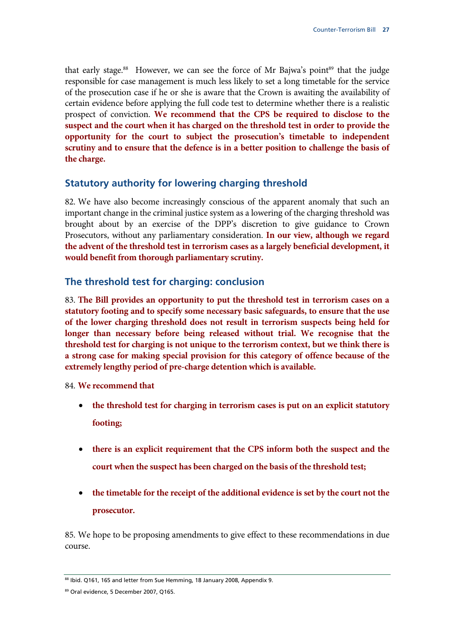<span id="page-28-0"></span>that early stage.<sup>88</sup> However, we can see the force of Mr Bajwa's point<sup>89</sup> that the judge responsible for case management is much less likely to set a long timetable for the service of the prosecution case if he or she is aware that the Crown is awaiting the availability of certain evidence before applying the full code test to determine whether there is a realistic prospect of conviction. **We recommend that the CPS be required to disclose to the suspect and the court when it has charged on the threshold test in order to provide the opportunity for the court to subject the prosecution's timetable to independent scrutiny and to ensure that the defence is in a better position to challenge the basis of the charge.**

## **Statutory authority for lowering charging threshold**

82. We have also become increasingly conscious of the apparent anomaly that such an important change in the criminal justice system as a lowering of the charging threshold was brought about by an exercise of the DPP's discretion to give guidance to Crown Prosecutors, without any parliamentary consideration. **In our view, although we regard the advent of the threshold test in terrorism cases as a largely beneficial development, it would benefit from thorough parliamentary scrutiny.**

## **The threshold test for charging: conclusion**

83. **The Bill provides an opportunity to put the threshold test in terrorism cases on a statutory footing and to specify some necessary basic safeguards, to ensure that the use of the lower charging threshold does not result in terrorism suspects being held for longer than necessary before being released without trial. We recognise that the threshold test for charging is not unique to the terrorism context, but we think there is a strong case for making special provision for this category of offence because of the extremely lengthy period of pre-charge detention which is available.**

84. **We recommend that**

- **the threshold test for charging in terrorism cases is put on an explicit statutory footing;**
- **there is an explicit requirement that the CPS inform both the suspect and the court when the suspect has been charged on the basis of the threshold test;**
- **the timetable for the receipt of the additional evidence is set by the court not the prosecutor.**

85. We hope to be proposing amendments to give effect to these recommendations in due course.

<span id="page-28-1"></span><sup>88</sup> Ibid. Q161, 165 and letter from Sue Hemming, 18 January 2008, Appendix 9.

<span id="page-28-2"></span><sup>89</sup> Oral evidence, 5 December 2007, Q165.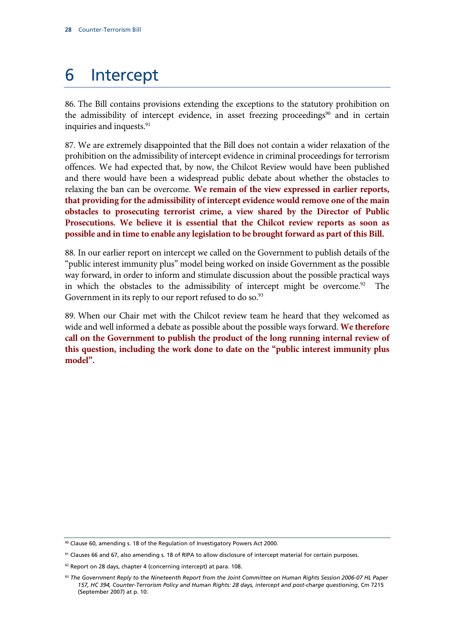# <span id="page-29-0"></span>6 Intercept

86. The Bill contains provisions extending the exceptions to the statutory prohibition on the admissibility of intercept evidence, in asset freezing proceedings<sup>90</sup> and in certain inquiries and inquests. [91](#page-29-2)

87. We are extremely disappointed that the Bill does not contain a wider relaxation of the prohibition on the admissibility of intercept evidence in criminal proceedings for terrorism offences. We had expected that, by now, the Chilcot Review would have been published and there would have been a widespread public debate about whether the obstacles to relaxing the ban can be overcome. **We remain of the view expressed in earlier reports, that providing for the admissibility of intercept evidence would remove one of the main obstacles to prosecuting terrorist crime, a view shared by the Director of Public Prosecutions. We believe it is essential that the Chilcot review reports as soon as possible and in time to enable any legislation to be brought forward as part of this Bill.**

88. In our earlier report on intercept we called on the Government to publish details of the "public interest immunity plus" model being worked on inside Government as the possible way forward, in order to inform and stimulate discussion about the possible practical ways in which the obstacles to the admissibility of intercept might be overcome.<sup>92</sup> The Government in its reply to our report refused to do so.<sup>93</sup>

89. When our Chair met with the Chilcot review team he heard that they welcomed as wide and well informed a debate as possible about the possible ways forward. **We therefore call on the Government to publish the product of the long running internal review of this question, including the work done to date on the "public interest immunity plus model".**

<span id="page-29-1"></span><sup>90</sup> Clause 60, amending s. 18 of the Regulation of Investigatory Powers Act 2000.

<span id="page-29-2"></span><sup>91</sup> Clauses 66 and 67, also amending s. 18 of RIPA to allow disclosure of intercept material for certain purposes.

<span id="page-29-3"></span> $92$  Report on 28 days, chapter 4 (concerning intercept) at para. 108.

<span id="page-29-4"></span><sup>93</sup> *The Government Reply to the Nineteenth Report from the Joint Committee on Human Rights Session 2006-07 HL Paper 157, HC 394, Counter-Terrorism Policy and Human Rights: 28 days, intercept and post-charge questioning*, Cm 7215 (September 2007) at p. 10.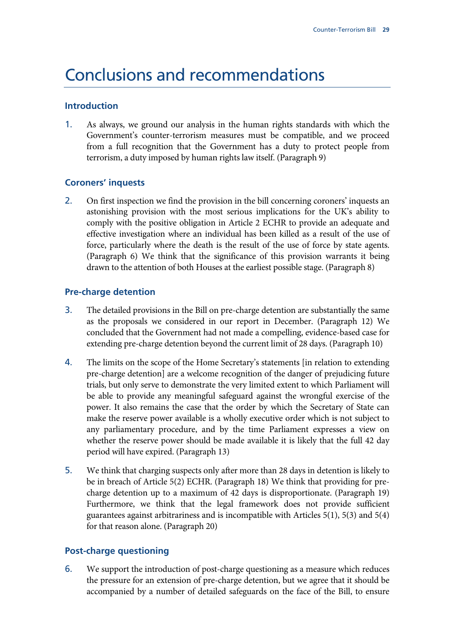# <span id="page-30-0"></span>Conclusions and recommendations

### **Introduction**

1. As always, we ground our analysis in the human rights standards with which the Government's counter-terrorism measures must be compatible, and we proceed from a full recognition that the Government has a duty to protect people from terrorism, a duty imposed by human rights law itself. (Paragraph 9)

### **Coroners' inquests**

2. On first inspection we find the provision in the bill concerning coroners' inquests an astonishing provision with the most serious implications for the UK's ability to comply with the positive obligation in Article 2 ECHR to provide an adequate and effective investigation where an individual has been killed as a result of the use of force, particularly where the death is the result of the use of force by state agents. (Paragraph 6) We think that the significance of this provision warrants it being drawn to the attention of both Houses at the earliest possible stage. (Paragraph 8)

### **Pre-charge detention**

- 3. The detailed provisions in the Bill on pre-charge detention are substantially the same as the proposals we considered in our report in December. (Paragraph 12) We concluded that the Government had not made a compelling, evidence-based case for extending pre-charge detention beyond the current limit of 28 days. (Paragraph 10)
- 4. The limits on the scope of the Home Secretary's statements [in relation to extending pre-charge detention] are a welcome recognition of the danger of prejudicing future trials, but only serve to demonstrate the very limited extent to which Parliament will be able to provide any meaningful safeguard against the wrongful exercise of the power. It also remains the case that the order by which the Secretary of State can make the reserve power available is a wholly executive order which is not subject to any parliamentary procedure, and by the time Parliament expresses a view on whether the reserve power should be made available it is likely that the full 42 day period will have expired. (Paragraph 13)
- 5. We think that charging suspects only after more than 28 days in detention is likely to be in breach of Article 5(2) ECHR. (Paragraph 18) We think that providing for precharge detention up to a maximum of 42 days is disproportionate. (Paragraph 19) Furthermore, we think that the legal framework does not provide sufficient guarantees against arbitrariness and is incompatible with Articles 5(1), 5(3) and 5(4) for that reason alone. (Paragraph 20)

### **Post-charge questioning**

6. We support the introduction of post-charge questioning as a measure which reduces the pressure for an extension of pre-charge detention, but we agree that it should be accompanied by a number of detailed safeguards on the face of the Bill, to ensure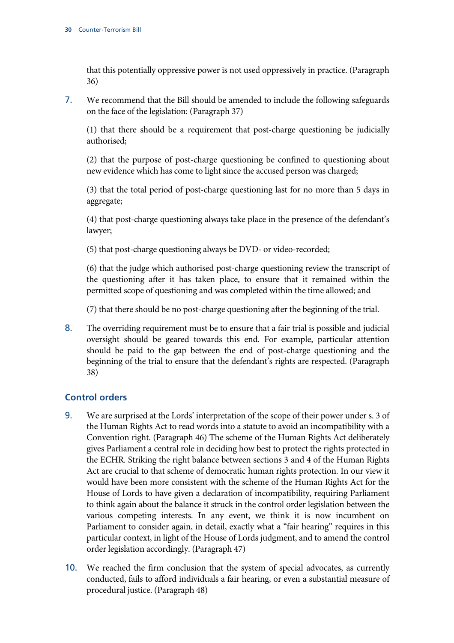that this potentially oppressive power is not used oppressively in practice. (Paragraph 36)

7. We recommend that the Bill should be amended to include the following safeguards on the face of the legislation: (Paragraph 37)

(1) that there should be a requirement that post-charge questioning be judicially authorised;

(2) that the purpose of post-charge questioning be confined to questioning about new evidence which has come to light since the accused person was charged;

(3) that the total period of post-charge questioning last for no more than 5 days in aggregate;

(4) that post-charge questioning always take place in the presence of the defendant's lawyer;

(5) that post-charge questioning always be DVD- or video-recorded;

(6) that the judge which authorised post-charge questioning review the transcript of the questioning after it has taken place, to ensure that it remained within the permitted scope of questioning and was completed within the time allowed; and

(7) that there should be no post-charge questioning after the beginning of the trial.

8. The overriding requirement must be to ensure that a fair trial is possible and judicial oversight should be geared towards this end. For example, particular attention should be paid to the gap between the end of post-charge questioning and the beginning of the trial to ensure that the defendant's rights are respected. (Paragraph 38)

## **Control orders**

- 9. We are surprised at the Lords' interpretation of the scope of their power under s. 3 of the Human Rights Act to read words into a statute to avoid an incompatibility with a Convention right. (Paragraph 46) The scheme of the Human Rights Act deliberately gives Parliament a central role in deciding how best to protect the rights protected in the ECHR. Striking the right balance between sections 3 and 4 of the Human Rights Act are crucial to that scheme of democratic human rights protection. In our view it would have been more consistent with the scheme of the Human Rights Act for the House of Lords to have given a declaration of incompatibility, requiring Parliament to think again about the balance it struck in the control order legislation between the various competing interests. In any event, we think it is now incumbent on Parliament to consider again, in detail, exactly what a "fair hearing" requires in this particular context, in light of the House of Lords judgment, and to amend the control order legislation accordingly. (Paragraph 47)
- 10. We reached the firm conclusion that the system of special advocates, as currently conducted, fails to afford individuals a fair hearing, or even a substantial measure of procedural justice. (Paragraph 48)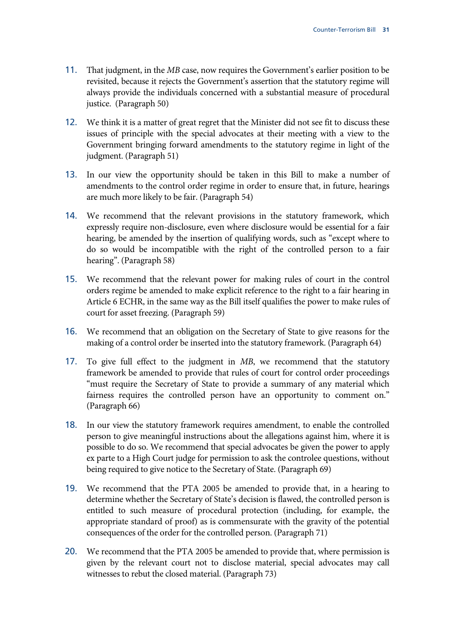- 11. That judgment, in the *MB* case, now requires the Government's earlier position to be revisited, because it rejects the Government's assertion that the statutory regime will always provide the individuals concerned with a substantial measure of procedural justice. (Paragraph 50)
- 12. We think it is a matter of great regret that the Minister did not see fit to discuss these issues of principle with the special advocates at their meeting with a view to the Government bringing forward amendments to the statutory regime in light of the judgment. (Paragraph 51)
- 13. In our view the opportunity should be taken in this Bill to make a number of amendments to the control order regime in order to ensure that, in future, hearings are much more likely to be fair. (Paragraph 54)
- 14. We recommend that the relevant provisions in the statutory framework, which expressly require non-disclosure, even where disclosure would be essential for a fair hearing, be amended by the insertion of qualifying words, such as "except where to do so would be incompatible with the right of the controlled person to a fair hearing". (Paragraph 58)
- 15. We recommend that the relevant power for making rules of court in the control orders regime be amended to make explicit reference to the right to a fair hearing in Article 6 ECHR, in the same way as the Bill itself qualifies the power to make rules of court for asset freezing. (Paragraph 59)
- 16. We recommend that an obligation on the Secretary of State to give reasons for the making of a control order be inserted into the statutory framework. (Paragraph 64)
- 17. To give full effect to the judgment in *MB*, we recommend that the statutory framework be amended to provide that rules of court for control order proceedings "must require the Secretary of State to provide a summary of any material which fairness requires the controlled person have an opportunity to comment on." (Paragraph 66)
- 18. In our view the statutory framework requires amendment, to enable the controlled person to give meaningful instructions about the allegations against him, where it is possible to do so. We recommend that special advocates be given the power to apply ex parte to a High Court judge for permission to ask the controlee questions, without being required to give notice to the Secretary of State. (Paragraph 69)
- 19. We recommend that the PTA 2005 be amended to provide that, in a hearing to determine whether the Secretary of State's decision is flawed, the controlled person is entitled to such measure of procedural protection (including, for example, the appropriate standard of proof) as is commensurate with the gravity of the potential consequences of the order for the controlled person. (Paragraph 71)
- 20. We recommend that the PTA 2005 be amended to provide that, where permission is given by the relevant court not to disclose material, special advocates may call witnesses to rebut the closed material. (Paragraph 73)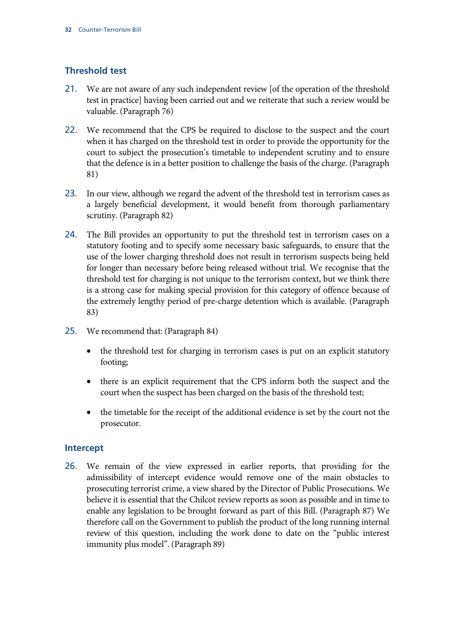# **Threshold test**

- 21. We are not aware of any such independent review [of the operation of the threshold test in practice] having been carried out and we reiterate that such a review would be valuable. (Paragraph 76)
- 22. We recommend that the CPS be required to disclose to the suspect and the court when it has charged on the threshold test in order to provide the opportunity for the court to subject the prosecution's timetable to independent scrutiny and to ensure that the defence is in a better position to challenge the basis of the charge. (Paragraph 81)
- 23. In our view, although we regard the advent of the threshold test in terrorism cases as a largely beneficial development, it would benefit from thorough parliamentary scrutiny. (Paragraph 82)
- 24. The Bill provides an opportunity to put the threshold test in terrorism cases on a statutory footing and to specify some necessary basic safeguards, to ensure that the use of the lower charging threshold does not result in terrorism suspects being held for longer than necessary before being released without trial. We recognise that the threshold test for charging is not unique to the terrorism context, but we think there is a strong case for making special provision for this category of offence because of the extremely lengthy period of pre-charge detention which is available. (Paragraph 83)
- 25. We recommend that: (Paragraph 84)
	- the threshold test for charging in terrorism cases is put on an explicit statutory footing;
	- there is an explicit requirement that the CPS inform both the suspect and the court when the suspect has been charged on the basis of the threshold test;
	- the timetable for the receipt of the additional evidence is set by the court not the prosecutor.

## **Intercept**

26. We remain of the view expressed in earlier reports, that providing for the admissibility of intercept evidence would remove one of the main obstacles to prosecuting terrorist crime, a view shared by the Director of Public Prosecutions. We believe it is essential that the Chilcot review reports as soon as possible and in time to enable any legislation to be brought forward as part of this Bill. (Paragraph 87) We therefore call on the Government to publish the product of the long running internal review of this question, including the work done to date on the "public interest immunity plus model". (Paragraph 89)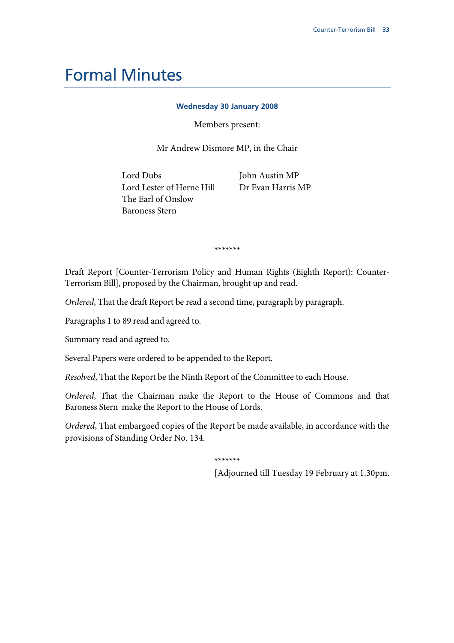# <span id="page-34-0"></span>Formal Minutes

### **Wednesday 30 January 2008**

Members present:

Mr Andrew Dismore MP, in the Chair

Lord Dubs Lord Lester of Herne Hill The Earl of Onslow Baroness Stern

John Austin MP Dr Evan Harris MP

\*\*\*\*\*\*\*

Draft Report [Counter-Terrorism Policy and Human Rights (Eighth Report): Counter-Terrorism Bill], proposed by the Chairman, brought up and read.

*Ordered*, That the draft Report be read a second time, paragraph by paragraph.

Paragraphs 1 to 89 read and agreed to.

Summary read and agreed to.

Several Papers were ordered to be appended to the Report.

*Resolved*, That the Report be the Ninth Report of the Committee to each House.

*Ordered*, That the Chairman make the Report to the House of Commons and that Baroness Stern make the Report to the House of Lords.

*Ordered*, That embargoed copies of the Report be made available, in accordance with the provisions of Standing Order No. 134.

\*\*\*\*\*\*\*

[Adjourned till Tuesday 19 February at 1.30pm.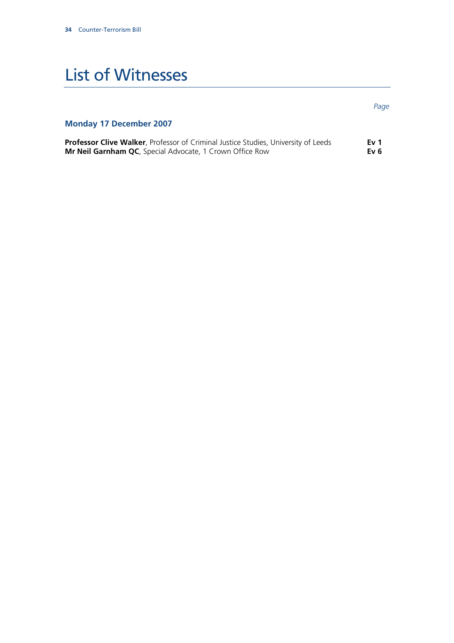# <span id="page-35-0"></span>List of Witnesses

# **Monday 17 December 2007**

| <b>Professor Clive Walker, Professor of Criminal Justice Studies, University of Leeds</b> | Ev 1 |
|-------------------------------------------------------------------------------------------|------|
| Mr Neil Garnham QC, Special Advocate, 1 Crown Office Row                                  | Fv 6 |

## *Page*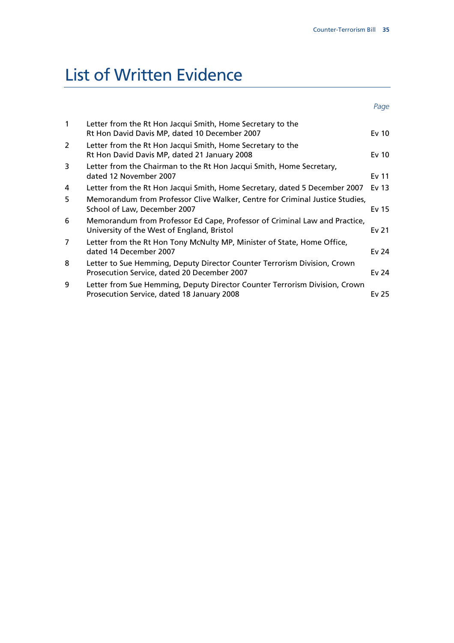# <span id="page-36-0"></span>List of Written Evidence

## *Page*

| $\mathbf{1}$   | Letter from the Rt Hon Jacqui Smith, Home Secretary to the<br>Rt Hon David Davis MP, dated 10 December 2007              | Ev <sub>10</sub> |
|----------------|--------------------------------------------------------------------------------------------------------------------------|------------------|
| $\mathbf{2}$   | Letter from the Rt Hon Jacqui Smith, Home Secretary to the<br>Rt Hon David Davis MP, dated 21 January 2008               | Ev <sub>10</sub> |
| 3              | Letter from the Chairman to the Rt Hon Jacqui Smith, Home Secretary,<br>dated 12 November 2007                           | Ev 11            |
| 4              | Letter from the Rt Hon Jacqui Smith, Home Secretary, dated 5 December 2007                                               | Ev 13            |
| 5              | Memorandum from Professor Clive Walker, Centre for Criminal Justice Studies,<br>School of Law, December 2007             | Ev 15            |
| 6              | Memorandum from Professor Ed Cape, Professor of Criminal Law and Practice,<br>University of the West of England, Bristol | Ev <sub>21</sub> |
| $\overline{7}$ | Letter from the Rt Hon Tony McNulty MP, Minister of State, Home Office,<br>dated 14 December 2007                        | Ev 24            |
| 8              | Letter to Sue Hemming, Deputy Director Counter Terrorism Division, Crown<br>Prosecution Service, dated 20 December 2007  | Ev 24            |
| 9              | Letter from Sue Hemming, Deputy Director Counter Terrorism Division, Crown<br>Prosecution Service, dated 18 January 2008 | Ev 25            |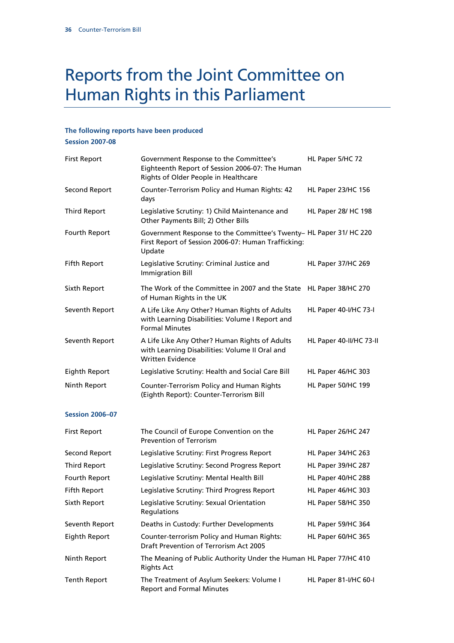# <span id="page-37-0"></span>Reports from the Joint Committee on Human Rights in this Parliament

# **The following reports have been produced**

### **Session 2007-08**

| <b>First Report</b>    | Government Response to the Committee's<br>Eighteenth Report of Session 2006-07: The Human<br>Rights of Older People in Healthcare   | HL Paper 5/HC 72          |
|------------------------|-------------------------------------------------------------------------------------------------------------------------------------|---------------------------|
| Second Report          | Counter-Terrorism Policy and Human Rights: 42<br>days                                                                               | HL Paper 23/HC 156        |
| Third Report           | Legislative Scrutiny: 1) Child Maintenance and<br>Other Payments Bill; 2) Other Bills                                               | HL Paper 28/ HC 198       |
| Fourth Report          | Government Response to the Committee's Twenty- HL Paper 31/ HC 220<br>First Report of Session 2006-07: Human Trafficking:<br>Update |                           |
| <b>Fifth Report</b>    | Legislative Scrutiny: Criminal Justice and<br><b>Immigration Bill</b>                                                               | HL Paper 37/HC 269        |
| Sixth Report           | The Work of the Committee in 2007 and the State HL Paper 38/HC 270<br>of Human Rights in the UK                                     |                           |
| Seventh Report         | A Life Like Any Other? Human Rights of Adults<br>with Learning Disabilities: Volume I Report and<br><b>Formal Minutes</b>           | HL Paper 40-I/HC 73-I     |
| Seventh Report         | A Life Like Any Other? Human Rights of Adults<br>with Learning Disabilities: Volume II Oral and<br><b>Written Evidence</b>          | HL Paper 40-II/HC 73-II   |
| Eighth Report          | Legislative Scrutiny: Health and Social Care Bill                                                                                   | HL Paper 46/HC 303        |
| Ninth Report           | Counter-Terrorism Policy and Human Rights<br>(Eighth Report): Counter-Terrorism Bill                                                | HL Paper 50/HC 199        |
| <b>Session 2006-07</b> |                                                                                                                                     |                           |
| <b>First Report</b>    | The Council of Europe Convention on the<br><b>Prevention of Terrorism</b>                                                           | HL Paper 26/HC 247        |
| Second Report          | Legislative Scrutiny: First Progress Report                                                                                         | HL Paper 34/HC 263        |
| <b>Third Report</b>    | Legislative Scrutiny: Second Progress Report                                                                                        | <b>HL Paper 39/HC 287</b> |
| Fourth Report          | Legislative Scrutiny: Mental Health Bill                                                                                            | HL Paper 40/HC 288        |
| Fifth Report           | Legislative Scrutiny: Third Progress Report                                                                                         | HL Paper 46/HC 303        |
| Sixth Report           | Legislative Scrutiny: Sexual Orientation<br>Regulations                                                                             | <b>HL Paper 58/HC 350</b> |
| Seventh Report         | Deaths in Custody: Further Developments                                                                                             | HL Paper 59/HC 364        |
| Eighth Report          | Counter-terrorism Policy and Human Rights:<br>Draft Prevention of Terrorism Act 2005                                                | HL Paper 60/HC 365        |
| Ninth Report           | The Meaning of Public Authority Under the Human HL Paper 77/HC 410<br><b>Rights Act</b>                                             |                           |
| <b>Tenth Report</b>    | The Treatment of Asylum Seekers: Volume I                                                                                           | HL Paper 81-I/HC 60-I     |

Report and Formal Minutes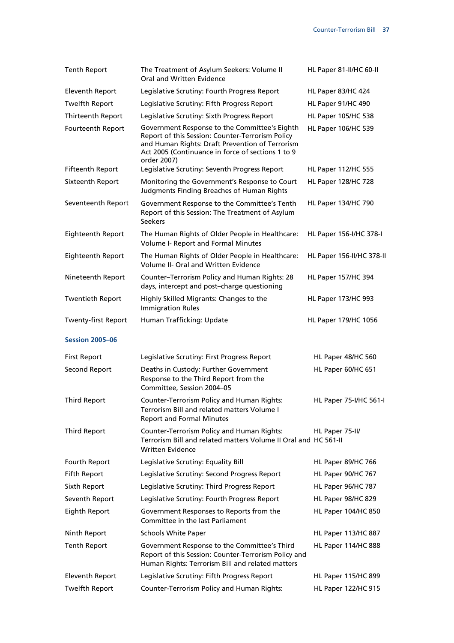| <b>Tenth Report</b>        | The Treatment of Asylum Seekers: Volume II<br>Oral and Written Evidence                                                                                                                                                  | HL Paper 81-II/HC 60-II    |
|----------------------------|--------------------------------------------------------------------------------------------------------------------------------------------------------------------------------------------------------------------------|----------------------------|
| <b>Eleventh Report</b>     | Legislative Scrutiny: Fourth Progress Report                                                                                                                                                                             | HL Paper 83/HC 424         |
| <b>Twelfth Report</b>      | Legislative Scrutiny: Fifth Progress Report                                                                                                                                                                              | HL Paper 91/HC 490         |
| Thirteenth Report          | Legislative Scrutiny: Sixth Progress Report                                                                                                                                                                              | HL Paper 105/HC 538        |
| Fourteenth Report          | Government Response to the Committee's Eighth<br>Report of this Session: Counter-Terrorism Policy<br>and Human Rights: Draft Prevention of Terrorism<br>Act 2005 (Continuance in force of sections 1 to 9<br>order 2007) | HL Paper 106/HC 539        |
| <b>Fifteenth Report</b>    | Legislative Scrutiny: Seventh Progress Report                                                                                                                                                                            | HL Paper 112/HC 555        |
| Sixteenth Report           | Monitoring the Government's Response to Court<br>Judgments Finding Breaches of Human Rights                                                                                                                              | HL Paper 128/HC 728        |
| Seventeenth Report         | Government Response to the Committee's Tenth<br>Report of this Session: The Treatment of Asylum<br><b>Seekers</b>                                                                                                        | HL Paper 134/HC 790        |
| Eighteenth Report          | The Human Rights of Older People in Healthcare:<br>Volume I- Report and Formal Minutes                                                                                                                                   | HL Paper 156-I/HC 378-I    |
| Eighteenth Report          | The Human Rights of Older People in Healthcare:<br><b>Volume II- Oral and Written Evidence</b>                                                                                                                           | HL Paper 156-II/HC 378-II  |
| Nineteenth Report          | Counter-Terrorism Policy and Human Rights: 28<br>days, intercept and post-charge questioning                                                                                                                             | HL Paper 157/HC 394        |
| <b>Twentieth Report</b>    | Highly Skilled Migrants: Changes to the<br><b>Immigration Rules</b>                                                                                                                                                      | HL Paper 173/HC 993        |
| <b>Twenty-first Report</b> | Human Trafficking: Update                                                                                                                                                                                                | HL Paper 179/HC 1056       |
| <b>Session 2005-06</b>     |                                                                                                                                                                                                                          |                            |
| <b>First Report</b>        | Legislative Scrutiny: First Progress Report                                                                                                                                                                              | HL Paper 48/HC 560         |
| Second Report              | Deaths in Custody: Further Government<br>Response to the Third Report from the<br>Committee, Session 2004-05                                                                                                             | HL Paper 60/HC 651         |
| <b>Third Report</b>        | Counter-Terrorism Policy and Human Rights:<br>Terrorism Bill and related matters Volume I<br><b>Report and Formal Minutes</b>                                                                                            | HL Paper 75-I/HC 561-I     |
| <b>Third Report</b>        | <b>Counter-Terrorism Policy and Human Rights:</b><br>Terrorism Bill and related matters Volume II Oral and HC 561-II<br><b>Written Evidence</b>                                                                          | HL Paper 75-II/            |
| Fourth Report              | Legislative Scrutiny: Equality Bill                                                                                                                                                                                      | <b>HL Paper 89/HC 766</b>  |
| Fifth Report               | Legislative Scrutiny: Second Progress Report                                                                                                                                                                             | HL Paper 90/HC 767         |
| Sixth Report               | Legislative Scrutiny: Third Progress Report                                                                                                                                                                              | HL Paper 96/HC 787         |
| Seventh Report             | Legislative Scrutiny: Fourth Progress Report                                                                                                                                                                             | HL Paper 98/HC 829         |
| Eighth Report              | Government Responses to Reports from the<br>Committee in the last Parliament                                                                                                                                             | <b>HL Paper 104/HC 850</b> |
| Ninth Report               | <b>Schools White Paper</b>                                                                                                                                                                                               | HL Paper 113/HC 887        |
| <b>Tenth Report</b>        | Government Response to the Committee's Third<br>Report of this Session: Counter-Terrorism Policy and<br>Human Rights: Terrorism Bill and related matters                                                                 | HL Paper 114/HC 888        |
| <b>Eleventh Report</b>     | Legislative Scrutiny: Fifth Progress Report                                                                                                                                                                              | HL Paper 115/HC 899        |
| <b>Twelfth Report</b>      | <b>Counter-Terrorism Policy and Human Rights:</b>                                                                                                                                                                        | <b>HL Paper 122/HC 915</b> |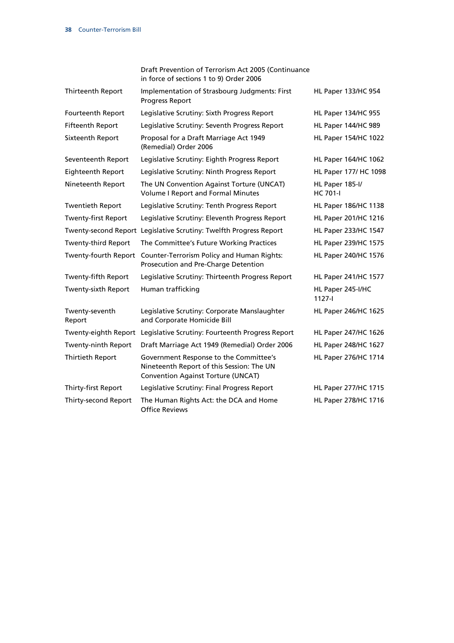|                            | Draft Prevention of Terrorism Act 2005 (Continuance<br>in force of sections 1 to 9) Order 2006                                   |                                    |
|----------------------------|----------------------------------------------------------------------------------------------------------------------------------|------------------------------------|
| Thirteenth Report          | Implementation of Strasbourg Judgments: First<br><b>Progress Report</b>                                                          | <b>HL Paper 133/HC 954</b>         |
| Fourteenth Report          | Legislative Scrutiny: Sixth Progress Report                                                                                      | <b>HL Paper 134/HC 955</b>         |
| <b>Fifteenth Report</b>    | Legislative Scrutiny: Seventh Progress Report                                                                                    | HL Paper 144/HC 989                |
| Sixteenth Report           | Proposal for a Draft Marriage Act 1949<br>(Remedial) Order 2006                                                                  | <b>HL Paper 154/HC 1022</b>        |
| Seventeenth Report         | Legislative Scrutiny: Eighth Progress Report                                                                                     | <b>HL Paper 164/HC 1062</b>        |
| <b>Eighteenth Report</b>   | Legislative Scrutiny: Ninth Progress Report                                                                                      | HL Paper 177/ HC 1098              |
| Nineteenth Report          | The UN Convention Against Torture (UNCAT)<br>Volume I Report and Formal Minutes                                                  | HL Paper 185-I/<br><b>HC 701-I</b> |
| <b>Twentieth Report</b>    | Legislative Scrutiny: Tenth Progress Report                                                                                      | <b>HL Paper 186/HC 1138</b>        |
| <b>Twenty-first Report</b> | Legislative Scrutiny: Eleventh Progress Report                                                                                   | HL Paper 201/HC 1216               |
|                            | Twenty-second Report Legislative Scrutiny: Twelfth Progress Report                                                               | HL Paper 233/HC 1547               |
| <b>Twenty-third Report</b> | The Committee's Future Working Practices                                                                                         | HL Paper 239/HC 1575               |
| Twenty-fourth Report       | Counter-Terrorism Policy and Human Rights:<br>Prosecution and Pre-Charge Detention                                               | HL Paper 240/HC 1576               |
| Twenty-fifth Report        | Legislative Scrutiny: Thirteenth Progress Report                                                                                 | <b>HL Paper 241/HC 1577</b>        |
| <b>Twenty-sixth Report</b> | Human trafficking                                                                                                                | HL Paper 245-I/HC<br>$1127 -$      |
| Twenty-seventh<br>Report   | Legislative Scrutiny: Corporate Manslaughter<br>and Corporate Homicide Bill                                                      | <b>HL Paper 246/HC 1625</b>        |
| Twenty-eighth Report       | Legislative Scrutiny: Fourteenth Progress Report                                                                                 | <b>HL Paper 247/HC 1626</b>        |
| Twenty-ninth Report        | Draft Marriage Act 1949 (Remedial) Order 2006                                                                                    | HL Paper 248/HC 1627               |
| Thirtieth Report           | Government Response to the Committee's<br>Nineteenth Report of this Session: The UN<br><b>Convention Against Torture (UNCAT)</b> | <b>HL Paper 276/HC 1714</b>        |
| Thirty-first Report        | Legislative Scrutiny: Final Progress Report                                                                                      | HL Paper 277/HC 1715               |
| Thirty-second Report       | The Human Rights Act: the DCA and Home<br><b>Office Reviews</b>                                                                  | HL Paper 278/HC 1716               |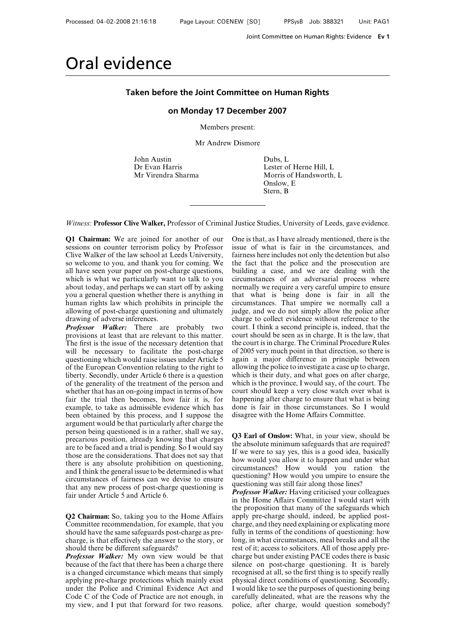### **Taken before the Joint Committee on Human Rights**

#### **on Monday 17 December 2007**

Members present:

Mr Andrew Dismore

John Austin Dubs, L<br>
Dr Evan Harris Lester of

Dr Evan Harris **Lester of Herne Hill, L**<br>Mr Virendra Sharma **Morris of Handsworth**. Morris of Handsworth, L Onslow, E Stern, B

*Witness:* **Professor Clive Walker,** Professor of Criminal Justice Studies, University of Leeds, gave evidence.

**Q1 Chairman:** We are joined for another of our sessions on counter terrorism policy by Professor Clive Walker of the law school at Leeds University, so welcome to you, and thank you for coming. We all have seen your paper on post-charge questions, which is what we particularly want to talk to you about today, and perhaps we can start off by asking you a general question whether there is anything in human rights law which prohibits in principle the allowing of post-charge questioning and ultimately drawing of adverse inferences.

*Professor Walker:* There are probably two provisions at least that are relevant to this matter. The first is the issue of the necessary detention that will be necessary to facilitate the post-charge questioning which would raise issues under Article 5 of the European Convention relating to the right to liberty. Secondly, under Article 6 there is a question of the generality of the treatment of the person and whether that has an on-going impact in terms of how fair the trial then becomes, how fair it is, for example, to take as admissible evidence which has been obtained by this process, and I suppose the argument would be that particularly after charge the person being questioned is in a rather, shall we say, precarious position, already knowing that charges are to be faced and a trial is pending. So I would say those are the considerations. That does not say that there is any absolute prohibition on questioning, and I think the general issue to be determined is what circumstances of fairness can we devise to ensure that any new process of post-charge questioning is fair under Article 5 and Article 6.

**Q2 Chairman:** So, taking you to the Home Affairs Committee recommendation, for example, that you should have the same safeguards post-charge as precharge, is that effectively the answer to the story, or should there be different safeguards?

*Professor Walker:* My own view would be that because of the fact that there has been a charge there is a changed circumstance which means that simply applying pre-charge protections which mainly exist under the Police and Criminal Evidence Act and Code C of the Code of Practice are not enough, in my view, and I put that forward for two reasons.

One is that, as I have already mentioned, there is the issue of what is fair in the circumstances, and fairness here includes not only the detention but also the fact that the police and the prosecution are building a case, and we are dealing with the circumstances of an adversarial process where normally we require a very careful umpire to ensure that what is being done is fair in all the circumstances. That umpire we normally call a judge, and we do not simply allow the police after charge to collect evidence without reference to the court. I think a second principle is, indeed, that the court should be seen as in charge. It is the law, that the court is in charge. The Criminal Procedure Rules of 2005 very much point in that direction, so there is again a major difference in principle between allowing the police to investigate a case up to charge, which is their duty, and what goes on after charge, which is the province, I would say, of the court. The court should keep a very close watch over what is happening after charge to ensure that what is being done is fair in those circumstances. So I would disagree with the Home Affairs Committee.

**Q3 Earl of Onslow:** What, in your view, should be the absolute minimum safeguards that are required? If we were to say yes, this is a good idea, basically how would you allow it to happen and under what circumstances? How would you ration the questioning? How would you umpire to ensure the questioning was still fair along those lines?

*Professor Walker:* Having criticised your colleagues in the Home Affairs Committee I would start with the proposition that many of the safeguards which apply pre-charge should, indeed, be applied postcharge, and they need explaining or explicating more fully in terms of the conditions of questioning: how long, in what circumstances, meal breaks and all the rest of it; access to solicitors. All of those apply precharge but under existing PACE codes there is basic silence on post-charge questioning. It is barely recognised at all, so the first thing is to specify really physical direct conditions of questioning. Secondly, I would like to see the purposes of questioning being carefully delineated, what are the reasons why the police, after charge, would question somebody?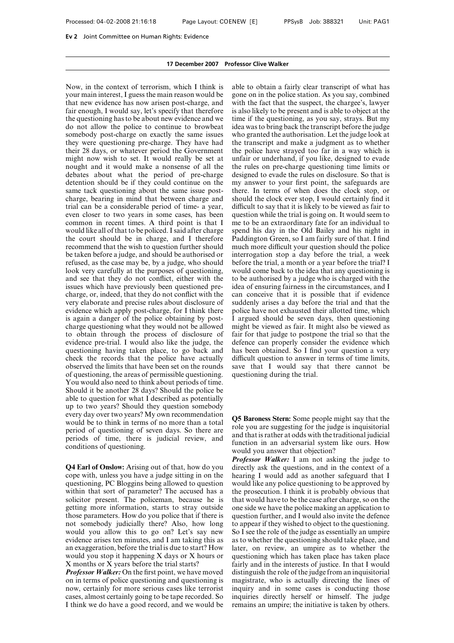#### **17 December 2007 Professor Clive Walker**

Now, in the context of terrorism, which I think is your main interest, I guess the main reason would be that new evidence has now arisen post-charge, and fair enough, I would say, let's specify that therefore the questioning has to be about new evidence and we do not allow the police to continue to browbeat somebody post-charge on exactly the same issues they were questioning pre-charge. They have had their 28 days, or whatever period the Government might now wish to set. It would really be set at nought and it would make a nonsense of all the debates about what the period of pre-charge detention should be if they could continue on the same tack questioning about the same issue postcharge, bearing in mind that between charge and trial can be a considerable period of time- a year, even closer to two years in some cases, has been common in recent times. A third point is that I would like all of that to be policed. I said after charge the court should be in charge, and I therefore recommend that the wish to question further should be taken before a judge, and should be authorised or refused, as the case may be, by a judge, who should look very carefully at the purposes of questioning, and see that they do not conflict, either with the issues which have previously been questioned precharge, or, indeed, that they do not conflict with the very elaborate and precise rules about disclosure of evidence which apply post-charge, for I think there is again a danger of the police obtaining by postcharge questioning what they would not be allowed to obtain through the process of disclosure of evidence pre-trial. I would also like the judge, the questioning having taken place, to go back and check the records that the police have actually observed the limits that have been set on the rounds of questioning, the areas of permissible questioning. You would also need to think about periods of time. Should it be another 28 days? Should the police be able to question for what I described as potentially up to two years? Should they question somebody every day over two years? My own recommendation would be to think in terms of no more than a total period of questioning of seven days. So there are periods of time, there is judicial review, and conditions of questioning.

**Q4 Earl of Onslow:** Arising out of that, how do you cope with, unless you have a judge sitting in on the questioning, PC Bloggins being allowed to question within that sort of parameter? The accused has a solicitor present. The policeman, because he is getting more information, starts to stray outside those parameters. How do you police that if there is not somebody judicially there? Also, how long would you allow this to go on? Let's say new evidence arises ten minutes, and I am taking this as an exaggeration, before the trial is due to start? How would you stop it happening X days or X hours or X months or X years before the trial starts?

*Professor Walker:* On the first point, we have moved on in terms of police questioning and questioning is now, certainly for more serious cases like terrorist cases, almost certainly going to be tape recorded. So I think we do have a good record, and we would be

able to obtain a fairly clear transcript of what has gone on in the police station. As you say, combined with the fact that the suspect, the chargee's, lawyer is also likely to be present and is able to object at the time if the questioning, as you say, strays. But my idea was to bring back the transcript before the judge who granted the authorisation. Let the judge look at the transcript and make a judgment as to whether the police have strayed too far in a way which is unfair or underhand, if you like, designed to evade the rules on pre-charge questioning time limits or designed to evade the rules on disclosure. So that is my answer to your first point, the safeguards are there. In terms of when does the clock stop, or should the clock ever stop, I would certainly find it difficult to say that it is likely to be viewed as fair to question while the trial is going on. It would seem to me to be an extraordinary fate for an individual to spend his day in the Old Bailey and his night in Paddington Green, so I am fairly sure of that. I find much more difficult your question should the police interrogation stop a day before the trial, a week before the trial, a month or a year before the trial? I would come back to the idea that any questioning is to be authorised by a judge who is charged with the idea of ensuring fairness in the circumstances, and I can conceive that it is possible that if evidence suddenly arises a day before the trial and that the police have not exhausted their allotted time, which I argued should be seven days, then questioning might be viewed as fair. It might also be viewed as fair for that judge to postpone the trial so that the defence can properly consider the evidence which has been obtained. So I find your question a very difficult question to answer in terms of time limits, save that I would say that there cannot be questioning during the trial.

**Q5 Baroness Stern:** Some people might say that the role you are suggesting for the judge is inquisitorial and that is rather at odds with the traditional judicial function in an adversarial system like ours. How would you answer that objection?

*Professor Walker:* I am not asking the judge to directly ask the questions, and in the context of a hearing I would add as another safeguard that I would like any police questioning to be approved by the prosecution. I think it is probably obvious that that would have to be the case after charge, so on the one side we have the police making an application to question further, and I would also invite the defence to appear if they wished to object to the questioning. So I see the role of the judge as essentially an umpire as to whether the questioning should take place, and later, on review, an umpire as to whether the questioning which has taken place has taken place fairly and in the interests of justice. In that I would distinguish the role of the judge from an inquisitorial magistrate, who is actually directing the lines of inquiry and in some cases is conducting those inquiries directly herself or himself. The judge remains an umpire; the initiative is taken by others.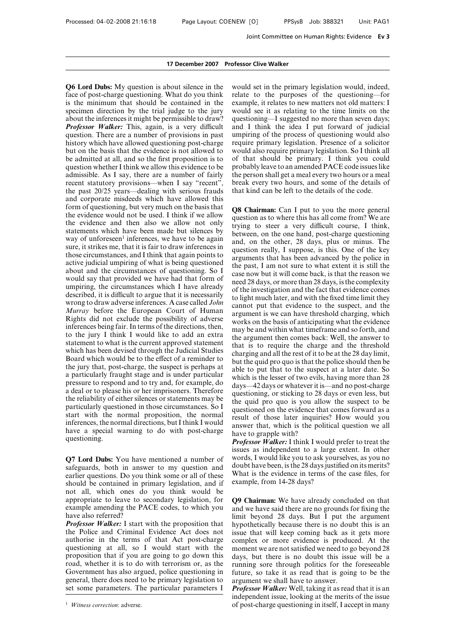**Q6 Lord Dubs:** My question is about silence in the face of post-charge questioning. What do you think is the minimum that should be contained in the specimen direction by the trial judge to the jury about the inferences it might be permissible to draw? Professor Walker: This, again, is a very difficult question. There are a number of provisions in past history which have allowed questioning post-charge but on the basis that the evidence is not allowed to be admitted at all, and so the first proposition is to question whether I think we allow this evidence to be admissible. As I say, there are a number of fairly recent statutory provisions—when I say "recent", the past 20/25 years—dealing with serious frauds and corporate misdeeds which have allowed this form of questioning, but very much on the basis that the evidence would not be used. I think if we allow the evidence and then also we allow not only statements which have been made but silences by way of unforeseen<sup>1</sup> inferences, we have to be again sure, it strikes me, that it is fair to draw inferences in those circumstances, and I think that again points to active judicial umpiring of what is being questioned about and the circumstances of questioning. So I would say that provided we have had that form of umpiring, the circumstances which I have already described, it is difficult to argue that it is necessarily wrong to draw adverse inferences. A case called *John Murray* before the European Court of Human Rights did not exclude the possibility of adverse inferences being fair. In terms of the directions, then, to the jury I think I would like to add an extra statement to what is the current approved statement which has been devised through the Judicial Studies Board which would be to the effect of a reminder to the jury that, post-charge, the suspect is perhaps at a particularly fraught stage and is under particular pressure to respond and to try and, for example, do a deal or to please his or her imprisoners. Therefore the reliability of either silences or statements may be particularly questioned in those circumstances. So I start with the normal proposition, the normal inferences, the normal directions, but I think I would have a special warning to do with post-charge questioning.

**Q7 Lord Dubs:** You have mentioned a number of safeguards, both in answer to my question and earlier questions. Do you think some or all of these should be contained in primary legislation, and if not all, which ones do you think would be appropriate to leave to secondary legislation, for example amending the PACE codes, to which you have also referred?

*Professor Walker:* I start with the proposition that the Police and Criminal Evidence Act does not authorise in the terms of that Act post-charge questioning at all, so I would start with the proposition that if you are going to go down this road, whether it is to do with terrorism or, as the Government has also argued, police questioning in general, there does need to be primary legislation to set some parameters. The particular parameters I

would set in the primary legislation would, indeed, relate to the purposes of the questioning—for example, it relates to new matters not old matters: I would see it as relating to the time limits on the questioning—I suggested no more than seven days; and I think the idea I put forward of judicial umpiring of the process of questioning would also require primary legislation. Presence of a solicitor would also require primary legislation. So I think all of that should be primary. I think you could probably leave to an amended PACE code issues like the person shall get a meal every two hours or a meal break every two hours, and some of the details of that kind can be left to the details of the code.

**Q8 Chairman:** Can I put to you the more general question as to where this has all come from? We are trying to steer a very difficult course, I think, between, on the one hand, post-charge questioning and, on the other, 28 days, plus or minus. The question really, I suppose, is this. One of the key arguments that has been advanced by the police in the past, I am not sure to what extent it is still the case now but it will come back, is that the reason we need 28 days, or more than 28 days, is the complexity of the investigation and the fact that evidence comes to light much later, and with the fixed time limit they cannot put that evidence to the suspect, and the argument is we can have threshold charging, which works on the basis of anticipating what the evidence may be and within what timeframe and so forth, and the argument then comes back: Well, the answer to that is to require the charge and the threshold charging and all the rest of it to be at the 28 day limit, but the quid pro quo is that the police should then be able to put that to the suspect at a later date. So which is the lesser of two evils, having more than 28 days—42 days or whatever it is—and no post-charge questioning, or sticking to 28 days or even less, but the quid pro quo is you allow the suspect to be questioned on the evidence that comes forward as a result of those later inquiries? How would you answer that, which is the political question we all have to grapple with?

*Professor Walker:* I think I would prefer to treat the issues as independent to a large extent. In other words, I would like you to ask yourselves, as you no doubt have been, is the 28 days justified on its merits? What is the evidence in terms of the case files, for example, from 14-28 days?

**Q9 Chairman:** We have already concluded on that and we have said there are no grounds for fixing the limit beyond 28 days. But I put the argument hypothetically because there is no doubt this is an issue that will keep coming back as it gets more complex or more evidence is produced. At the moment we are not satisfied we need to go beyond 28 days, but there is no doubt this issue will be a running sore through politics for the foreseeable future, so take it as read that is going to be the argument we shall have to answer.

*Professor Walker:* Well, taking it as read that it is an independent issue, looking at the merits of the issue of post-charge questioning in itself, I accept in many

<sup>1</sup> *Witness correction*: adverse.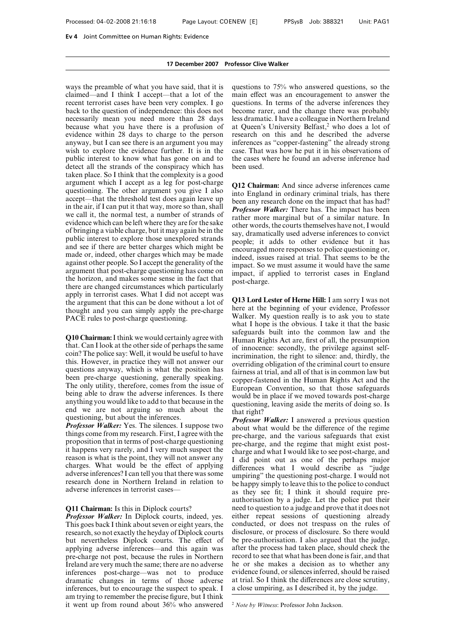#### **17 December 2007 Professor Clive Walker**

ways the preamble of what you have said, that it is claimed—and I think I accept—that a lot of the recent terrorist cases have been very complex. I go back to the question of independence: this does not necessarily mean you need more than 28 days because what you have there is a profusion of evidence within 28 days to charge to the person anyway, but I can see there is an argument you may wish to explore the evidence further. It is in the public interest to know what has gone on and to detect all the strands of the conspiracy which has taken place. So I think that the complexity is a good argument which I accept as a leg for post-charge questioning. The other argument you give I also accept—that the threshold test does again leave up in the air, if I can put it that way, more so than, shall we call it, the normal test, a number of strands of evidence which can be left where they are for the sake of bringing a viable charge, but it may again be in the public interest to explore those unexplored strands and see if there are better charges which might be made or, indeed, other charges which may be made against other people. So I accept the generality of the argument that post-charge questioning has come on the horizon, and makes some sense in the fact that there are changed circumstances which particularly apply in terrorist cases. What I did not accept was the argument that this can be done without a lot of thought and you can simply apply the pre-charge PACE rules to post-charge questioning.

**Q10 Chairman:**I think we would certainly agree with that. Can I look at the other side of perhaps the same coin? The police say: Well, it would be useful to have this. However, in practice they will not answer our questions anyway, which is what the position has been pre-charge questioning, generally speaking. The only utility, therefore, comes from the issue of being able to draw the adverse inferences. Is there anything you would like to add to that because in the end we are not arguing so much about the questioning, but about the inferences.

*Professor Walker:* Yes. The silences. I suppose two things come from my research. First, I agree with the proposition that in terms of post-charge questioning it happens very rarely, and  $\overline{I}$  very much suspect the reason is what is the point, they will not answer any charges. What would be the effect of applying adverse inferences? I can tell you that there was some research done in Northern Ireland in relation to adverse inferences in terrorist cases—

#### **Q11 Chairman:** Is this in Diplock courts?

*Professor Walker:* In Diplock courts, indeed, yes. This goes back I think about seven or eight years, the research, so not exactly the heyday of Diplock courts but nevertheless Diplock courts. The effect of applying adverse inferences—and this again was pre-charge not post, because the rules in Northern Ireland are very much the same; there are no adverse inferences post-charge—was not to produce dramatic changes in terms of those adverse inferences, but to encourage the suspect to speak. I am trying to remember the precise figure, but I think it went up from round about 36% who answered

questions to 75% who answered questions, so the main effect was an encouragement to answer the questions. In terms of the adverse inferences they become rarer, and the change there was probably less dramatic. I have a colleague in Northern Ireland at Queen's University Belfast,<sup>2</sup> who does a lot of research on this and he described the adverse inferences as "copper-fastening" the already strong case. That was how he put it in his observations of the cases where he found an adverse inference had been used.

**Q12 Chairman:** And since adverse inferences came into England in ordinary criminal trials, has there been any research done on the impact that has had? *Professor Walker:* There has. The impact has been rather more marginal but of a similar nature. In other words, the courts themselves have not, I would say, dramatically used adverse inferences to convict people; it adds to other evidence but it has encouraged more responses to police questioning or, indeed, issues raised at trial. That seems to be the impact. So we must assume it would have the same impact, if applied to terrorist cases in England post-charge.

**Q13 Lord Lester of Herne Hill:** I am sorry I was not here at the beginning of your evidence, Professor Walker. My question really is to ask you to state what I hope is the obvious. I take it that the basic safeguards built into the common law and the Human Rights Act are, first of all, the presumption of innocence: secondly, the privilege against selfincrimination, the right to silence: and, thirdly, the overriding obligation of the criminal court to ensure fairness at trial, and all of that is in common law but copper-fastened in the Human Rights Act and the European Convention, so that those safeguards would be in place if we moved towards post-charge questioning, leaving aside the merits of doing so. Is that right?

*Professor Walker:* I answered a previous question about what would be the difference of the regime pre-charge, and the various safeguards that exist pre-charge, and the regime that might exist postcharge and what I would like to see post-charge, and I did point out as one of the perhaps major differences what I would describe as "judge umpiring" the questioning post-charge. I would not be happy simply to leave this to the police to conduct as they see fit; I think it should require preauthorisation by a judge. Let the police put their need to question to a judge and prove that it does not either repeat sessions of questioning already conducted, or does not trespass on the rules of disclosure, or process of disclosure. So there would be pre-authorisation. I also argued that the judge, after the process had taken place, should check the record to see that what has been done is fair, and that he or she makes a decision as to whether any evidence found, or silences inferred, should be raised at trial. So I think the differences are close scrutiny, a close umpiring, as I described it, by the judge.

<sup>2</sup> *Note by Witness*: Professor John Jackson.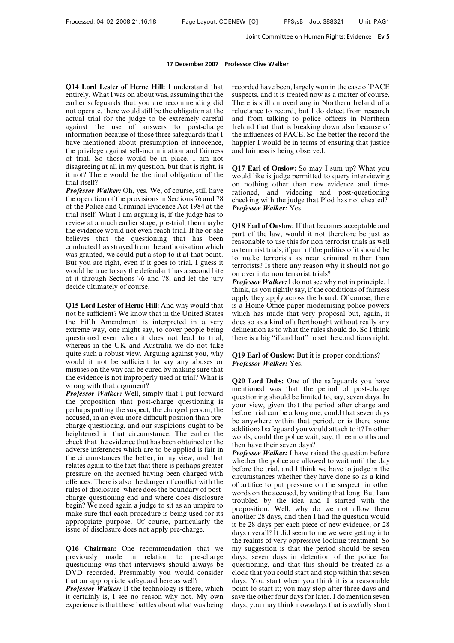**Q14 Lord Lester of Herne Hill:** I understand that entirely. What I was on about was, assuming that the earlier safeguards that you are recommending did not operate, there would still be the obligation at the actual trial for the judge to be extremely careful against the use of answers to post-charge information because of those three safeguards that I have mentioned about presumption of innocence, the privilege against self-incrimination and fairness of trial. So those would be in place. I am not disagreeing at all in my question, but that is right, is it not? There would be the final obligation of the trial itself?

*Professor Walker:* Oh, yes. We, of course, still have the operation of the provisions in Sections 76 and 78 of the Police and Criminal Evidence Act 1984 at the trial itself. What I am arguing is, if the judge has to review at a much earlier stage, pre-trial, then maybe the evidence would not even reach trial. If he or she believes that the questioning that has been conducted has strayed from the authorisation which was granted, we could put a stop to it at that point. But you are right, even if it goes to trial, I guess it would be true to say the defendant has a second bite at it through Sections 76 and 78, and let the jury decide ultimately of course.

**Q15 Lord Lester of Herne Hill:** And why would that not be sufficient? We know that in the United States the Fifth Amendment is interpreted in a very extreme way, one might say, to cover people being questioned even when it does not lead to trial, whereas in the UK and Australia we do not take quite such a robust view. Arguing against you, why would it not be sufficient to say any abuses or misuses on the way can be cured by making sure that the evidence is not improperly used at trial? What is wrong with that argument?

*Professor Walker:* Well, simply that I put forward the proposition that post-charge questioning is perhaps putting the suspect, the charged person, the accused, in an even more difficult position than precharge questioning, and our suspicions ought to be heightened in that circumstance. The earlier the check that the evidence that has been obtained or the adverse inferences which are to be applied is fair in the circumstances the better, in my view, and that relates again to the fact that there is perhaps greater pressure on the accused having been charged with offences. There is also the danger of conflict with the rules of disclosure- where does the boundary of postcharge questioning end and where does disclosure begin? We need again a judge to sit as an umpire to make sure that each procedure is being used for its appropriate purpose. Of course, particularly the issue of disclosure does not apply pre-charge.

**Q16 Chairman:** One recommendation that we previously made in relation to pre-charge questioning was that interviews should always be DVD recorded. Presumably you would consider that an appropriate safeguard here as well?

*Professor Walker:* If the technology is there, which it certainly is, I see no reason why not. My own experience is that these battles about what was being recorded have been, largely won in the case of PACE suspects, and it is treated now as a matter of course. There is still an overhang in Northern Ireland of a reluctance to record, but I do detect from research and from talking to police officers in Northern Ireland that that is breaking down also because of the influences of PACE. So the better the record the happier I would be in terms of ensuring that justice and fairness is being observed.

**Q17 Earl of Onslow:** So may I sum up? What you would like is judge permitted to query interviewing on nothing other than new evidence and timerationed, and videoing and post-questioning checking with the judge that Plod has not cheated? *Professor Walker:* Yes.

**Q18 Earl of Onslow:** If that becomes acceptable and part of the law, would it not therefore be just as reasonable to use this for non terrorist trials as well as terrorist trials, if part of the politics of it should be to make terrorists as near criminal rather than terrorists? Is there any reason why it should not go on over into non terrorist trials?

*Professor Walker:*I do not see why not in principle. I think, as you rightly say, if the conditions of fairness apply they apply across the board. Of course, there is a Home Office paper modernising police powers which has made that very proposal but, again, it does so as a kind of afterthought without really any delineation as to what the rules should do. So I think there is a big "if and but" to set the conditions right.

#### **Q19 Earl of Onslow:** But it is proper conditions? *Professor Walker:* Yes.

**Q20 Lord Dubs:** One of the safeguards you have mentioned was that the period of post-charge questioning should be limited to, say, seven days. In your view, given that the period after charge and before trial can be a long one, could that seven days be anywhere within that period, or is there some additional safeguard you would attach to it? In other words, could the police wait, say, three months and then have their seven days?

*Professor Walker:* I have raised the question before whether the police are allowed to wait until the day before the trial, and I think we have to judge in the circumstances whether they have done so as a kind of artifice to put pressure on the suspect, in other words on the accused, by waiting that long. But I am troubled by the idea and I started with the proposition: Well, why do we not allow them another 28 days, and then I had the question would it be 28 days per each piece of new evidence, or 28 days overall? It did seem to me we were getting into the realms of very oppressive-looking treatment. So my suggestion is that the period should be seven days, seven days in detention of the police for questioning, and that this should be treated as a clock that you could start and stop within that seven days. You start when you think it is a reasonable point to start it; you may stop after three days and save the other four days for later. I do mention seven days; you may think nowadays that is awfully short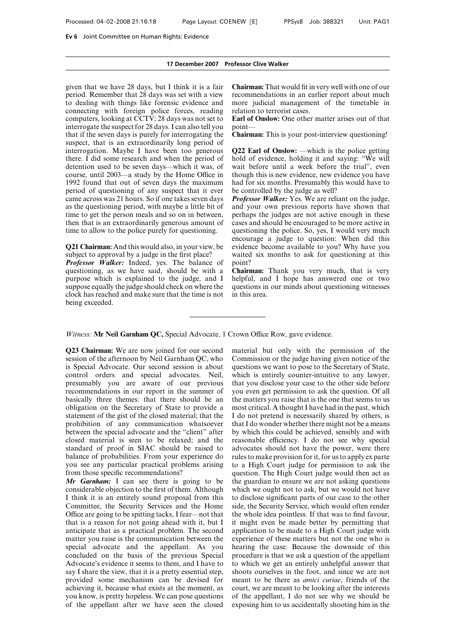#### **17 December 2007 Professor Clive Walker**

given that we have 28 days, but I think it is a fair period. Remember that 28 days was set with a view to dealing with things like forensic evidence and connecting with foreign police forces, reading computers, looking at CCTV; 28 days was not set to interrogate the suspect for 28 days. I can also tell you that if the seven days is purely for interrogating the suspect, that is an extraordinarily long period of interrogation. Maybe I have been too generous there. I did some research and when the period of detention used to be seven days—which it was, of course, until 2003—a study by the Home Office in 1992 found that out of seven days the maximum period of questioning of any suspect that it ever came across was 21 hours. So if one takes seven days as the questioning period, with maybe a little bit of time to get the person meals and so on in between, then that is an extraordinarily generous amount of time to allow to the police purely for questioning.

**Q21 Chairman:** And this would also, in your view, be subject to approval by a judge in the first place?

*Professor Walker:* Indeed, yes. The balance of questioning, as we have said, should be with a purpose which is explained to the judge, and I suppose equally the judge should check on where the clock has reached and make sure that the time is not being exceeded.

**Chairman:** That would fit in very well with one of our recommendations in an earlier report about much more judicial management of the timetable in relation to terrorist cases.

**Earl of Onslow:** One other matter arises out of that point—

**Chairman:** This is your post-interview questioning!

**Q22 Earl of Onslow:** —which is the police getting hold of evidence, holding it and saying: "We will wait before until a week before the trial", even though this is new evidence, new evidence you have had for six months. Presumably this would have to be controlled by the judge as well?

*Professor Walker:* Yes. We are reliant on the judge, and your own previous reports have shown that perhaps the judges are not active enough in these cases and should be encouraged to be more active in questioning the police. So, yes, I would very much encourage a judge to question: When did this evidence become available to you? Why have you waited six months to ask for questioning at this point?

**Chairman:** Thank you very much, that is very helpful, and I hope has answered one or two questions in our minds about questioning witnesses in this area.

*Witness:* Mr Neil Garnham OC, Special Advocate, 1 Crown Office Row, gave evidence.

**Q23 Chairman:** We are now joined for our second session of the afternoon by Neil Garnham QC, who is Special Advocate. Our second session is about control orders and special advocates. Neil, presumably you are aware of our previous recommendations in our report in the summer of basically three themes: that there should be an obligation on the Secretary of State to provide a statement of the gist of the closed material; that the prohibition of any communication whatsoever between the special advocate and the "client" after closed material is seen to be relaxed; and the standard of proof in SIAC should be raised to balance of probabilities. From your experience do you see any particular practical problems arising from those specific recommendations?

*Mr Garnham:* I can see there is going to be considerable objection to the first of them. Although I think it is an entirely sound proposal from this Committee, the Security Services and the Home Office are going to be spitting tacks, I fear—not that that is a reason for not going ahead with it, but I anticipate that as a practical problem. The second matter you raise is the communication between the special advocate and the appellant. As you concluded on the basis of the previous Special Advocate's evidence it seems to them, and I have to say I share the view, that it is a pretty essential step, provided some mechanism can be devised for achieving it, because what exists at the moment, as you know, is pretty hopeless. We can pose questions of the appellant after we have seen the closed

material but only with the permission of the Commission or the judge having given notice of the questions we want to pose to the Secretary of State, which is entirely counter-intuitive to any lawyer, that you disclose your case to the other side before you even get permission to ask the question. Of all the matters you raise that is the one that seems to us most critical. A thought I have had in the past, which I do not pretend is necessarily shared by others, is that I do wonder whether there might not be a means by which this could be achieved, sensibly and with reasonable efficiency. I do not see why special advocates should not have the power, were there rules to make provision for it, for us to apply ex parte to a High Court judge for permission to ask the question. The High Court judge would then act as the guardian to ensure we are not asking questions which we ought not to ask, but we would not have to disclose significant parts of our case to the other side, the Security Service, which would often render the whole idea pointless. If that was to find favour, it might even be made better by permitting that application to be made to a High Court judge with experience of these matters but not the one who is hearing the case. Because the downside of this procedure is that we ask a question of the appellant to which we get an entirely unhelpful answer that shoots ourselves in the foot, and since we are not meant to be there as *amici curiae*, friends of the court, we are meant to be looking after the interests of the appellant, I do not see why we should be exposing him to us accidentally shooting him in the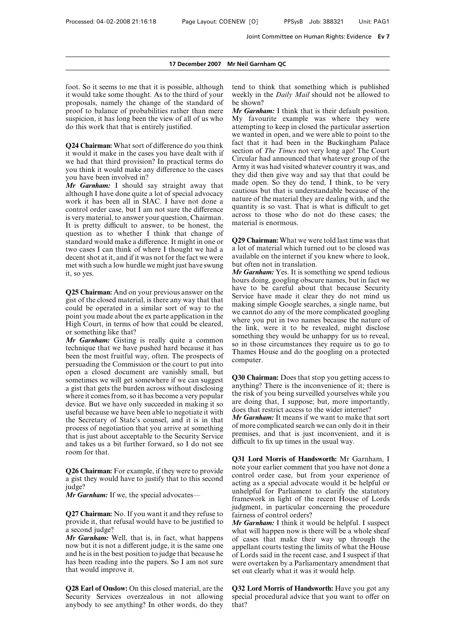foot. So it seems to me that it is possible, although it would take some thought. As to the third of your proposals, namely the change of the standard of proof to balance of probabilities rather than mere suspicion, it has long been the view of all of us who do this work that that is entirely justified.

**Q24 Chairman:** What sort of difference do you think it would it make in the cases you have dealt with if we had that third provision? In practical terms do you think it would make any difference to the cases you have been involved in?

*Mr Garnham:* I should say straight away that although I have done quite a lot of special advocacy work it has been all in SIAC. I have not done a control order case, but I am not sure the difference is very material, to answer your question, Chairman. It is pretty difficult to answer, to be honest, the question as to whether I think that change of standard would make a difference. It might in one or two cases I can think of where I thought we had a decent shot at it, and if it was not for the fact we were met with such a low hurdle we might just have swung it, so yes.

**Q25 Chairman:** And on your previous answer on the gist of the closed material, is there any way that that could be operated in a similar sort of way to the point you made about the ex parte application in the High Court, in terms of how that could be cleared, or something like that?

*Mr Garnham:* Gisting is really quite a common technique that we have pushed hard because it has been the most fruitful way, often. The prospects of persuading the Commission or the court to put into open a closed document are vanishly small, but sometimes we will get somewhere if we can suggest a gist that gets the burden across without disclosing where it comes from, so it has become a very popular device. But we have only succeeded in making it so useful because we have been able to negotiate it with the Secretary of State's counsel, and it is in that process of negotiation that you arrive at something that is just about acceptable to the Security Service and takes us a bit further forward, so I do not see room for that.

**Q26 Chairman:** For example, if they were to provide a gist they would have to justify that to this second judge?

*Mr Garnham:* If we, the special advocates—

**Q27 Chairman:** No. If you want it and they refuse to provide it, that refusal would have to be justified to a second judge?

*Mr Garnham:* Well, that is, in fact, what happens now but it is not a different judge, it is the same one and he is in the best position to judge that because he has been reading into the papers. So I am not sure that would improve it.

**Q28 Earl of Onslow:** On this closed material, are the Security Services overzealous in not allowing anybody to see anything? In other words, do they tend to think that something which is published weekly in the *Daily Mail* should not be allowed to be shown?

*Mr Garnham:* I think that is their default position. My favourite example was where they were attempting to keep in closed the particular assertion we wanted in open, and we were able to point to the fact that it had been in the Buckingham Palace section of *The Times* not very long ago! The Court Circular had announced that whatever group of the Army it was had visited whatever country it was, and they did then give way and say that that could be made open. So they do tend, I think, to be very cautious but that is understandable because of the nature of the material they are dealing with, and the quantity is so vast. That is what is difficult to get across to those who do not do these cases; the material is enormous.

**Q29 Chairman:** What we were told last time was that a lot of material which turned out to be closed was available on the internet if you knew where to look, but often not in translation.

*Mr Garnham:* Yes. It is something we spend tedious hours doing, googling obscure names, but in fact we have to be careful about that because Security Service have made it clear they do not mind us making simple Google searches, a single name, but we cannot do any of the more complicated googling where you put in two names because the nature of the link, were it to be revealed, might disclose something they would be unhappy for us to reveal, so in those circumstances they require us to go to Thames House and do the googling on a protected computer.

**Q30 Chairman:** Does that stop you getting access to anything? There is the inconvenience of it; there is the risk of you being surveilled yourselves while you are doing that, I suppose; but, more importantly, does that restrict access to the wider internet?

*Mr Garnham:* It means if we want to make that sort of more complicated search we can only do it in their premises, and that is just inconvenient, and it is difficult to fix up times in the usual way.

**Q31 Lord Morris of Handsworth:** Mr Garnham, I note your earlier comment that you have not done a control order case, but from your experience of acting as a special advocate would it be helpful or unhelpful for Parliament to clarify the statutory framework in light of the recent House of Lords judgment, in particular concerning the procedure fairness of control orders?

*Mr Garnham:* I think it would be helpful. I suspect what will happen now is there will be a whole sheaf of cases that make their way up through the appellant courts testing the limits of what the House of Lords said in the recent case, and I suspect if that were overtaken by a Parliamentary amendment that set out clearly what it was it would help.

**Q32 Lord Morris of Handsworth:** Have you got any special procedural advice that you want to offer on that?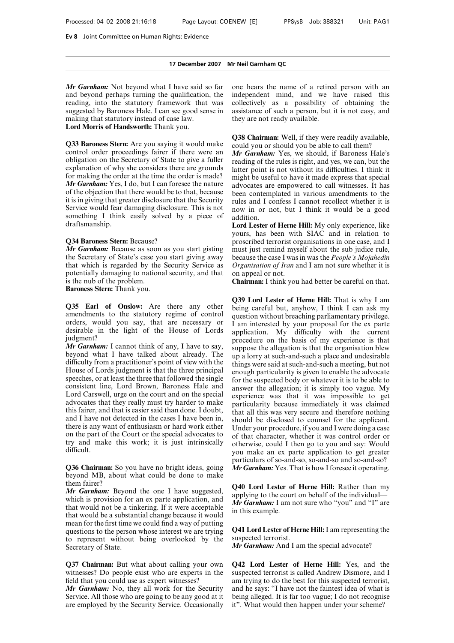#### **17 December 2007 Mr Neil Garnham QC**

*Mr Garnham:* Not beyond what I have said so far and beyond perhaps turning the qualification, the reading, into the statutory framework that was suggested by Baroness Hale. I can see good sense in making that statutory instead of case law.

**Lord Morris of Handsworth:** Thank you.

**Q33 Baroness Stern:** Are you saying it would make control order proceedings fairer if there were an obligation on the Secretary of State to give a fuller explanation of why she considers there are grounds for making the order at the time the order is made? *Mr Garnham:* Yes, I do, but I can foresee the nature of the objection that there would be to that, because it is in giving that greater disclosure that the Security Service would fear damaging disclosure. This is not something I think easily solved by a piece of draftsmanship.

#### **Q34 Baroness Stern:** Because?

*Mr Garnham:* Because as soon as you start gisting the Secretary of State's case you start giving away that which is regarded by the Security Service as potentially damaging to national security, and that is the nub of the problem.

**Baroness Stern:** Thank you.

**Q35 Earl of Onslow:** Are there any other amendments to the statutory regime of control orders, would you say, that are necessary or desirable in the light of the House of Lords judgment?

*Mr Garnham:* I cannot think of any, I have to say, beyond what I have talked about already. The difficulty from a practitioner's point of view with the House of Lords judgment is that the three principal speeches, or at least the three that followed the single consistent line, Lord Brown, Baroness Hale and Lord Carswell, urge on the court and on the special advocates that they really must try harder to make this fairer, and that is easier said than done. I doubt, and I have not detected in the cases I have been in, there is any want of enthusiasm or hard work either on the part of the Court or the special advocates to try and make this work; it is just intrinsically difficult.

**Q36 Chairman:** So you have no bright ideas, going beyond MB, about what could be done to make them fairer?

*Mr Garnham:* Beyond the one I have suggested, which is provision for an ex parte application, and that would not be a tinkering. If it were acceptable that would be a substantial change because it would mean for the first time we could find a way of putting questions to the person whose interest we are trying to represent without being overlooked by the Secretary of State.

**Q37 Chairman:** But what about calling your own witnesses? Do people exist who are experts in the field that you could use as expert witnesses?

*Mr Garnham:* No, they all work for the Security Service. All those who are going to be any good at it are employed by the Security Service. Occasionally one hears the name of a retired person with an independent mind, and we have raised this collectively as a possibility of obtaining the assistance of such a person, but it is not easy, and they are not ready available.

**Q38 Chairman:** Well, if they were readily available, could you or should you be able to call them?

*Mr Garnham:* Yes, we should, if Baroness Hale's reading of the rules is right, and yes, we can, but the latter point is not without its difficulties. I think it might be useful to have it made express that special advocates are empowered to call witnesses. It has been contemplated in various amendments to the rules and I confess I cannot recollect whether it is now in or not, but I think it would be a good addition.

**Lord Lester of Herne Hill:** My only experience, like yours, has been with SIAC and in relation to proscribed terrorist organisations in one case, and I must just remind myself about the sub judice rule, because the case I was in was the *People's Mojahedin Organisation of Iran* and I am not sure whether it is on appeal or not.

**Chairman:** I think you had better be careful on that.

**Q39 Lord Lester of Herne Hill:** That is why I am being careful but, anyhow, I think I can ask my question without breaching parliamentary privilege. I am interested by your proposal for the ex parte application. My difficulty with the current procedure on the basis of my experience is that suppose the allegation is that the organisation blew up a lorry at such-and-such a place and undesirable things were said at such-and-such a meeting, but not enough particularity is given to enable the advocate for the suspected body or whatever it is to be able to answer the allegation; it is simply too vague. My experience was that it was impossible to get particularity because immediately it was claimed that all this was very secure and therefore nothing should be disclosed to counsel for the applicant. Under your procedure, if you and I were doing a case of that character, whether it was control order or otherwise, could I then go to you and say: Would you make an ex parte application to get greater particulars of so-and-so, so-and-so and so-and-so? *Mr Garnham:* Yes. That is how I foresee it operating.

**Q40 Lord Lester of Herne Hill:** Rather than my applying to the court on behalf of the individual— *Mr Garnham:* I am not sure who "you" and "I" are in this example.

**Q41 Lord Lester of Herne Hill:** I am representing the suspected terrorist.

*Mr Garnham:* And I am the special advocate?

**Q42 Lord Lester of Herne Hill:** Yes, and the suspected terrorist is called Andrew Dismore, and I am trying to do the best for this suspected terrorist, and he says: "I have not the faintest idea of what is being alleged. It is far too vague; I do not recognise it". What would then happen under your scheme?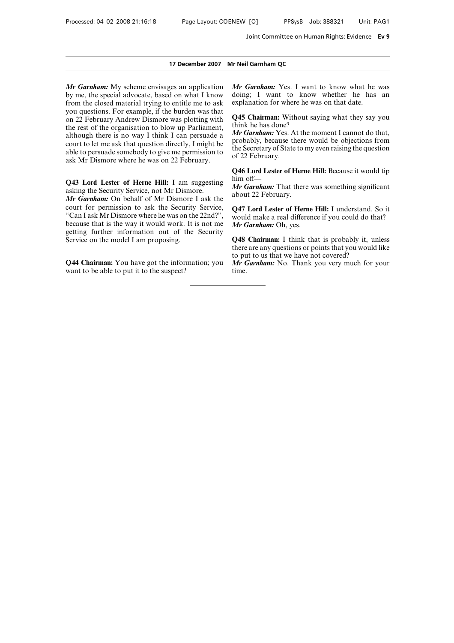*Mr Garnham:* My scheme envisages an application by me, the special advocate, based on what I know from the closed material trying to entitle me to ask you questions. For example, if the burden was that on 22 February Andrew Dismore was plotting with the rest of the organisation to blow up Parliament, although there is no way I think I can persuade a court to let me ask that question directly, I might be able to persuade somebody to give me permission to ask Mr Dismore where he was on 22 February.

**Q43 Lord Lester of Herne Hill:** I am suggesting asking the Security Service, not Mr Dismore.

*Mr Garnham:* On behalf of Mr Dismore I ask the court for permission to ask the Security Service, "Can I ask Mr Dismore where he was on the 22nd?", because that is the way it would work. It is not me getting further information out of the Security Service on the model I am proposing.

**Q44 Chairman:** You have got the information; you want to be able to put it to the suspect?

*Mr Garnham:* Yes. I want to know what he was doing; I want to know whether he has an explanation for where he was on that date.

**Q45 Chairman:** Without saying what they say you think he has done?

*Mr Garnham:* Yes. At the moment I cannot do that, probably, because there would be objections from the Secretary of State to my even raising the question of 22 February.

**Q46 Lord Lester of Herne Hill:** Because it would tip him off-

*Mr Garnham:* That there was something significant about 22 February.

**Q47 Lord Lester of Herne Hill:** I understand. So it would make a real difference if you could do that? *Mr Garnham:* Oh, yes.

**Q48 Chairman:** I think that is probably it, unless there are any questions or points that you would like to put to us that we have not covered?

*Mr Garnham:* No. Thank you very much for your time.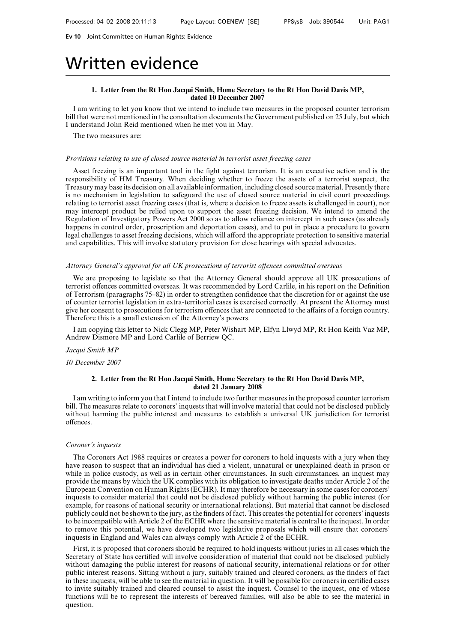# Written evidence

#### **1. Letter from the Rt Hon Jacqui Smith, Home Secretary to the Rt Hon David Davis MP, dated 10 December 2007**

I am writing to let you know that we intend to include two measures in the proposed counter terrorism bill that were not mentioned in the consultation documents the Government published on 25 July, but which I understand John Reid mentioned when he met you in May.

The two measures are:

#### *Provisions relating to use of closed source material in terrorist asset freezing cases*

Asset freezing is an important tool in the fight against terrorism. It is an executive action and is the responsibility of HM Treasury. When deciding whether to freeze the assets of a terrorist suspect, the Treasury may base its decision on all available information, including closed source material. Presently there is no mechanism in legislation to safeguard the use of closed source material in civil court proceedings relating to terrorist asset freezing cases (that is, where a decision to freeze assets is challenged in court), nor may intercept product be relied upon to support the asset freezing decision. We intend to amend the Regulation of Investigatory Powers Act 2000 so as to allow reliance on intercept in such cases (as already happens in control order, proscription and deportation cases), and to put in place a procedure to govern legal challenges to asset freezing decisions, which will afford the appropriate protection to sensitive material and capabilities. This will involve statutory provision for close hearings with special advocates.

#### *Attorney General's approval for all UK prosecutions of terrorist oVences committed overseas*

We are proposing to legislate so that the Attorney General should approve all UK prosecutions of terrorist offences committed overseas. It was recommended by Lord Carlile, in his report on the Definition of Terrorism (paragraphs 75–82) in order to strengthen confidence that the discretion for or against the use of counter terrorist legislation in extra-territorial cases is exercised correctly. At present the Attorney must give her consent to prosecutions for terrorism offences that are connected to the affairs of a foreign country. Therefore this is a small extension of the Attorney's powers.

I am copying this letter to Nick Clegg MP, Peter Wishart MP, Elfyn Llwyd MP, Rt Hon Keith Vaz MP, Andrew Dismore MP and Lord Carlile of Berriew QC.

#### *Jacqui Smith MP*

*10 December 2007*

#### **2. Letter from the Rt Hon Jacqui Smith, Home Secretary to the Rt Hon David Davis MP, dated 21 January 2008**

I am writing to inform you that I intend to include two further measures in the proposed counter terrorism bill. The measures relate to coroners' inquests that will involve material that could not be disclosed publicly without harming the public interest and measures to establish a universal UK jurisdiction for terrorist offences.

#### *Coroner's inquests*

The Coroners Act 1988 requires or creates a power for coroners to hold inquests with a jury when they have reason to suspect that an individual has died a violent, unnatural or unexplained death in prison or while in police custody, as well as in certain other circumstances. In such circumstances, an inquest may provide the means by which the UK complies with its obligation to investigate deaths under Article 2 of the European Convention on Human Rights (ECHR). It may therefore be necessary in some cases for coroners' inquests to consider material that could not be disclosed publicly without harming the public interest (for example, for reasons of national security or international relations). But material that cannot be disclosed publicly could not be shown to the jury, as the finders of fact. This creates the potential for coroners' inquests to be incompatible with Article 2 of the ECHR where the sensitive material is central to the inquest. In order to remove this potential, we have developed two legislative proposals which will ensure that coroners' inquests in England and Wales can always comply with Article 2 of the ECHR.

First, it is proposed that coroners should be required to hold inquests without juries in all cases which the Secretary of State has certified will involve consideration of material that could not be disclosed publicly without damaging the public interest for reasons of national security, international relations or for other public interest reasons. Sitting without a jury, suitably trained and cleared coroners, as the finders of fact in these inquests, will be able to see the material in question. It will be possible for coroners in certified cases to invite suitably trained and cleared counsel to assist the inquest. Counsel to the inquest, one of whose functions will be to represent the interests of bereaved families, will also be able to see the material in question.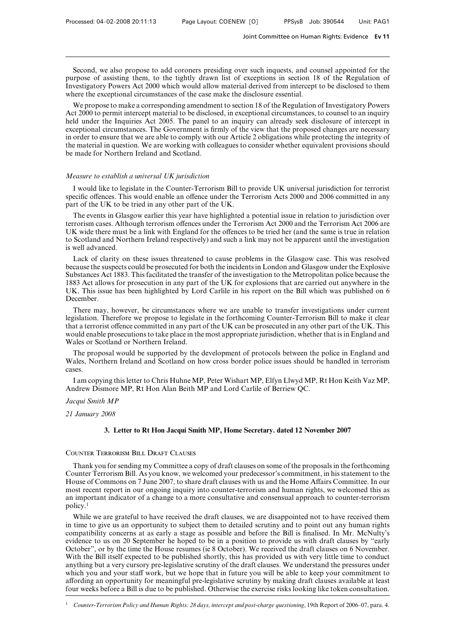Second, we also propose to add coroners presiding over such inquests, and counsel appointed for the purpose of assisting them, to the tightly drawn list of exceptions in section 18 of the Regulation of Investigatory Powers Act 2000 which would allow material derived from intercept to be disclosed to them where the exceptional circumstances of the case make the disclosure essential.

We propose to make a corresponding amendment to section 18 of the Regulation of Investigatory Powers Act 2000 to permit intercept material to be disclosed, in exceptional circumstances, to counsel to an inquiry held under the Inquiries Act 2005. The panel to an inquiry can already seek disclosure of intercept in exceptional circumstances. The Government is firmly of the view that the proposed changes are necessary in order to ensure that we are able to comply with our Article 2 obligations while protecting the integrity of the material in question. We are working with colleagues to consider whether equivalent provisions should be made for Northern Ireland and Scotland.

#### *Measure to establish a universal UK jurisdiction*

I would like to legislate in the Counter-Terrorism Bill to provide UK universal jurisdiction for terrorist specific offences. This would enable an offence under the Terrorism Acts 2000 and 2006 committed in any part of the UK to be tried in any other part of the UK.

The events in Glasgow earlier this year have highlighted a potential issue in relation to jurisdiction over terrorism cases. Although terrorism offences under the Terrorism Act 2000 and the Terrorism Act 2006 are UK wide there must be a link with England for the offences to be tried her (and the same is true in relation to Scotland and Northern Ireland respectively) and such a link may not be apparent until the investigation is well advanced.

Lack of clarity on these issues threatened to cause problems in the Glasgow case. This was resolved because the suspects could be prosecuted for both the incidents in London and Glasgow under the Explosive Substances Act 1883. This facilitated the transfer of the investigation to the Metropolitan police because the 1883 Act allows for prosecution in any part of the UK for explosions that are carried out anywhere in the UK. This issue has been highlighted by Lord Carlile in his report on the Bill which was published on 6 December.

There may, however, be circumstances where we are unable to transfer investigations under current legislation. Therefore we propose to legislate in the forthcoming Counter-Terrorism Bill to make it clear that a terrorist offence committed in any part of the UK can be prosecuted in any other part of the UK. This would enable prosecutions to take place in the most appropriate jurisdiction, whether that is in England and Wales or Scotland or Northern Ireland.

The proposal would be supported by the development of protocols between the police in England and Wales, Northern Ireland and Scotland on how cross border police issues should be handled in terrorism cases.

I am copying this letter to Chris Huhne MP, Peter Wishart MP, Elfyn Llwyd MP, Rt Hon Keith Vaz MP, Andrew Dismore MP, Rt Hon Alan Beith MP and Lord Carlile of Berriew QC.

#### *Jacqui Smith MP*

*21 January 2008*

#### **3. Letter to Rt Hon Jacqui Smith MP, Home Secretary. dated 12 November 2007**

#### Counter Terrorism Bill Draft Clauses

Thank you for sending my Committee a copy of draft clauses on some of the proposals in the forthcoming Counter Terrorism Bill. As you know, we welcomed your predecessor's commitment, in his statement to the House of Commons on 7 June 2007, to share draft clauses with us and the Home Affairs Committee. In our most recent report in our ongoing inquiry into counter-terrorism and human rights, we welcomed this as an important indicator of a change to a more consultative and consensual approach to counter-terrorism policy.1

While we are grateful to have received the draft clauses, we are disappointed not to have received them in time to give us an opportunity to subject them to detailed scrutiny and to point out any human rights compatibility concerns at as early a stage as possible and before the Bill is finalised. In Mr. McNulty's evidence to us on 20 September he hoped to be in a position to provide us with draft clauses by "early October", or by the time the House resumes (ie 8 October). We received the draft clauses on 6 November. With the Bill itself expected to be published shortly, this has provided us with very little time to conduct anything but a very cursory pre-legislative scrutiny of the draft clauses. We understand the pressures under which you and your staff work, but we hope that in future you will be able to keep your commitment to affording an opportunity for meaningful pre-legislative scrutiny by making draft clauses available at least four weeks before a Bill is due to be published. Otherwise the exercise risks looking like token consultation.

<sup>1</sup> *Counter-Terrorism Policy and Human Rights: 28 days, intercept and post-charge questioning*, 19th Report of 2006–07, para. 4.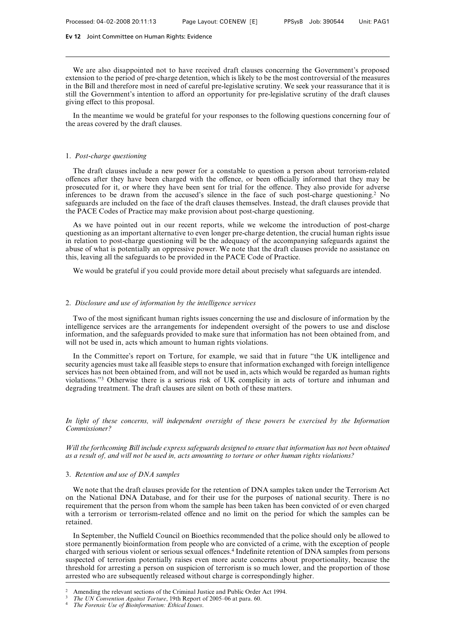We are also disappointed not to have received draft clauses concerning the Government's proposed extension to the period of pre-charge detention, which is likely to be the most controversial of the measures in the Bill and therefore most in need of careful pre-legislative scrutiny. We seek your reassurance that it is still the Government's intention to afford an opportunity for pre-legislative scrutiny of the draft clauses giving effect to this proposal.

In the meantime we would be grateful for your responses to the following questions concerning four of the areas covered by the draft clauses.

#### 1. *Post-charge questioning*

The draft clauses include a new power for a constable to question a person about terrorism-related offences after they have been charged with the offence, or been officially informed that they may be prosecuted for it, or where they have been sent for trial for the offence. They also provide for adverse inferences to be drawn from the accused's silence in the face of such post-charge questioning.2 No safeguards are included on the face of the draft clauses themselves. Instead, the draft clauses provide that the PACE Codes of Practice may make provision about post-charge questioning.

As we have pointed out in our recent reports, while we welcome the introduction of post-charge questioning as an important alternative to even longer pre-charge detention, the crucial human rights issue in relation to post-charge questioning will be the adequacy of the accompanying safeguards against the abuse of what is potentially an oppressive power. We note that the draft clauses provide no assistance on this, leaving all the safeguards to be provided in the PACE Code of Practice.

We would be grateful if you could provide more detail about precisely what safeguards are intended.

#### 2. *Disclosure and use of information by the intelligence services*

Two of the most significant human rights issues concerning the use and disclosure of information by the intelligence services are the arrangements for independent oversight of the powers to use and disclose information, and the safeguards provided to make sure that information has not been obtained from, and will not be used in, acts which amount to human rights violations.

In the Committee's report on Torture, for example, we said that in future "the UK intelligence and security agencies must take all feasible steps to ensure that information exchanged with foreign intelligence services has not been obtained from, and will not be used in, acts which would be regarded as human rights violations."3 Otherwise there is a serious risk of UK complicity in acts of torture and inhuman and degrading treatment. The draft clauses are silent on both of these matters.

*In light of these concerns, will independent oversight of these powers be exercised by the Information Commissioner?*

*Will the forthcoming Bill include express safeguards designed to ensure that information has not been obtained as a result of, and will not be used in, acts amounting to torture or other human rights violations?*

#### 3. *Retention and use of DNA samples*

We note that the draft clauses provide for the retention of DNA samples taken under the Terrorism Act on the National DNA Database, and for their use for the purposes of national security. There is no requirement that the person from whom the sample has been taken has been convicted of or even charged with a terrorism or terrorism-related offence and no limit on the period for which the samples can be retained.

In September, the Nuffield Council on Bioethics recommended that the police should only be allowed to store permanently bioinformation from people who are convicted of a crime, with the exception of people charged with serious violent or serious sexual offences.<sup>4</sup> Indefinite retention of DNA samples from persons suspected of terrorism potentially raises even more acute concerns about proportionality, because the threshold for arresting a person on suspicion of terrorism is so much lower, and the proportion of those arrested who are subsequently released without charge is correspondingly higher.

<sup>2</sup> Amending the relevant sections of the Criminal Justice and Public Order Act 1994.

<sup>3</sup> *The UN Convention Against Torture*, 19th Report of 2005–06 at para. 60. <sup>4</sup> *The Forensic Use of Bioinformation: Ethical Issues*.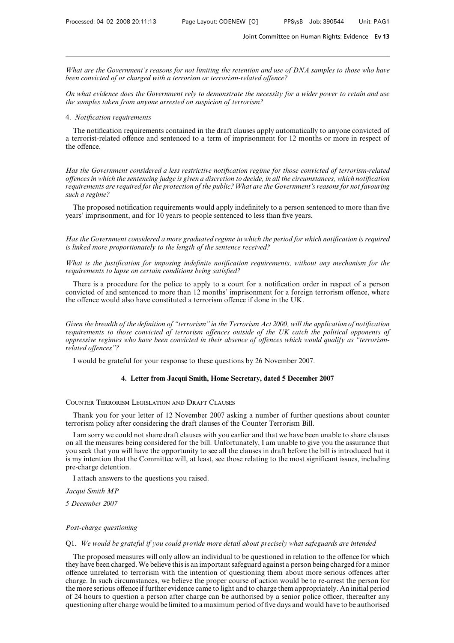*What are the Government's reasons for not limiting the retention and use of DNA samples to those who have been convicted of or charged with a terrorism or terrorism-related offence?* 

*On what evidence does the Government rely to demonstrate the necessity for a wider power to retain and use the samples taken from anyone arrested on suspicion of terrorism?*

#### 4. *Notification requirements*

The notification requirements contained in the draft clauses apply automatically to anyone convicted of a terrorist-related offence and sentenced to a term of imprisonment for 12 months or more in respect of the offence.

*Has the Government considered a less restrictive notification regime for those convicted of terrorism-related oVences in which the sentencing judge is given a discretion to decide, in all the circumstances, which notification requirements are required for the protection of the public? What are the Government's reasons for not favouring such a regime?*

The proposed notification requirements would apply indefinitely to a person sentenced to more than five years' imprisonment, and for 10 years to people sentenced to less than five years.

*Has the Government considered a more graduated regime in which the period for which notification is required is linked more proportionately to the length of the sentence received?*

*What is the justification for imposing indefinite notification requirements, without any mechanism for the requirements to lapse on certain conditions being satisfied?*

There is a procedure for the police to apply to a court for a notification order in respect of a person convicted of and sentenced to more than 12 months' imprisonment for a foreign terrorism offence, where the offence would also have constituted a terrorism offence if done in the UK.

*Given the breadth of the definition of "terrorism" in the Terrorism Act 2000, will the application of notification requirements to those convicted of terrorism offences outside of the UK catch the political opponents of oppressive regimes who have been convicted in their absence of offences which would qualify as "terrorism* $related$  *offences*"?

I would be grateful for your response to these questions by 26 November 2007.

#### **4. Letter from Jacqui Smith, Home Secretary, dated 5 December 2007**

#### Counter Terrorism Legislation and Draft Clauses

Thank you for your letter of 12 November 2007 asking a number of further questions about counter terrorism policy after considering the draft clauses of the Counter Terrorism Bill.

I am sorry we could not share draft clauses with you earlier and that we have been unable to share clauses on all the measures being considered for the bill. Unfortunately, I am unable to give you the assurance that you seek that you will have the opportunity to see all the clauses in draft before the bill is introduced but it is my intention that the Committee will, at least, see those relating to the most significant issues, including pre-charge detention.

I attach answers to the questions you raised.

*Jacqui Smith MP*

*5 December 2007*

#### *Post-charge questioning*

#### Q1. *We would be grateful if you could provide more detail about precisely what safeguards are intended*

The proposed measures will only allow an individual to be questioned in relation to the offence for which they have been charged. We believe this is an important safeguard against a person being charged for a minor offence unrelated to terrorism with the intention of questioning them about more serious offences after charge. In such circumstances, we believe the proper course of action would be to re-arrest the person for the more serious offence if further evidence came to light and to charge them appropriately. An initial period of 24 hours to question a person after charge can be authorised by a senior police officer, thereafter any questioning after charge would be limited to a maximum period of five days and would have to be authorised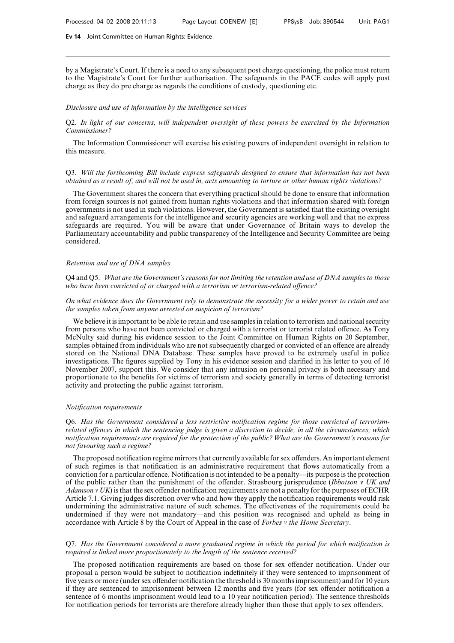by a Magistrate's Court. If there is a need to any subsequent post charge questioning, the police must return to the Magistrate's Court for further authorisation. The safeguards in the PACE codes will apply post charge as they do pre charge as regards the conditions of custody, questioning etc.

#### *Disclosure and use of information by the intelligence services*

Q2. *In light of our concerns, will independent oversight of these powers be exercised by the Information Commissioner?*

The Information Commissioner will exercise his existing powers of independent oversight in relation to this measure.

#### Q3. *Will the forthcoming Bill include express safeguards designed to ensure that information has not been obtained as a result of, and will not be used in, acts amounting to torture or other human rights violations?*

The Government shares the concern that everything practical should be done to ensure that information from foreign sources is not gained from human rights violations and that information shared with foreign governments is not used in such violations. However, the Government is satisfied that the existing oversight and safeguard arrangements for the intelligence and security agencies are working well and that no express safeguards are required. You will be aware that under Governance of Britain ways to develop the Parliamentary accountability and public transparency of the Intelligence and Security Committee are being considered.

#### *Retention and use of DNA samples*

Q4 and Q5. *What are the Government's reasons for not limiting the retention and use of DNA samples to those who have been convicted of or charged with a terrorism or terrorism-related offence?* 

#### *On what evidence does the Government rely to demonstrate the necessity for a wider power to retain and use the samples taken from anyone arrested on suspicion of terrorism?*

We believe it is important to be able to retain and use samples in relation to terrorism and national security from persons who have not been convicted or charged with a terrorist or terrorist related offence. As Tony McNulty said during his evidence session to the Joint Committee on Human Rights on 20 September, samples obtained from individuals who are not subsequently charged or convicted of an offence are already stored on the National DNA Database. These samples have proved to be extremely useful in police investigations. The figures supplied by Tony in his evidence session and clarified in his letter to you of 16 November 2007, support this. We consider that any intrusion on personal privacy is both necessary and proportionate to the benefits for victims of terrorism and society generally in terms of detecting terrorist activity and protecting the public against terrorism.

#### *Notification requirements*

Q6. *Has the Government considered a less restrictive notification regime for those convicted of terrorismrelated oVences in which the sentencing judge is given a discretion to decide, in all the circumstances, which notification requirements are required for the protection of the public? What are the Government's reasons for not favouring such a regime?*

The proposed notification regime mirrors that currently available for sex offenders. An important element of such regimes is that notification is an administrative requirement that flows automatically from a conviction for a particular offence. Notification is not intended to be a penalty—its purpose is the protection of the public rather than the punishment of the offender. Strasbourg jurisprudence (*Ibbotson v UK and Adamson v UK*) is that the sex offender notification requirements are not a penalty for the purposes of ECHR Article 7.1. Giving judges discretion over who and how they apply the notification requirements would risk undermining the administrative nature of such schemes. The effectiveness of the requirements could be undermined if they were not mandatory—and this position was recognised and upheld as being in accordance with Article 8 by the Court of Appeal in the case of *Forbes v the Home Secretary*.

#### Q7. *Has the Government considered a more graduated regime in which the period for which notification is required is linked more proportionately to the length of the sentence received?*

The proposed notification requirements are based on those for sex offender notification. Under our proposal a person would be subject to notification indefinitely if they were sentenced to imprisonment of five years or more (under sex offender notification the threshold is 30 months imprisonment) and for 10 years if they are sentenced to imprisonment between 12 months and five years (for sex offender notification a sentence of 6 months imprisonment would lead to a 10 year notification period). The sentence thresholds for notification periods for terrorists are therefore already higher than those that apply to sex offenders.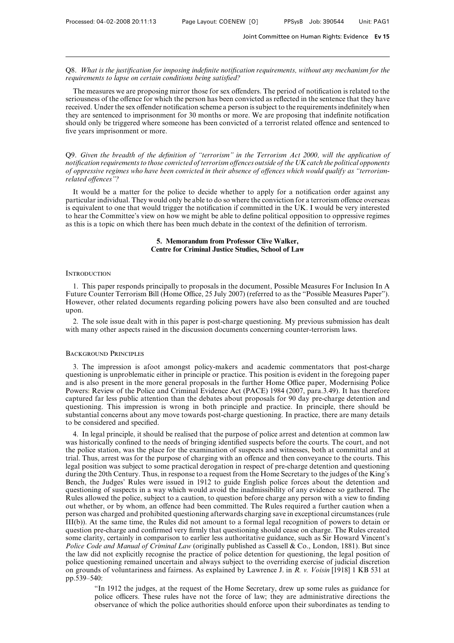Q8. *What is the justification for imposing indefinite notification requirements, without any mechanism for the requirements to lapse on certain conditions being satisfied?*

The measures we are proposing mirror those for sex offenders. The period of notification is related to the seriousness of the offence for which the person has been convicted as reflected in the sentence that they have received. Under the sex offender notification scheme a person is subject to the requirements indefinitely when they are sentenced to imprisonment for 30 months or more. We are proposing that indefinite notification should only be triggered where someone has been convicted of a terrorist related offence and sentenced to five years imprisonment or more.

Q9. *Given the breadth of the definition of "terrorism" in the Terrorism Act 2000, will the application of notification requirements to those convicted of terrorism offences outside of the UK catch the political opponents of oppressive regimes who have been convicted in their absence of offences which would qualify as "terrorismrelated offences*"?

It would be a matter for the police to decide whether to apply for a notification order against any particular individual. They would only be able to do so where the conviction for a terrorism offence overseas is equivalent to one that would trigger the notification if committed in the UK. I would be very interested to hear the Committee's view on how we might be able to define political opposition to oppressive regimes as this is a topic on which there has been much debate in the context of the definition of terrorism.

#### **5. Memorandum from Professor Clive Walker, Centre for Criminal Justice Studies, School of Law**

#### **INTRODUCTION**

1. This paper responds principally to proposals in the document, Possible Measures For Inclusion In A Future Counter Terrorism Bill (Home Office, 25 July 2007) (referred to as the "Possible Measures Paper"). However, other related documents regarding policing powers have also been consulted and are touched upon.

2. The sole issue dealt with in this paper is post-charge questioning. My previous submission has dealt with many other aspects raised in the discussion documents concerning counter-terrorism laws.

#### Background Principles

3. The impression is afoot amongst policy-makers and academic commentators that post-charge questioning is unproblematic either in principle or practice. This position is evident in the foregoing paper and is also present in the more general proposals in the further Home Office paper, Modernising Police Powers: Review of the Police and Criminal Evidence Act (PACE) 1984 (2007, para.3.49). It has therefore captured far less public attention than the debates about proposals for 90 day pre-charge detention and questioning. This impression is wrong in both principle and practice. In principle, there should be substantial concerns about any move towards post-charge questioning. In practice, there are many details to be considered and specified.

4. In legal principle, it should be realised that the purpose of police arrest and detention at common law was historically confined to the needs of bringing identified suspects before the courts. The court, and not the police station, was the place for the examination of suspects and witnesses, both at committal and at trial. Thus, arrest was for the purpose of charging with an offence and then conveyance to the courts. This legal position was subject to some practical derogation in respect of pre-charge detention and questioning during the 20th Century. Thus, in response to a request from the Home Secretary to the judges of the King's Bench, the Judges' Rules were issued in 1912 to guide English police forces about the detention and questioning of suspects in a way which would avoid the inadmissibility of any evidence so gathered. The Rules allowed the police, subject to a caution, to question before charge any person with a view to finding out whether, or by whom, an offence had been committed. The Rules required a further caution when a person was charged and prohibited questioning afterwards charging save in exceptional circumstances (rule III(b)). At the same time, the Rules did not amount to a formal legal recognition of powers to detain or question pre-charge and confirmed very firmly that questioning should cease on charge. The Rules created some clarity, certainly in comparison to earlier less authoritative guidance, such as Sir Howard Vincent's *Police Code and Manual of Criminal Law* (originally published as Cassell & Co., London, 1881). But since the law did not explicitly recognise the practice of police detention for questioning, the legal position of police questioning remained uncertain and always subject to the overriding exercise of judicial discretion on grounds of voluntariness and fairness. As explained by Lawrence J. in *R. v. Voisin* [1918] 1 KB 531 at pp.539–540:

"In 1912 the judges, at the request of the Home Secretary, drew up some rules as guidance for police officers. These rules have not the force of law; they are administrative directions the observance of which the police authorities should enforce upon their subordinates as tending to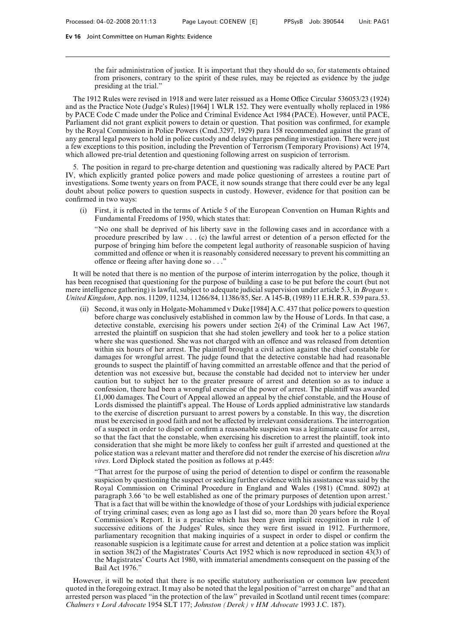the fair administration of justice. It is important that they should do so, for statements obtained from prisoners, contrary to the spirit of these rules, may be rejected as evidence by the judge presiding at the trial."

The 1912 Rules were revised in 1918 and were later reissued as a Home Office Circular 536053/23 (1924) and as the Practice Note (Judge's Rules) [1964] 1 WLR 152. They were eventually wholly replaced in 1986 by PACE Code C made under the Police and Criminal Evidence Act 1984 (PACE). However, until PACE, Parliament did not grant explicit powers to detain or question. That position was confirmed, for example by the Royal Commission in Police Powers (Cmd.3297, 1929) para 158 recommended against the grant of any general legal powers to hold in police custody and delay charges pending investigation. There were just a few exceptions to this position, including the Prevention of Terrorism (Temporary Provisions) Act 1974, which allowed pre-trial detention and questioning following arrest on suspicion of terrorism.

5. The position in regard to pre-charge detention and questioning was radically altered by PACE Part IV, which explicitly granted police powers and made police questioning of arrestees a routine part of investigations. Some twenty years on from PACE, it now sounds strange that there could ever be any legal doubt about police powers to question suspects in custody. However, evidence for that position can be confirmed in two ways:

First, it is reflected in the terms of Article 5 of the European Convention on Human Rights and Fundamental Freedoms of 1950, which states that:

"No one shall be deprived of his liberty save in the following cases and in accordance with a procedure prescribed by law  $\dots$  (c) the lawful arrest or detention of a person effected for the purpose of bringing him before the competent legal authority of reasonable suspicion of having committed and offence or when it is reasonably considered necessary to prevent his committing an offence or fleeing after having done so . . ."

It will be noted that there is no mention of the purpose of interim interrogation by the police, though it has been recognised that questioning for the purpose of building a case to be put before the court (but not mere intelligence gathering) is lawful, subject to adequate judicial supervision under article 5.3, in *Brogan v. United Kingdom*, App. nos. 11209, 11234, 11266/84, 11386/85, Ser. A 145-B, (1989) 11 E.H.R.R. 539 para.53.

(ii) Second, it was only in Holgate-Mohammed v Duke [1984] A.C. 437 that police powers to question before charge was conclusively established in common law by the House of Lords. In that case, a detective constable, exercising his powers under section 2(4) of the Criminal Law Act 1967, arrested the plaintiff on suspicion that she had stolen jewellery and took her to a police station where she was questioned. She was not charged with an offence and was released from detention within six hours of her arrest. The plaintiff brought a civil action against the chief constable for damages for wrongful arrest. The judge found that the detective constable had had reasonable grounds to suspect the plaintiff of having committed an arrestable offence and that the period of detention was not excessive but, because the constable had decided not to interview her under caution but to subject her to the greater pressure of arrest and detention so as to induce a confession, there had been a wrongful exercise of the power of arrest. The plaintiff was awarded £1,000 damages. The Court of Appeal allowed an appeal by the chief constable, and the House of Lords dismissed the plaintiff's appeal. The House of Lords applied administrative law standards to the exercise of discretion pursuant to arrest powers by a constable. In this way, the discretion must be exercised in good faith and not be affected by irrelevant considerations. The interrogation of a suspect in order to dispel or confirm a reasonable suspicion was a legitimate cause for arrest, so that the fact that the constable, when exercising his discretion to arrest the plaintiff, took into consideration that she might be more likely to confess her guilt if arrested and questioned at the police station was a relevant matter and therefore did not render the exercise of his discretion *ultra vires*. Lord Diplock stated the position as follows at p.445:

"That arrest for the purpose of using the period of detention to dispel or confirm the reasonable suspicion by questioning the suspect or seeking further evidence with his assistance was said by the Royal Commission on Criminal Procedure in England and Wales (1981) (Cmnd. 8092) at paragraph 3.66 'to be well established as one of the primary purposes of detention upon arrest.' That is a fact that will be within the knowledge of those of your Lordships with judicial experience of trying criminal cases; even as long ago as I last did so, more than 20 years before the Royal Commission's Report. It is a practice which has been given implicit recognition in rule 1 of successive editions of the Judges' Rules, since they were first issued in 1912. Furthermore, parliamentary recognition that making inquiries of a suspect in order to dispel or confirm the reasonable suspicion is a legitimate cause for arrest and detention at a police station was implicit in section 38(2) of the Magistrates' Courts Act 1952 which is now reproduced in section 43(3) of the Magistrates' Courts Act 1980, with immaterial amendments consequent on the passing of the Bail Act 1976."

However, it will be noted that there is no specific statutory authorisation or common law precedent quoted in the foregoing extract. It may also be noted that the legal position of "arrest on charge" and that an arrested person was placed "in the protection of the law" prevailed in Scotland until recent times (compare: *Chalmers v Lord Advocate* 1954 SLT 177; *Johnston (Derek) v HM Advocate* 1993 J.C. 187).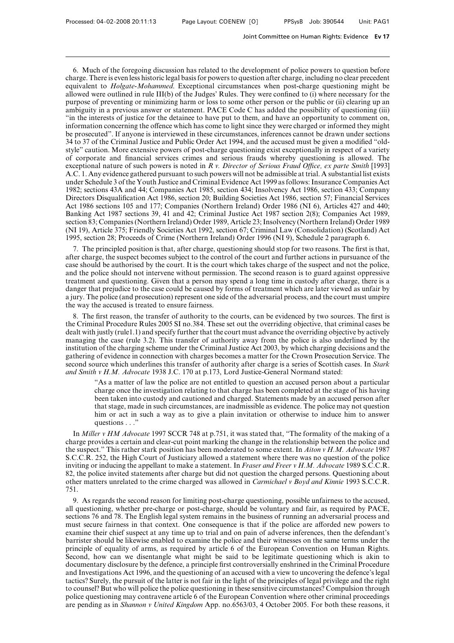6. Much of the foregoing discussion has related to the development of police powers to question before charge. There is even less historic legal basis for powers to question after charge, including no clear precedent equivalent to *Holgate-Mohammed*. Exceptional circumstances when post-charge questioning might be allowed were outlined in rule III(b) of the Judges' Rules. They were confined to (i) where necessary for the purpose of preventing or minimizing harm or loss to some other person or the public or (ii) clearing up an ambiguity in a previous answer or statement. PACE Code C has added the possibility of questioning (iii) "in the interests of justice for the detainee to have put to them, and have an opportunity to comment on, information concerning the offence which has come to light since they were charged or informed they might be prosecuted". If anyone is interviewed in these circumstances, inferences cannot be drawn under sections 34 to 37 of the Criminal Justice and Public Order Act 1994, and the accused must be given a modified "oldstyle" caution. More extensive powers of post-charge questioning exist exceptionally in respect of a variety of corporate and financial services crimes and serious frauds whereby questioning is allowed. The exceptional nature of such powers is noted in *R v. Director of Serious Fraud OYce, ex parte Smith* [1993] A.C. 1. Any evidence gathered pursuant to such powers will not be admissible at trial. A substantial list exists under Schedule 3 of the Youth Justice and Criminal Evidence Act 1999 as follows: Insurance Companies Act 1982; sections 43A and 44; Companies Act 1985, section 434; Insolvency Act 1986, section 433; Company Directors Disqualification Act 1986, section 20; Building Societies Act 1986, section 57; Financial Services Act 1986 sections 105 and 177; Companies (Northern Ireland) Order 1986 (NI 6), Articles 427 and 440; Banking Act 1987 sections 39, 41 and 42; Criminal Justice Act 1987 section 2(8); Companies Act 1989, section 83; Companies (Northern Ireland) Order 1989, Article 23; Insolvency (Northern Ireland) Order 1989 (NI 19), Article 375; Friendly Societies Act 1992, section 67; Criminal Law (Consolidation) (Scotland) Act 1995, section 28; Proceeds of Crime (Northern Ireland) Order 1996 (NI 9), Schedule 2 paragraph 6.

7. The principled position is that, after charge, questioning should stop for two reasons. The first is that, after charge, the suspect becomes subject to the control of the court and further actions in pursuance of the case should be authorised by the court. It is the court which takes charge of the suspect and not the police, and the police should not intervene without permission. The second reason is to guard against oppressive treatment and questioning. Given that a person may spend a long time in custody after charge, there is a danger that prejudice to the case could be caused by forms of treatment which are later viewed as unfair by a jury. The police (and prosecution) represent one side of the adversarial process, and the court must umpire the way the accused is treated to ensure fairness.

8. The first reason, the transfer of authority to the courts, can be evidenced by two sources. The first is the Criminal Procedure Rules 2005 SI no.384. These set out the overriding objective, that criminal cases be dealt with justly (rule1.1) and specify further that the court must advance the overriding objective by actively managing the case (rule 3.2). This transfer of authority away from the police is also underlined by the institution of the charging scheme under the Criminal Justice Act 2003, by which charging decisions and the gathering of evidence in connection with charges becomes a matter for the Crown Prosecution Service. The second source which underlines this transfer of authority after charge is a series of Scottish cases. In *Stark and Smith v H.M. Advocate* 1938 J.C. 170 at p.173, Lord Justice-General Normand stated:

"As a matter of law the police are not entitled to question an accused person about a particular charge once the investigation relating to that charge has been completed at the stage of his having been taken into custody and cautioned and charged. Statements made by an accused person after that stage, made in such circumstances, are inadmissible as evidence. The police may not question him or act in such a way as to give a plain invitation or otherwise to induce him to answer questions . . ."

In *Miller v HM Advocate* 1997 SCCR 748 at p.751, it was stated that, "The formality of the making of a charge provides a certain and clear-cut point marking the change in the relationship between the police and the suspect." This rather stark position has been moderated to some extent. In *Aiton v H.M. Advocate* 1987 S.C.C.R. 252, the High Court of Justiciary allowed a statement where there was no question of the police inviting or inducing the appellant to make a statement. In *Fraser and Freer v H.M. Advocate* 1989 S.C.C.R. 82, the police invited statements after charge but did not question the charged persons. Questioning about other matters unrelated to the crime charged was allowed in *Carmichael v Boyd and Kinnie* 1993 S.C.C.R. 751.

9. As regards the second reason for limiting post-charge questioning, possible unfairness to the accused, all questioning, whether pre-charge or post-charge, should be voluntary and fair, as required by PACE, sections 76 and 78. The English legal system remains in the business of running an adversarial process and must secure fairness in that context. One consequence is that if the police are afforded new powers to examine their chief suspect at any time up to trial and on pain of adverse inferences, then the defendant's barrister should be likewise enabled to examine the police and their witnesses on the same terms under the principle of equality of arms, as required by article 6 of the European Convention on Human Rights. Second, how can we disentangle what might be said to be legitimate questioning which is akin to documentary disclosure by the defence, a principle first controversially enshrined in the Criminal Procedure and Investigations Act 1996, and the questioning of an accused with a view to uncovering the defence's legal tactics? Surely, the pursuit of the latter is not fair in the light of the principles of legal privilege and the right to counsel? But who will police the police questioning in these sensitive circumstances? Compulsion through police questioning may contravene article 6 of the European Convention where other criminal proceedings are pending as in *Shannon v United Kingdom* App. no.6563/03, 4 October 2005. For both these reasons, it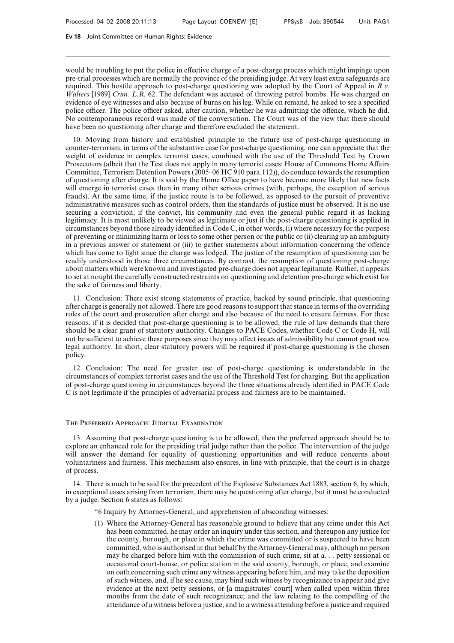would be troubling to put the police in effective charge of a post-charge process which might impinge upon pre-trial processes which are normally the province of the presiding judge. At very least extra safeguards are required. This hostile approach to post-charge questioning was adopted by the Court of Appeal in *R v. Walters* [1989] *Crim. L.R.* 62. The defendant was accused of throwing petrol bombs. He was charged on evidence of eye witnesses and also because of burns on his leg. While on remand, he asked to see a specified police officer. The police officer asked, after caution, whether he was admitting the offence, which he did. No contemporaneous record was made of the conversation. The Court was of the view that there should have been no questioning after charge and therefore excluded the statement.

10. Moving from history and established principle to the future use of post-charge questioning in counter-terrorism, in terms of the substantive case for post-charge questioning, one can appreciate that the weight of evidence in complex terrorist cases, combined with the use of the Threshold Test by Crown Prosecutors (albeit that the Test does not apply in many terrorist cases: House of Commons Home Affairs Committee, Terrorism Detention Powers (2005–06 HC 910 para.112)), do conduce towards the resumption of questioning after charge. It is said by the Home Office paper to have become more likely that new facts will emerge in terrorist cases than in many other serious crimes (with, perhaps, the exception of serious frauds). At the same time, if the justice route is to be followed, as opposed to the pursuit of preventive administrative measures such as control orders, then the standards of justice must be observed. It is no use securing a conviction, if the convict, his community and even the general public regard it as lacking legitimacy. It is most unlikely to be viewed as legitimate or just if the post-charge questioning is applied in circumstances beyond those already identified in Code C, in other words, (i) where necessary for the purpose of preventing or minimizing harm or loss to some other person or the public or (ii) clearing up an ambiguity in a previous answer or statement or (iii) to gather statements about information concerning the offence which has come to light since the charge was lodged. The justice of the resumption of questioning can be readily understood in those three circumstances. By contrast, the resumption of questioning post-charge about matters which were known and investigated pre-charge does not appear legitimate. Rather, it appears to set at nought the carefully constructed restraints on questioning and detention pre-charge which exist for the sake of fairness and liberty.

11. Conclusion: There exist strong statements of practice, backed by sound principle, that questioning after charge is generally not allowed. There are good reasons to support that stance in terms of the overriding roles of the court and prosecution after charge and also because of the need to ensure fairness. For these reasons, if it is decided that post-charge questioning is to be allowed, the rule of law demands that there should be a clear grant of statutory authority. Changes to PACE Codes, whether Code C or Code H, will not be sufficient to achieve these purposes since they may affect issues of admissibility but cannot grant new legal authority. In short, clear statutory powers will be required if post-charge questioning is the chosen policy.

12. Conclusion: The need for greater use of post-charge questioning is understandable in the circumstances of complex terrorist cases and the use of the Threshold Test for charging. But the application of post-charge questioning in circumstances beyond the three situations already identified in PACE Code C is not legitimate if the principles of adversarial process and fairness are to be maintained.

#### The Preferred Approach: Judicial Examination

13. Assuming that post-charge questioning is to be allowed, then the preferred approach should be to explore an enhanced role for the presiding trial judge rather than the police. The intervention of the judge will answer the demand for equality of questioning opportunities and will reduce concerns about voluntariness and fairness. This mechanism also ensures, in line with principle, that the court is in charge of process.

14. There is much to be said for the precedent of the Explosive Substances Act 1883, section 6, by which, in exceptional cases arising from terrorism, there may be questioning after charge, but it must be conducted by a judge. Section 6 states as follows:

"6 Inquiry by Attorney-General, and apprehension of absconding witnesses:

(1) Where the Attorney-General has reasonable ground to believe that any crime under this Act has been committed, he may order an inquiry under this section, and thereupon any justice for the county, borough, or place in which the crime was committed or is suspected to have been committed, who is authorised in that behalf by the Attorney-General may, although no person may be charged before him with the commission of such crime, sit at a. . . petty sessional or occasional court-house, or police station in the said county, borough, or place, and examine on oath concerning such crime any witness appearing before him, and may take the deposition of such witness, and, if he see cause, may bind such witness by recognizance to appear and give evidence at the next petty sessions, or [a magistrates' court] when called upon within three months from the date of such recognizance; and the law relating to the compelling of the attendance of a witness before a justice, and to a witness attending before a justice and required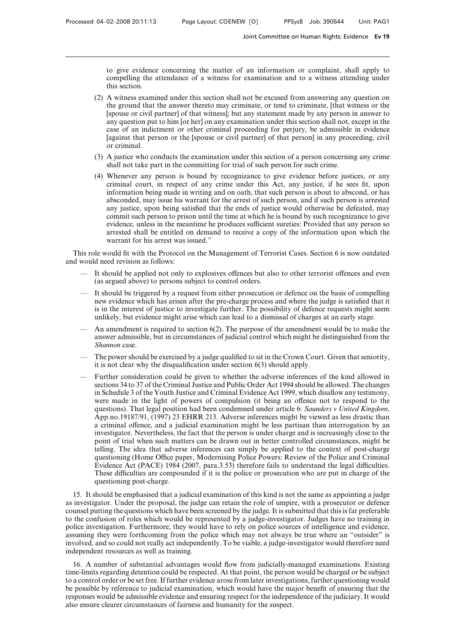to give evidence concerning the matter of an information or complaint, shall apply to compelling the attendance of a witness for examination and to a witness attending under this section.

- (2) A witness examined under this section shall not be excused from answering any question on the ground that the answer thereto may criminate, or tend to criminate, [that witness or the [spouse or civil partner] of that witness]; but any statement made by any person in answer to any question put to him [or her] on any examination under this section shall not, except in the case of an indictment or other criminal proceeding for perjury, be admissible in evidence [against that person or the [spouse or civil partner] of that person] in any proceeding, civil or criminal.
- (3) A justice who conducts the examination under this section of a person concerning any crime shall not take part in the committing for trial of such person for such crime.
- (4) Whenever any person is bound by recognizance to give evidence before justices, or any criminal court, in respect of any crime under this Act, any justice, if he sees fit, upon information being made in writing and on oath, that such person is about to abscond, or has absconded, may issue his warrant for the arrest of such person, and if such person is arrested any justice, upon being satisfied that the ends of justice would otherwise be defeated, may commit such person to prison until the time at which he is bound by such recognizance to give evidence, unless in the meantime he produces sufficient sureties: Provided that any person so arrested shall be entitled on demand to receive a copy of the information upon which the warrant for his arrest was issued."

This role would fit with the Protocol on the Management of Terrorist Cases. Section 6 is now outdated and would need revision as follows:

- It should be applied not only to explosives offences but also to other terrorist offences and even (as argued above) to persons subject to control orders.
- It should be triggered by a request from either prosecution or defence on the basis of compelling new evidence which has arisen after the pre-charge process and where the judge is satisfied that it is in the interest of justice to investigate further. The possibility of defence requests might seem unlikely, but evidence might arise which can lead to a dismissal of charges at an early stage.
- An amendment is required to section  $6(2)$ . The purpose of the amendment would be to make the answer admissible, but in circumstances of judicial control which might be distinguished from the *Shannon* case.
- The power should be exercised by a judge qualified to sit in the Crown Court. Given that seniority, it is not clear why the disqualification under section 6(3) should apply.
- Further consideration could be given to whether the adverse inferences of the kind allowed in sections 34 to 37 of the Criminal Justice and Public Order Act 1994 should be allowed. The changes in Schedule 3 of the Youth Justice and Criminal Evidence Act 1999, which disallow any testimony, were made in the light of powers of compulsion (it being an offence not to respond to the questions). That legal position had been condemned under article 6: *Saunders v United Kingdom*, App.no.19187/91, (1997) 23 EHRR 213. Adverse inferences might be viewed as less drastic than a criminal offence, and a judicial examination might be less partisan than interrogation by an investigator. Nevertheless, the fact that the person is under charge and is increasingly close to the point of trial when such matters can be drawn out in better controlled circumstances, might be telling. The idea that adverse inferences can simply be applied to the context of post-charge questioning (Home Office paper, Modernising Police Powers: Review of the Police and Criminal Evidence Act (PACE) 1984 (2007, para.3.53) therefore fails to understand the legal difficulties. These difficulties are compounded if it is the police or prosecution who are put in charge of the questioning post-charge.

15. It should be emphasised that a judicial examination of this kind is not the same as appointing a judge as investigator. Under the proposal, the judge can retain the role of umpire, with a prosecutor or defence counsel putting the questions which have been screened by the judge. It is submitted that this is far preferable to the confusion of roles which would be represented by a judge-investigator. Judges have no training in police investigation. Furthermore, they would have to rely on police sources of intelligence and evidence, assuming they were forthcoming from the police which may not always be true where an "outsider" is involved, and so could not really act independently. To be viable, a judge-investigator would therefore need independent resources as well as training.

16. A number of substantial advantages would flow from judicially-managed examinations. Existing time-limits regarding detention could be respected. At that point, the person would be charged or be subject to a control order or be set free. If further evidence arose from later investigations, further questioning would be possible by reference to judicial examination, which would have the major benefit of ensuring that the responses would be admissible evidence and ensuring respect for the independence of the judiciary. It would also ensure clearer circumstances of fairness and humanity for the suspect.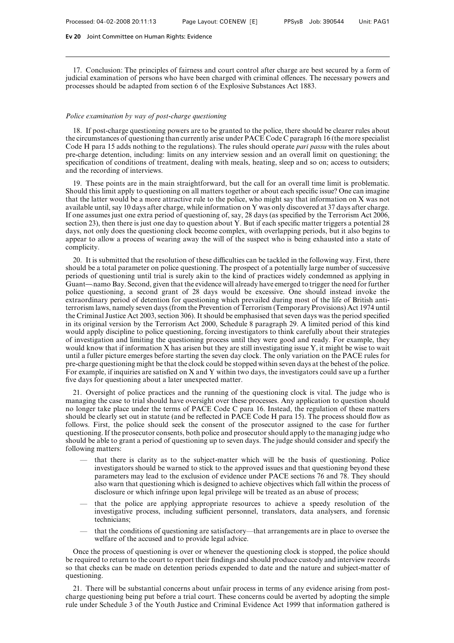17. Conclusion: The principles of fairness and court control after charge are best secured by a form of judicial examination of persons who have been charged with criminal offences. The necessary powers and processes should be adapted from section 6 of the Explosive Substances Act 1883.

#### *Police examination by way of post-charge questioning*

18. If post-charge questioning powers are to be granted to the police, there should be clearer rules about the circumstances of questioning than currently arise under PACE Code C paragraph 16 (the more specialist Code H para 15 adds nothing to the regulations). The rules should operate *pari passu* with the rules about pre-charge detention, including: limits on any interview session and an overall limit on questioning; the specification of conditions of treatment, dealing with meals, heating, sleep and so on; access to outsiders; and the recording of interviews.

19. These points are in the main straightforward, but the call for an overall time limit is problematic. Should this limit apply to questioning on all matters together or about each specific issue? One can imagine that the latter would be a more attractive rule to the police, who might say that information on X was not available until, say 10 days after charge, while information on Y was only discovered at 37 days after charge. If one assumes just one extra period of questioning of, say, 28 days (as specified by the Terrorism Act 2006, section 23), then there is just one day to question about Y. But if each specific matter triggers a potential 28 days, not only does the questioning clock become complex, with overlapping periods, but it also begins to appear to allow a process of wearing away the will of the suspect who is being exhausted into a state of complicity.

20. It is submitted that the resolution of these difficulties can be tackled in the following way. First, there should be a total parameter on police questioning. The prospect of a potentially large number of successive periods of questioning until trial is surely akin to the kind of practices widely condemned as applying in Guant—namo Bay. Second, given that the evidence will already have emerged to trigger the need for further police questioning, a second grant of 28 days would be excessive. One should instead invoke the extraordinary period of detention for questioning which prevailed during most of the life of British antiterrorism laws, namely seven days (from the Prevention of Terrorism (Temporary Provisions) Act 1974 until the Criminal Justice Act 2003, section 306). It should be emphasised that seven days was the period specified in its original version by the Terrorism Act 2000, Schedule 8 paragraph 29. A limited period of this kind would apply discipline to police questioning, forcing investigators to think carefully about their strategies of investigation and limiting the questioning process until they were good and ready. For example, they would know that if information X has arisen but they are still investigating issue Y, it might be wise to wait until a fuller picture emerges before starting the seven day clock. The only variation on the PACE rules for pre-charge questioning might be that the clock could be stopped within seven days at the behest of the police. For example, if inquiries are satisfied on X and Y within two days, the investigators could save up a further five days for questioning about a later unexpected matter.

21. Oversight of police practices and the running of the questioning clock is vital. The judge who is managing the case to trial should have oversight over these processes. Any application to question should no longer take place under the terms of PACE Code C para 16. Instead, the regulation of these matters should be clearly set out in statute (and be reflected in PACE Code H para 15). The process should flow as follows. First, the police should seek the consent of the prosecutor assigned to the case for further questioning. If the prosecutor consents, both police and prosecutor should apply to the managing judge who should be able to grant a period of questioning up to seven days. The judge should consider and specify the following matters:

- that there is clarity as to the subject-matter which will be the basis of questioning. Police investigators should be warned to stick to the approved issues and that questioning beyond these parameters may lead to the exclusion of evidence under PACE sections 76 and 78. They should also warn that questioning which is designed to achieve objectives which fall within the process of disclosure or which infringe upon legal privilege will be treated as an abuse of process;
- that the police are applying appropriate resources to achieve a speedy resolution of the investigative process, including sufficient personnel, translators, data analysers, and forensic technicians;
- that the conditions of questioning are satisfactory—that arrangements are in place to oversee the welfare of the accused and to provide legal advice.

Once the process of questioning is over or whenever the questioning clock is stopped, the police should be required to return to the court to report their findings and should produce custody and interview records so that checks can be made on detention periods expended to date and the nature and subject-matter of questioning.

21. There will be substantial concerns about unfair process in terms of any evidence arising from postcharge questioning being put before a trial court. These concerns could be averted by adopting the simple rule under Schedule 3 of the Youth Justice and Criminal Evidence Act 1999 that information gathered is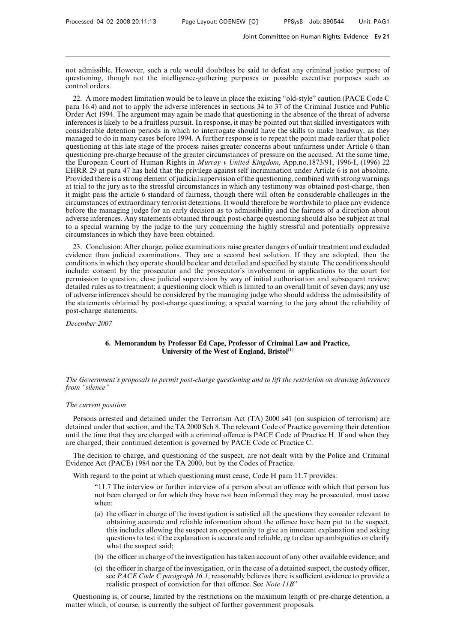not admissible. However, such a rule would doubtless be said to defeat any criminal justice purpose of questioning, though not the intelligence-gathering purposes or possible executive purposes such as control orders.

22. A more modest limitation would be to leave in place the existing "old-style" caution (PACE Code C para 16.4) and not to apply the adverse inferences in sections 34 to 37 of the Criminal Justice and Public Order Act 1994. The argument may again be made that questioning in the absence of the threat of adverse inferences is likely to be a fruitless pursuit. In response, it may be pointed out that skilled investigators with considerable detention periods in which to interrogate should have the skills to make headway, as they managed to do in many cases before 1994. A further response is to repeat the point made earlier that police questioning at this late stage of the process raises greater concerns about unfairness under Article 6 than questioning pre-charge because of the greater circumstances of pressure on the accused. At the same time, the European Court of Human Rights in *Murray v United Kingdom*, App.no.1873/91, 1996-I, (1996) 22 EHRR 29 at para 47 has held that the privilege against self incrimination under Article 6 is not absolute. Provided there is a strong element of judicial supervision of the questioning, combined with strong warnings at trial to the jury as to the stressful circumstances in which any testimony was obtained post-charge, then it might pass the article 6 standard of fairness, though there will often be considerable challenges in the circumstances of extraordinary terrorist detentions. It would therefore be worthwhile to place any evidence before the managing judge for an early decision as to admissibility and the fairness of a direction about adverse inferences. Any statements obtained through post-charge questioning should also be subject at trial to a special warning by the judge to the jury concerning the highly stressful and potentially oppressive circumstances in which they have been obtained.

23. Conclusion: After charge, police examinations raise greater dangers of unfair treatment and excluded evidence than judicial examinations. They are a second best solution. If they are adopted, then the conditions in which they operate should be clear and detailed and specified by statute. The conditions should include: consent by the prosecutor and the prosecutor's involvement in applications to the court for permission to question; close judicial supervision by way of initial authorisation and subsequent review; detailed rules as to treatment; a questioning clock which is limited to an overall limit of seven days; any use of adverse inferences should be considered by the managing judge who should address the admissibility of the statements obtained by post-charge questioning; a special warning to the jury about the reliability of post-charge statements.

*December 2007*

#### **6. Memorandum by Professor Ed Cape, Professor of Criminal Law and Practice, University of the West of England, Bristol**(1)

*The Government's proposals to permit post-charge questioning and to lift the restriction on drawing inferences from "silence"*

#### *The current position*

Persons arrested and detained under the Terrorism Act (TA) 2000 s41 (on suspicion of terrorism) are detained under that section, and the TA 2000 Sch 8. The relevant Code of Practice governing their detention until the time that they are charged with a criminal offence is PACE Code of Practice H. If and when they are charged, their continued detention is governed by PACE Code of Practice C.

The decision to charge, and questioning of the suspect, are not dealt with by the Police and Criminal Evidence Act (PACE) 1984 nor the TA 2000, but by the Codes of Practice.

With regard to the point at which questioning must cease, Code H para 11.7 provides:

"11.7 The interview or further interview of a person about an offence with which that person has not been charged or for which they have not been informed they may be prosecuted, must cease when:

- (a) the officer in charge of the investigation is satisfied all the questions they consider relevant to obtaining accurate and reliable information about the offence have been put to the suspect, this includes allowing the suspect an opportunity to give an innocent explanation and asking questions to test if the explanation is accurate and reliable, eg to clear up ambiguities or clarify what the suspect said;
- (b) the officer in charge of the investigation has taken account of any other available evidence; and
- (c) the officer in charge of the investigation, or in the case of a detained suspect, the custody officer, see *PACE Code C paragraph 16.1*, reasonably believes there is sufficient evidence to provide a realistic prospect of conviction for that offence. See *Note 11B*"

Questioning is, of course, limited by the restrictions on the maximum length of pre-charge detention, a matter which, of course, is currently the subject of further government proposals.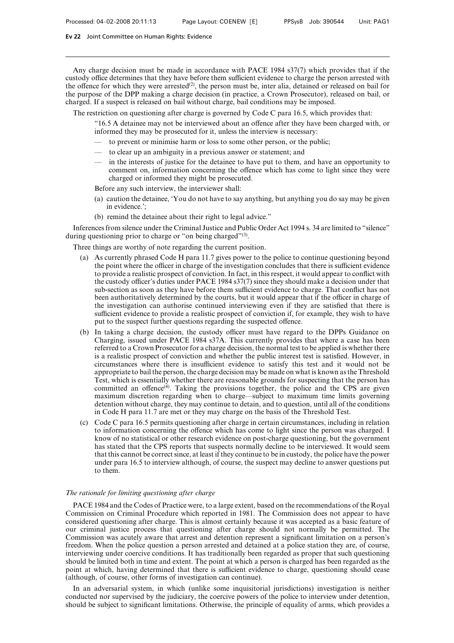Any charge decision must be made in accordance with PACE 1984 s37(7) which provides that if the custody office determines that they have before them sufficient evidence to charge the person arrested with the offence for which they were arrested<sup>(2)</sup>, the person must be, inter alia, detained or released on bail for the purpose of the DPP making a charge decision (in practice, a Crown Prosecutor), released on bail, or charged. If a suspect is released on bail without charge, bail conditions may be imposed.

The restriction on questioning after charge is governed by Code C para 16.5, which provides that:

"16.5 A detainee may not be interviewed about an offence after they have been charged with, or informed they may be prosecuted for it, unless the interview is necessary:

- to prevent or minimise harm or loss to some other person, or the public;
- to clear up an ambiguity in a previous answer or statement; and
- in the interests of justice for the detainee to have put to them, and have an opportunity to comment on, information concerning the offence which has come to light since they were charged or informed they might be prosecuted.

Before any such interview, the interviewer shall:

- (a) caution the detainee, 'You do not have to say anything, but anything you do say may be given in evidence.';
- (b) remind the detainee about their right to legal advice."

Inferences from silence under the Criminal Justice and Public Order Act 1994 s. 34 are limited to "silence" during questioning prior to charge or "on being charged"<sup>(3)</sup>.

Three things are worthy of note regarding the current position.

- (a) As currently phrased Code H para 11.7 gives power to the police to continue questioning beyond the point where the officer in charge of the investigation concludes that there is sufficient evidence to provide a realistic prospect of conviction. In fact, in this respect, it would appear to conflict with the custody officer's duties under PACE 1984  $s37(7)$  since they should make a decision under that sub-section as soon as they have before them sufficient evidence to charge. That conflict has not been authoritatively determined by the courts, but it would appear that if the officer in charge of the investigation can authorise continued interviewing even if they are satisfied that there is sufficient evidence to provide a realistic prospect of conviction if, for example, they wish to have put to the suspect further questions regarding the suspected offence.
- (b) In taking a charge decision, the custody officer must have regard to the DPPs Guidance on Charging, issued under PACE 1984 s37A. This currently provides that where a case has been referred to a Crown Prosecutor for a charge decision, the normal test to be applied is whether there is a realistic prospect of conviction and whether the public interest test is satisfied. However, in circumstances where there is insufficient evidence to satisfy this test and it would not be appropriate to bail the person, the charge decision may be made on what is known as the Threshold Test, which is essentially whether there are reasonable grounds for suspecting that the person has committed an offence<sup>(4)</sup>. Taking the provisions together, the police and the CPS are given maximum discretion regarding when to charge—subject to maximum time limits governing detention without charge, they may continue to detain, and to question, until all of the conditions in Code H para 11.7 are met or they may charge on the basis of the Threshold Test.
- (c) Code C para 16.5 permits questioning after charge in certain circumstances, including in relation to information concerning the offence which has come to light since the person was charged. I know of no statistical or other research evidence on post-charge questioning, but the government has stated that the CPS reports that suspects normally decline to be interviewed. It would seem that this cannot be correct since, at least if they continue to be in custody, the police have the power under para 16.5 to interview although, of course, the suspect may decline to answer questions put to them.

#### *The rationale for limiting questioning after charge*

PACE 1984 and the Codes of Practice were, to a large extent, based on the recommendations of the Royal Commission on Criminal Procedure which reported in 1981. The Commission does not appear to have considered questioning after charge. This is almost certainly because it was accepted as a basic feature of our criminal justice process that questioning after charge should not normally be permitted. The Commission was acutely aware that arrest and detention represent a significant limitation on a person's freedom. When the police question a person arrested and detained at a police station they are, of course, interviewing under coercive conditions. It has traditionally been regarded as proper that such questioning should be limited both in time and extent. The point at which a person is charged has been regarded as the point at which, having determined that there is sufficient evidence to charge, questioning should cease (although, of course, other forms of investigation can continue).

In an adversarial system, in which (unlike some inquisitorial jurisdictions) investigation is neither conducted nor supervised by the judiciary, the coercive powers of the police to interview under detention, should be subject to significant limitations. Otherwise, the principle of equality of arms, which provides a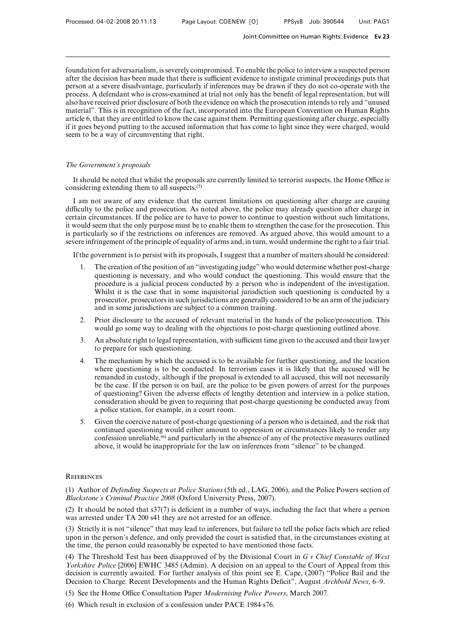foundation for adversarialism, is severely compromised. To enable the police to interview a suspected person after the decision has been made that there is sufficient evidence to instigate criminal proceedings puts that person at a severe disadvantage, particularly if inferences may be drawn if they do not co-operate with the process. A defendant who is cross-examined at trial not only has the benefit of legal representation, but will also have received prior disclosure of both the evidence on which the prosecution intends to rely and "unused material". This is in recognition of the fact, incorporated into the European Convention on Human Rights article 6, that they are entitled to know the case against them. Permitting questioning after charge, especially if it goes beyond putting to the accused information that has come to light since they were charged, would seem to be a way of circumventing that right.

#### *The Government's proposals*

It should be noted that whilst the proposals are currently limited to terrorist suspects, the Home Office is considering extending them to all suspects.(5)

I am not aware of any evidence that the current limitations on questioning after charge are causing difficulty to the police and prosecution. As noted above, the police may already question after charge in certain circumstances. If the police are to have to power to continue to question without such limitations, it would seem that the only purpose must be to enable them to strengthen the case for the prosecution. This is particularly so if the restrictions on inferences are removed. As argued above, this would amount to a severe infringement of the principle of equality of arms and, in turn, would undermine the right to a fair trial.

If the government is to persist with its proposals, I suggest that a number of matters should be considered:

- 1. The creation of the position of an "investigating judge" who would determine whether post-charge questioning is necessary, and who would conduct the questioning. This would ensure that the procedure is a judicial process conducted by a person who is independent of the investigation. Whilst it is the case that in some inquisitorial jurisdiction such questioning is conducted by a prosecutor, prosecutors in such jurisdictions are generally considered to be an arm of the judiciary and in some jurisdictions are subject to a common training.
- 2. Prior disclosure to the accused of relevant material in the hands of the police/prosecution. This would go some way to dealing with the objections to post-charge questioning outlined above.
- 3. An absolute right to legal representation, with sufficient time given to the accused and their lawyer to prepare for such questioning.
- 4. The mechanism by which the accused is to be available for further questioning, and the location where questioning is to be conducted. In terrorism cases it is likely that the accused will be remanded in custody, although if the proposal is extended to all accused, this will not necessarily be the case. If the person is on bail, are the police to be given powers of arrest for the purposes of questioning? Given the adverse effects of lengthy detention and interview in a police station, consideration should be given to requiring that post-charge questioning be conducted away from a police station, for example, in a court room.
- 5. Given the coercive nature of post-charge questioning of a person who is detained, and the risk that continued questioning would either amount to oppression or circumstances likely to render any confession unreliable,(6) and particularly in the absence of any of the protective measures outlined above, it would be inappropriate for the law on inferences from "silence" to be changed.

#### **REFERENCES**

(1) Author of *Defending Suspects at Police Stations* (5th ed., LAG, 2006), and the Police Powers section of *Blackstone's Criminal Practice 2008* (Oxford University Press, 2007).

(2) It should be noted that s37(7) is deficient in a number of ways, including the fact that where a person was arrested under TA 200 s41 they are not arrested for an offence.

(3) Strictly it is not "silence" that may lead to inferences, but failure to tell the police facts which are relied upon in the person's defence, and only provided the court is satisfied that, in the circumstances existing at the time, the person could reasonably be expected to have mentioned those facts.

(4) The Threshold Test has been disapproved of by the Divisional Court in *G v Chief Constable of West Yorkshire Police* [2006] EWHC 3485 (Admin). A decision on an appeal to the Court of Appeal from this decision is currently awaited. For further analysis of this point see E. Cape, (2007) "Police Bail and the Decision to Charge: Recent Developments and the Human Rights Deficit", August *Archbold News*, 6–9.

(5) See the Home Office Consultation Paper *Modernising Police Powers*, March 2007.

(6) Which result in exclusion of a confession under PACE 1984 s76.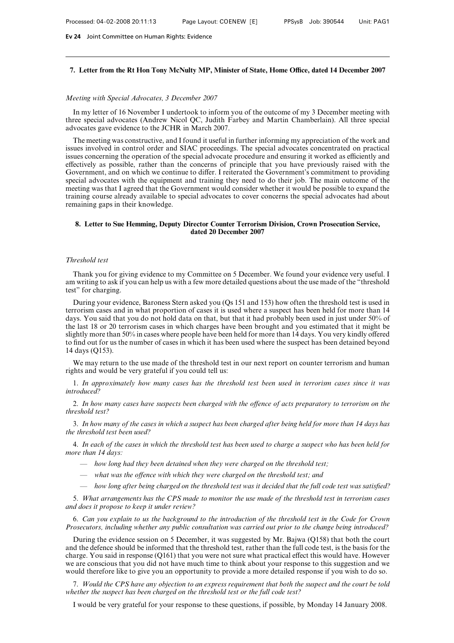#### **7. Letter from the Rt Hon Tony McNulty MP, Minister of State, Home OYce, dated 14 December 2007**

#### *Meeting with Special Advocates, 3 December 2007*

In my letter of 16 November I undertook to inform you of the outcome of my 3 December meeting with three special advocates (Andrew Nicol QC, Judith Farbey and Martin Chamberlain). All three special advocates gave evidence to the JCHR in March 2007.

The meeting was constructive, and I found it useful in further informing my appreciation of the work and issues involved in control order and SIAC proceedings. The special advocates concentrated on practical issues concerning the operation of the special advocate procedure and ensuring it worked as efficiently and effectively as possible, rather than the concerns of principle that you have previously raised with the Government, and on which we continue to differ. I reiterated the Government's commitment to providing special advocates with the equipment and training they need to do their job. The main outcome of the meeting was that I agreed that the Government would consider whether it would be possible to expand the training course already available to special advocates to cover concerns the special advocates had about remaining gaps in their knowledge.

#### **8. Letter to Sue Hemming, Deputy Director Counter Terrorism Division, Crown Prosecution Service, dated 20 December 2007**

#### *Threshold test*

Thank you for giving evidence to my Committee on 5 December. We found your evidence very useful. I am writing to ask if you can help us with a few more detailed questions about the use made of the "threshold test" for charging.

During your evidence, Baroness Stern asked you (Qs 151 and 153) how often the threshold test is used in terrorism cases and in what proportion of cases it is used where a suspect has been held for more than 14 days. You said that you do not hold data on that, but that it had probably been used in just under 50% of the last 18 or 20 terrorism cases in which charges have been brought and you estimated that it might be slightly more than 50% in cases where people have been held for more than 14 days. You very kindly offered to find out for us the number of cases in which it has been used where the suspect has been detained beyond 14 days (Q153).

We may return to the use made of the threshold test in our next report on counter terrorism and human rights and would be very grateful if you could tell us:

1. *In approximately how many cases has the threshold test been used in terrorism cases since it was introduced?*

2. In how many cases have suspects been charged with the offence of acts preparatory to terrorism on the *threshold test?*

3. *In how many of the cases in which a suspect has been charged after being held for more than 14 days has the threshold test been used?*

4. *In each of the cases in which the threshold test has been used to charge a suspect who has been held for more than 14 days:*

- *how long had they been detained when they were charged on the threshold test;*
- *what was the offence with which they were charged on the threshold test; and*
- *how long after being charged on the threshold test was it decided that the full code test was satisfied?*

5. *What arrangements has the CPS made to monitor the use made of the threshold test in terrorism cases and does it propose to keep it under review?*

6. *Can you explain to us the background to the introduction of the threshold test in the Code for Crown Prosecutors, including whether any public consultation was carried out prior to the change being introduced?*

During the evidence session on 5 December, it was suggested by Mr. Bajwa (Q158) that both the court and the defence should be informed that the threshold test, rather than the full code test, is the basis for the charge. You said in response  $(Q161)$  that you were not sure what practical effect this would have. However we are conscious that you did not have much time to think about your response to this suggestion and we would therefore like to give you an opportunity to provide a more detailed response if you wish to do so.

7. *Would the CPS have any objection to an express requirement that both the suspect and the court be told whether the suspect has been charged on the threshold test or the full code test?*

I would be very grateful for your response to these questions, if possible, by Monday 14 January 2008.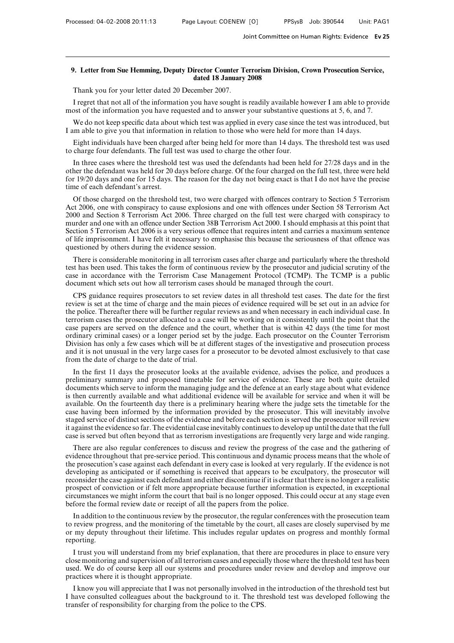#### **9. Letter from Sue Hemming, Deputy Director Counter Terrorism Division, Crown Prosecution Service, dated 18 January 2008**

Thank you for your letter dated 20 December 2007.

I regret that not all of the information you have sought is readily available however I am able to provide most of the information you have requested and to answer your substantive questions at 5, 6, and 7.

We do not keep specific data about which test was applied in every case since the test was introduced, but I am able to give you that information in relation to those who were held for more than 14 days.

Eight individuals have been charged after being held for more than 14 days. The threshold test was used to charge four defendants. The full test was used to charge the other four.

In three cases where the threshold test was used the defendants had been held for 27/28 days and in the other the defendant was held for 20 days before charge. Of the four charged on the full test, three were held for 19/20 days and one for 15 days. The reason for the day not being exact is that I do not have the precise time of each defendant's arrest.

Of those charged on the threshold test, two were charged with offences contrary to Section 5 Terrorism Act 2006, one with conspiracy to cause explosions and one with offences under Section 58 Terrorism Act 2000 and Section 8 Terrorism Act 2006. Three charged on the full test were charged with conspiracy to murder and one with an offence under Section 38B Terrorism Act 2000. I should emphasis at this point that Section 5 Terrorism Act 2006 is a very serious offence that requires intent and carries a maximum sentence of life imprisonment. I have felt it necessary to emphasise this because the seriousness of that offence was questioned by others during the evidence session.

There is considerable monitoring in all terrorism cases after charge and particularly where the threshold test has been used. This takes the form of continuous review by the prosecutor and judicial scrutiny of the case in accordance with the Terrorism Case Management Protocol (TCMP). The TCMP is a public document which sets out how all terrorism cases should be managed through the court.

CPS guidance requires prosecutors to set review dates in all threshold test cases. The date for the first review is set at the time of charge and the main pieces of evidence required will be set out in an advice for the police. Thereafter there will be further regular reviews as and when necessary in each individual case. In terrorism cases the prosecutor allocated to a case will be working on it consistently until the point that the case papers are served on the defence and the court, whether that is within 42 days (the time for most ordinary criminal cases) or a longer period set by the judge. Each prosecutor on the Counter Terrorism Division has only a few cases which will be at different stages of the investigative and prosecution process and it is not unusual in the very large cases for a prosecutor to be devoted almost exclusively to that case from the date of charge to the date of trial.

In the first 11 days the prosecutor looks at the available evidence, advises the police, and produces a preliminary summary and proposed timetable for service of evidence. These are both quite detailed documents which serve to inform the managing judge and the defence at an early stage about what evidence is then currently available and what additional evidence will be available for service and when it will be available. On the fourteenth day there is a preliminary hearing where the judge sets the timetable for the case having been informed by the information provided by the prosecutor. This will inevitably involve staged service of distinct sections of the evidence and before each section is served the prosecutor will review it against the evidence so far. The evidential case inevitably continues to develop up until the date that the full case is served but often beyond that as terrorism investigations are frequently very large and wide ranging.

There are also regular conferences to discuss and review the progress of the case and the gathering of evidence throughout that pre-service period. This continuous and dynamic process means that the whole of the prosecution's case against each defendant in every case is looked at very regularly. If the evidence is not developing as anticipated or if something is received that appears to be exculpatory, the prosecutor will reconsider the case against each defendant and either discontinue if it is clear that there is no longer a realistic prospect of conviction or if felt more appropriate because further information is expected, in exceptional circumstances we might inform the court that bail is no longer opposed. This could occur at any stage even before the formal review date or receipt of all the papers from the police.

In addition to the continuous review by the prosecutor, the regular conferences with the prosecution team to review progress, and the monitoring of the timetable by the court, all cases are closely supervised by me or my deputy throughout their lifetime. This includes regular updates on progress and monthly formal reporting.

I trust you will understand from my brief explanation, that there are procedures in place to ensure very close monitoring and supervision of all terrorism cases and especially those where the threshold test has been used. We do of course keep all our systems and procedures under review and develop and improve our practices where it is thought appropriate.

I know you will appreciate that I was not personally involved in the introduction of the threshold test but I have consulted colleagues about the background to it. The threshold test was developed following the transfer of responsibility for charging from the police to the CPS.